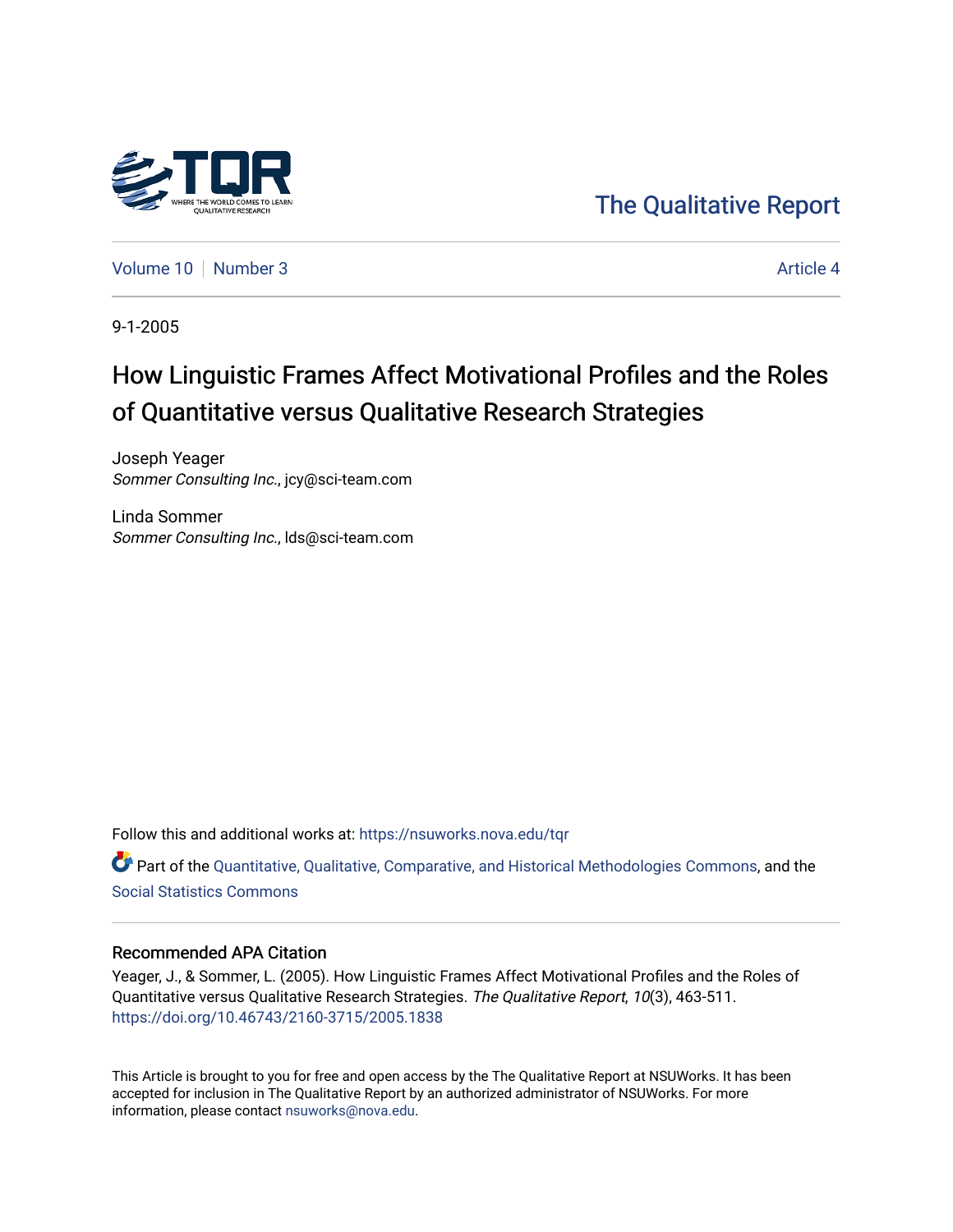

# [The Qualitative Report](https://nsuworks.nova.edu/tqr)

[Volume 10](https://nsuworks.nova.edu/tqr/vol10) [Number 3](https://nsuworks.nova.edu/tqr/vol10/iss3) Article 4

9-1-2005

# How Linguistic Frames Affect Motivational Profiles and the Roles of Quantitative versus Qualitative Research Strategies

Joseph Yeager Sommer Consulting Inc., jcy@sci-team.com

Linda Sommer Sommer Consulting Inc., lds@sci-team.com

Follow this and additional works at: [https://nsuworks.nova.edu/tqr](https://nsuworks.nova.edu/tqr?utm_source=nsuworks.nova.edu%2Ftqr%2Fvol10%2Fiss3%2F4&utm_medium=PDF&utm_campaign=PDFCoverPages) 

Part of the [Quantitative, Qualitative, Comparative, and Historical Methodologies Commons,](http://network.bepress.com/hgg/discipline/423?utm_source=nsuworks.nova.edu%2Ftqr%2Fvol10%2Fiss3%2F4&utm_medium=PDF&utm_campaign=PDFCoverPages) and the [Social Statistics Commons](http://network.bepress.com/hgg/discipline/1275?utm_source=nsuworks.nova.edu%2Ftqr%2Fvol10%2Fiss3%2F4&utm_medium=PDF&utm_campaign=PDFCoverPages) 

#### Recommended APA Citation

Yeager, J., & Sommer, L. (2005). How Linguistic Frames Affect Motivational Profiles and the Roles of Quantitative versus Qualitative Research Strategies. The Qualitative Report, 10(3), 463-511. <https://doi.org/10.46743/2160-3715/2005.1838>

This Article is brought to you for free and open access by the The Qualitative Report at NSUWorks. It has been accepted for inclusion in The Qualitative Report by an authorized administrator of NSUWorks. For more information, please contact [nsuworks@nova.edu.](mailto:nsuworks@nova.edu)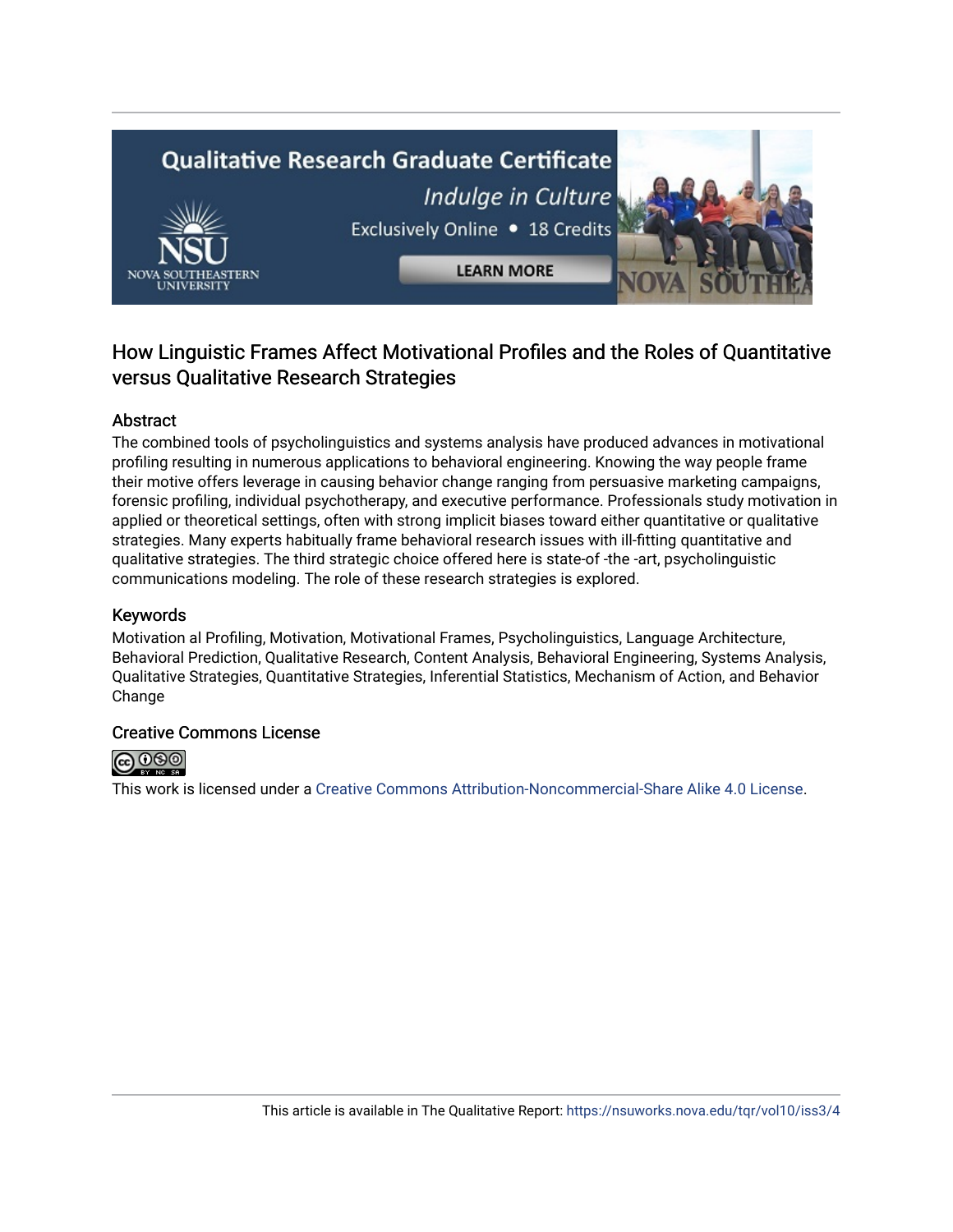# **Qualitative Research Graduate Certificate** Indulge in Culture Exclusively Online . 18 Credits **LEARN MORE**

# How Linguistic Frames Affect Motivational Profiles and the Roles of Quantitative versus Qualitative Research Strategies

## Abstract

The combined tools of psycholinguistics and systems analysis have produced advances in motivational profiling resulting in numerous applications to behavioral engineering. Knowing the way people frame their motive offers leverage in causing behavior change ranging from persuasive marketing campaigns, forensic profiling, individual psychotherapy, and executive performance. Professionals study motivation in applied or theoretical settings, often with strong implicit biases toward either quantitative or qualitative strategies. Many experts habitually frame behavioral research issues with ill-fitting quantitative and qualitative strategies. The third strategic choice offered here is state-of -the -art, psycholinguistic communications modeling. The role of these research strategies is explored.

## Keywords

Motivation al Profiling, Motivation, Motivational Frames, Psycholinguistics, Language Architecture, Behavioral Prediction, Qualitative Research, Content Analysis, Behavioral Engineering, Systems Analysis, Qualitative Strategies, Quantitative Strategies, Inferential Statistics, Mechanism of Action, and Behavior Change

## Creative Commons License



This work is licensed under a [Creative Commons Attribution-Noncommercial-Share Alike 4.0 License](https://creativecommons.org/licenses/by-nc-sa/4.0/).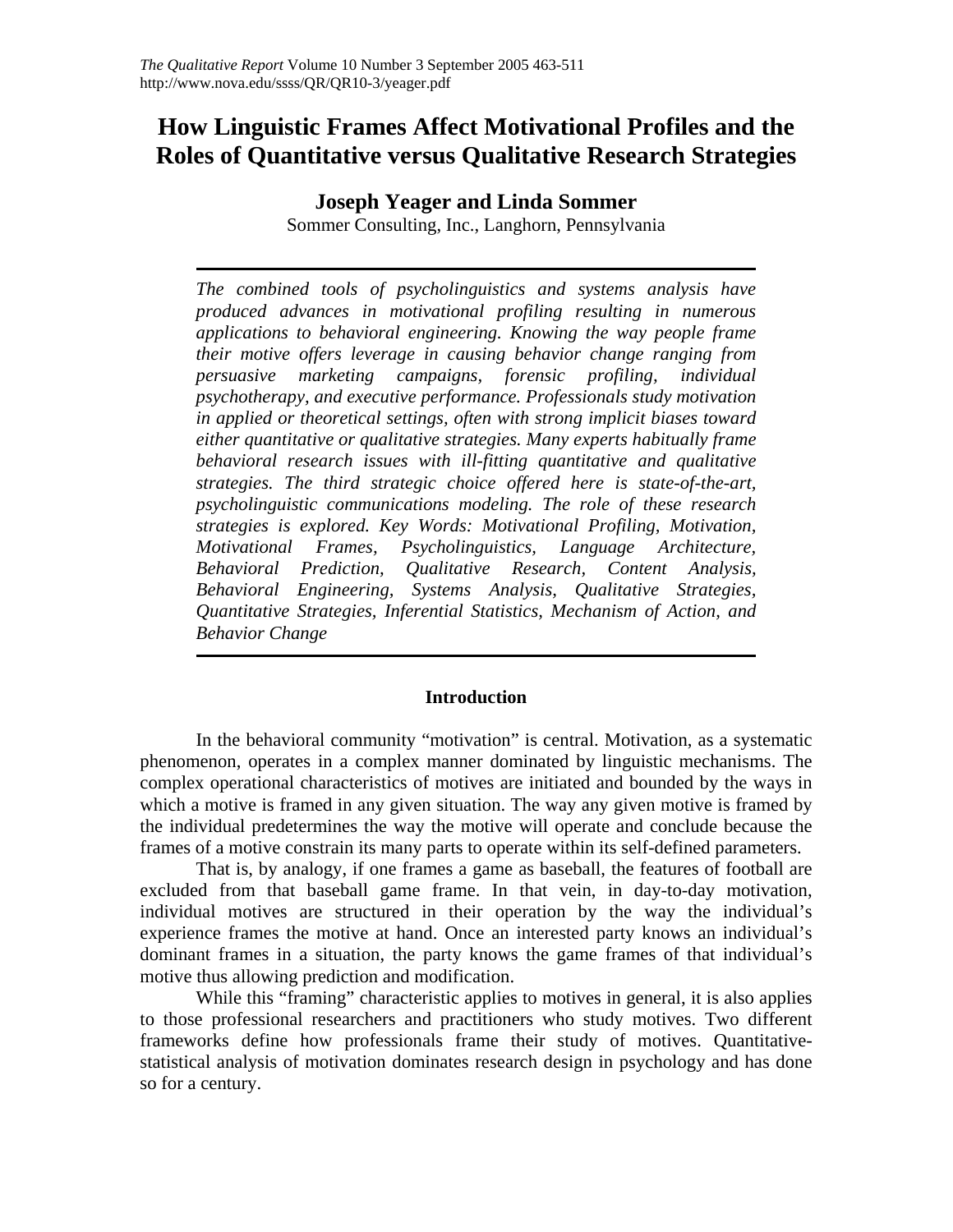# **How Linguistic Frames Affect Motivational Profiles and the Roles of Quantitative versus Qualitative Research Strategies**

## **Joseph Yeager and Linda Sommer**

Sommer Consulting, Inc., Langhorn, Pennsylvania

*The combined tools of psycholinguistics and systems analysis have produced advances in motivational profiling resulting in numerous applications to behavioral engineering. Knowing the way people frame their motive offers leverage in causing behavior change ranging from persuasive marketing campaigns, forensic profiling, individual psychotherapy, and executive performance. Professionals study motivation in applied or theoretical settings, often with strong implicit biases toward either quantitative or qualitative strategies. Many experts habitually frame behavioral research issues with ill-fitting quantitative and qualitative strategies. The third strategic choice offered here is state-of-the-art, psycholinguistic communications modeling. The role of these research strategies is explored. Key Words: Motivational Profiling, Motivation, Motivational Frames, Psycholinguistics, Language Architecture, Behavioral Prediction, Qualitative Research, Content Analysis, Behavioral Engineering, Systems Analysis, Qualitative Strategies, Quantitative Strategies, Inferential Statistics, Mechanism of Action, and Behavior Change*

## **Introduction**

In the behavioral community "motivation" is central. Motivation, as a systematic phenomenon, operates in a complex manner dominated by linguistic mechanisms. The complex operational characteristics of motives are initiated and bounded by the ways in which a motive is framed in any given situation. The way any given motive is framed by the individual predetermines the way the motive will operate and conclude because the frames of a motive constrain its many parts to operate within its self-defined parameters.

That is, by analogy, if one frames a game as baseball, the features of football are excluded from that baseball game frame. In that vein, in day-to-day motivation, individual motives are structured in their operation by the way the individual's experience frames the motive at hand. Once an interested party knows an individual's dominant frames in a situation, the party knows the game frames of that individual's motive thus allowing prediction and modification.

While this "framing" characteristic applies to motives in general, it is also applies to those professional researchers and practitioners who study motives. Two different frameworks define how professionals frame their study of motives. Quantitativestatistical analysis of motivation dominates research design in psychology and has done so for a century.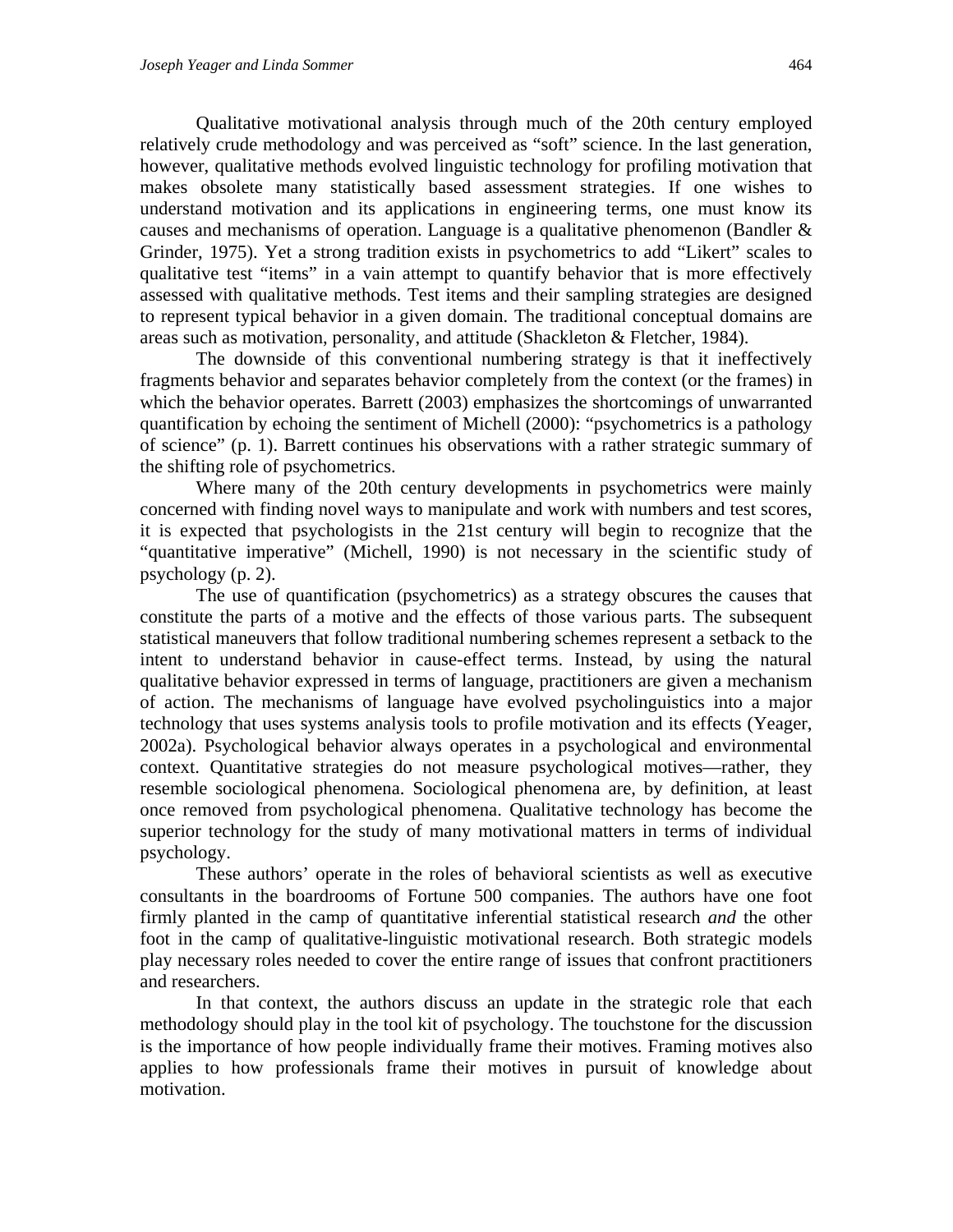Qualitative motivational analysis through much of the 20th century employed relatively crude methodology and was perceived as "soft" science. In the last generation, however, qualitative methods evolved linguistic technology for profiling motivation that makes obsolete many statistically based assessment strategies. If one wishes to understand motivation and its applications in engineering terms, one must know its causes and mechanisms of operation. Language is a qualitative phenomenon (Bandler & Grinder, 1975). Yet a strong tradition exists in psychometrics to add "Likert" scales to qualitative test "items" in a vain attempt to quantify behavior that is more effectively assessed with qualitative methods. Test items and their sampling strategies are designed to represent typical behavior in a given domain. The traditional conceptual domains are areas such as motivation, personality, and attitude (Shackleton & Fletcher, 1984).

The downside of this conventional numbering strategy is that it ineffectively fragments behavior and separates behavior completely from the context (or the frames) in which the behavior operates. Barrett (2003) emphasizes the shortcomings of unwarranted quantification by echoing the sentiment of Michell (2000): "psychometrics is a pathology of science" (p. 1). Barrett continues his observations with a rather strategic summary of the shifting role of psychometrics.

Where many of the 20th century developments in psychometrics were mainly concerned with finding novel ways to manipulate and work with numbers and test scores, it is expected that psychologists in the 21st century will begin to recognize that the "quantitative imperative" (Michell, 1990) is not necessary in the scientific study of psychology (p. 2).

The use of quantification (psychometrics) as a strategy obscures the causes that constitute the parts of a motive and the effects of those various parts. The subsequent statistical maneuvers that follow traditional numbering schemes represent a setback to the intent to understand behavior in cause-effect terms. Instead, by using the natural qualitative behavior expressed in terms of language, practitioners are given a mechanism of action. The mechanisms of language have evolved psycholinguistics into a major technology that uses systems analysis tools to profile motivation and its effects (Yeager, 2002a). Psychological behavior always operates in a psychological and environmental context. Quantitative strategies do not measure psychological motives—rather, they resemble sociological phenomena. Sociological phenomena are, by definition, at least once removed from psychological phenomena. Qualitative technology has become the superior technology for the study of many motivational matters in terms of individual psychology.

These authors' operate in the roles of behavioral scientists as well as executive consultants in the boardrooms of Fortune 500 companies. The authors have one foot firmly planted in the camp of quantitative inferential statistical research *and* the other foot in the camp of qualitative-linguistic motivational research. Both strategic models play necessary roles needed to cover the entire range of issues that confront practitioners and researchers.

In that context, the authors discuss an update in the strategic role that each methodology should play in the tool kit of psychology. The touchstone for the discussion is the importance of how people individually frame their motives. Framing motives also applies to how professionals frame their motives in pursuit of knowledge about motivation.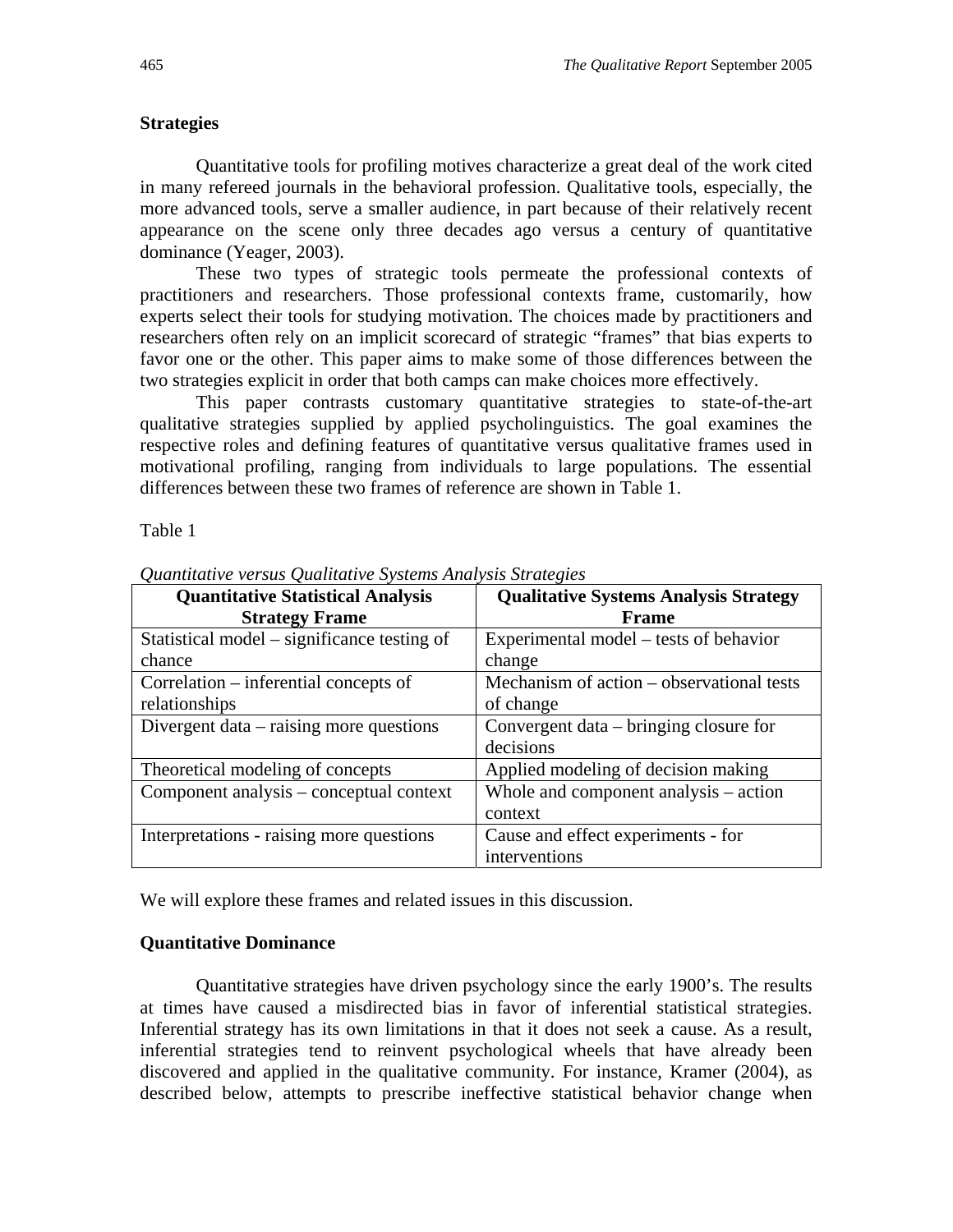#### **Strategies**

Quantitative tools for profiling motives characterize a great deal of the work cited in many refereed journals in the behavioral profession. Qualitative tools, especially, the more advanced tools, serve a smaller audience, in part because of their relatively recent appearance on the scene only three decades ago versus a century of quantitative dominance (Yeager, 2003).

These two types of strategic tools permeate the professional contexts of practitioners and researchers. Those professional contexts frame, customarily, how experts select their tools for studying motivation. The choices made by practitioners and researchers often rely on an implicit scorecard of strategic "frames" that bias experts to favor one or the other. This paper aims to make some of those differences between the two strategies explicit in order that both camps can make choices more effectively.

This paper contrasts customary quantitative strategies to state-of-the-art qualitative strategies supplied by applied psycholinguistics. The goal examines the respective roles and defining features of quantitative versus qualitative frames used in motivational profiling, ranging from individuals to large populations. The essential differences between these two frames of reference are shown in Table 1.

Table 1

| <b>Quantitative Statistical Analysis</b><br><b>Strategy Frame</b> | <b>Qualitative Systems Analysis Strategy</b><br><b>Frame</b> |
|-------------------------------------------------------------------|--------------------------------------------------------------|
| Statistical model – significance testing of                       | Experimental model – tests of behavior                       |
| chance                                                            | change                                                       |
| Correlation – inferential concepts of                             | Mechanism of action – observational tests                    |
| relationships                                                     | of change                                                    |
| Divergent data – raising more questions                           | Convergent data – bringing closure for                       |
|                                                                   | decisions                                                    |
| Theoretical modeling of concepts                                  | Applied modeling of decision making                          |
| Component analysis – conceptual context                           | Whole and component analysis – action                        |
|                                                                   | context                                                      |
| Interpretations - raising more questions                          | Cause and effect experiments - for                           |
|                                                                   | interventions                                                |

*Quantitative versus Qualitative Systems Analysis Strategies* 

We will explore these frames and related issues in this discussion.

#### **Quantitative Dominance**

Quantitative strategies have driven psychology since the early 1900's. The results at times have caused a misdirected bias in favor of inferential statistical strategies. Inferential strategy has its own limitations in that it does not seek a cause. As a result, inferential strategies tend to reinvent psychological wheels that have already been discovered and applied in the qualitative community. For instance, Kramer (2004), as described below, attempts to prescribe ineffective statistical behavior change when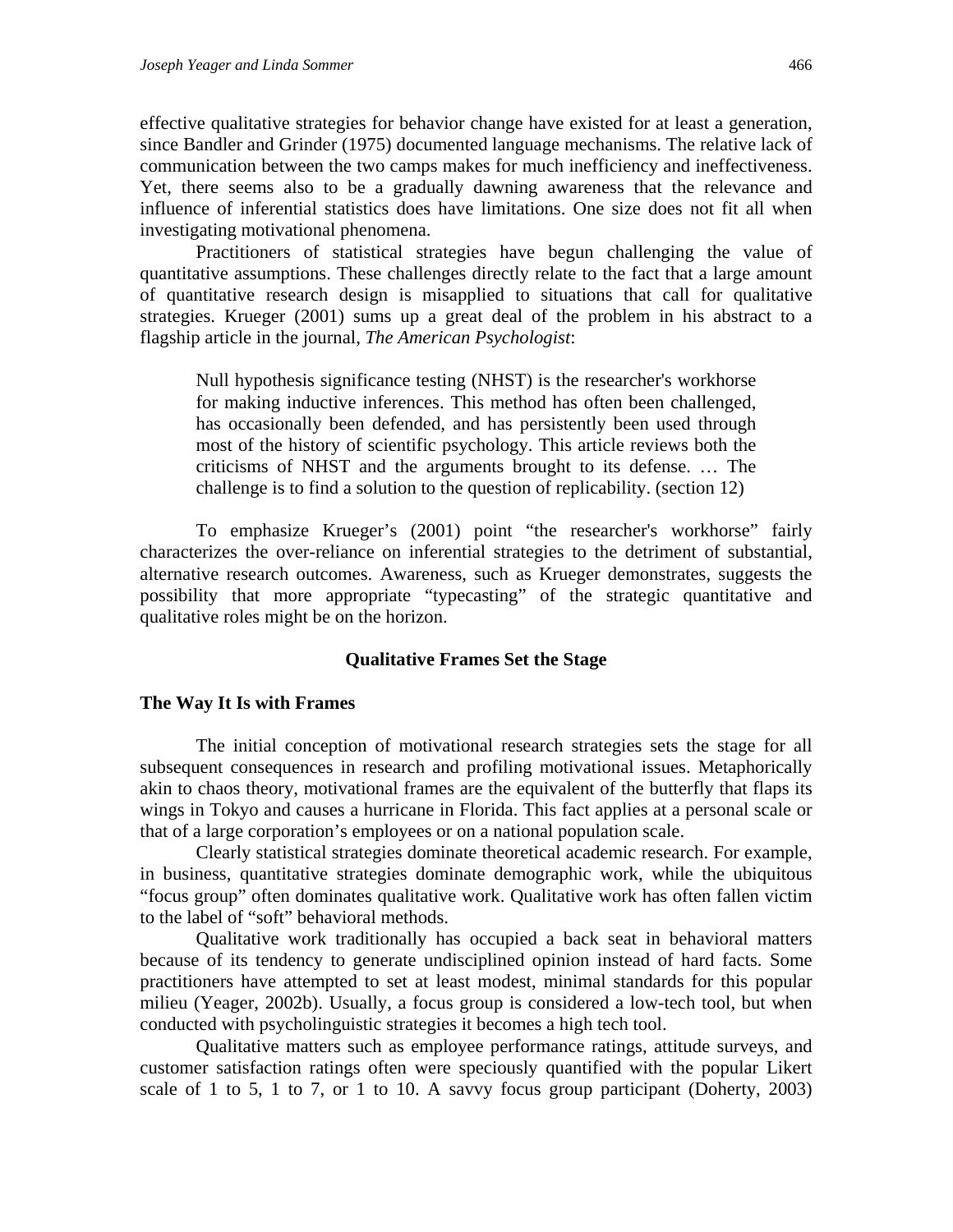effective qualitative strategies for behavior change have existed for at least a generation, since Bandler and Grinder (1975) documented language mechanisms. The relative lack of communication between the two camps makes for much inefficiency and ineffectiveness. Yet, there seems also to be a gradually dawning awareness that the relevance and influence of inferential statistics does have limitations. One size does not fit all when investigating motivational phenomena.

Practitioners of statistical strategies have begun challenging the value of quantitative assumptions. These challenges directly relate to the fact that a large amount of quantitative research design is misapplied to situations that call for qualitative strategies. Krueger (2001) sums up a great deal of the problem in his abstract to a flagship article in the journal, *The American Psychologist*:

Null hypothesis significance testing (NHST) is the researcher's workhorse for making inductive inferences. This method has often been challenged, has occasionally been defended, and has persistently been used through most of the history of scientific psychology. This article reviews both the criticisms of NHST and the arguments brought to its defense. … The challenge is to find a solution to the question of replicability. (section 12)

To emphasize Krueger's (2001) point "the researcher's workhorse" fairly characterizes the over-reliance on inferential strategies to the detriment of substantial, alternative research outcomes. Awareness, such as Krueger demonstrates, suggests the possibility that more appropriate "typecasting" of the strategic quantitative and qualitative roles might be on the horizon.

#### **Qualitative Frames Set the Stage**

#### **The Way It Is with Frames**

The initial conception of motivational research strategies sets the stage for all subsequent consequences in research and profiling motivational issues. Metaphorically akin to chaos theory, motivational frames are the equivalent of the butterfly that flaps its wings in Tokyo and causes a hurricane in Florida. This fact applies at a personal scale or that of a large corporation's employees or on a national population scale.

Clearly statistical strategies dominate theoretical academic research. For example, in business, quantitative strategies dominate demographic work, while the ubiquitous "focus group" often dominates qualitative work. Qualitative work has often fallen victim to the label of "soft" behavioral methods.

Qualitative work traditionally has occupied a back seat in behavioral matters because of its tendency to generate undisciplined opinion instead of hard facts. Some practitioners have attempted to set at least modest, minimal standards for this popular milieu (Yeager, 2002b). Usually, a focus group is considered a low-tech tool, but when conducted with psycholinguistic strategies it becomes a high tech tool.

Qualitative matters such as employee performance ratings, attitude surveys, and customer satisfaction ratings often were speciously quantified with the popular Likert scale of 1 to 5, 1 to 7, or 1 to 10. A savvy focus group participant (Doherty, 2003)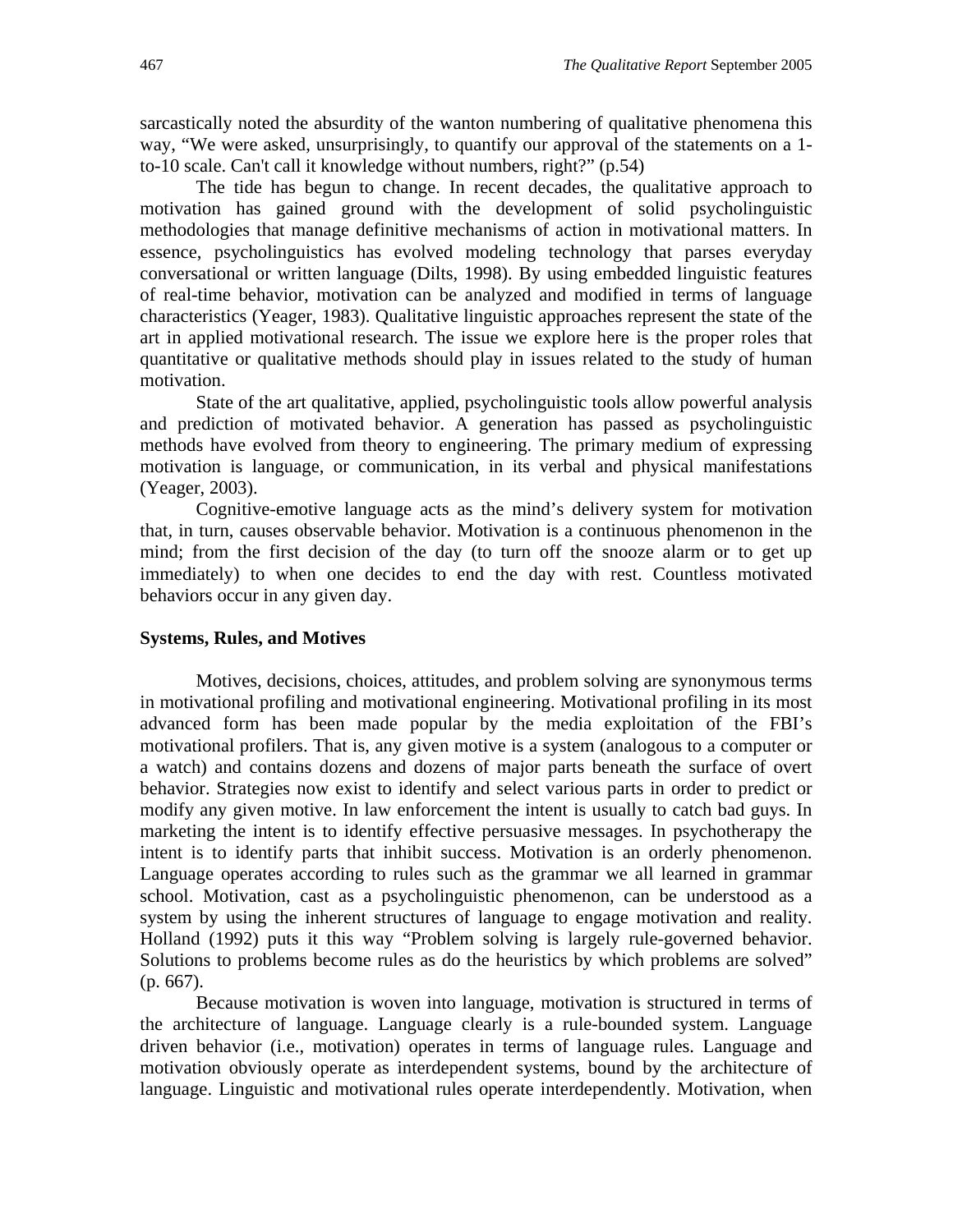sarcastically noted the absurdity of the wanton numbering of qualitative phenomena this way, "We were asked, unsurprisingly, to quantify our approval of the statements on a 1 to-10 scale. Can't call it knowledge without numbers, right?" (p.54)

The tide has begun to change. In recent decades, the qualitative approach to motivation has gained ground with the development of solid psycholinguistic methodologies that manage definitive mechanisms of action in motivational matters. In essence, psycholinguistics has evolved modeling technology that parses everyday conversational or written language (Dilts, 1998). By using embedded linguistic features of real-time behavior, motivation can be analyzed and modified in terms of language characteristics (Yeager, 1983). Qualitative linguistic approaches represent the state of the art in applied motivational research. The issue we explore here is the proper roles that quantitative or qualitative methods should play in issues related to the study of human motivation.

State of the art qualitative, applied, psycholinguistic tools allow powerful analysis and prediction of motivated behavior. A generation has passed as psycholinguistic methods have evolved from theory to engineering. The primary medium of expressing motivation is language, or communication, in its verbal and physical manifestations (Yeager, 2003).

Cognitive-emotive language acts as the mind's delivery system for motivation that, in turn, causes observable behavior. Motivation is a continuous phenomenon in the mind; from the first decision of the day (to turn off the snooze alarm or to get up immediately) to when one decides to end the day with rest. Countless motivated behaviors occur in any given day.

#### **Systems, Rules, and Motives**

Motives, decisions, choices, attitudes, and problem solving are synonymous terms in motivational profiling and motivational engineering. Motivational profiling in its most advanced form has been made popular by the media exploitation of the FBI's motivational profilers. That is, any given motive is a system (analogous to a computer or a watch) and contains dozens and dozens of major parts beneath the surface of overt behavior. Strategies now exist to identify and select various parts in order to predict or modify any given motive. In law enforcement the intent is usually to catch bad guys. In marketing the intent is to identify effective persuasive messages. In psychotherapy the intent is to identify parts that inhibit success. Motivation is an orderly phenomenon. Language operates according to rules such as the grammar we all learned in grammar school. Motivation, cast as a psycholinguistic phenomenon, can be understood as a system by using the inherent structures of language to engage motivation and reality. Holland (1992) puts it this way "Problem solving is largely rule-governed behavior. Solutions to problems become rules as do the heuristics by which problems are solved" (p. 667).

Because motivation is woven into language, motivation is structured in terms of the architecture of language. Language clearly is a rule-bounded system. Language driven behavior (i.e., motivation) operates in terms of language rules. Language and motivation obviously operate as interdependent systems, bound by the architecture of language. Linguistic and motivational rules operate interdependently. Motivation, when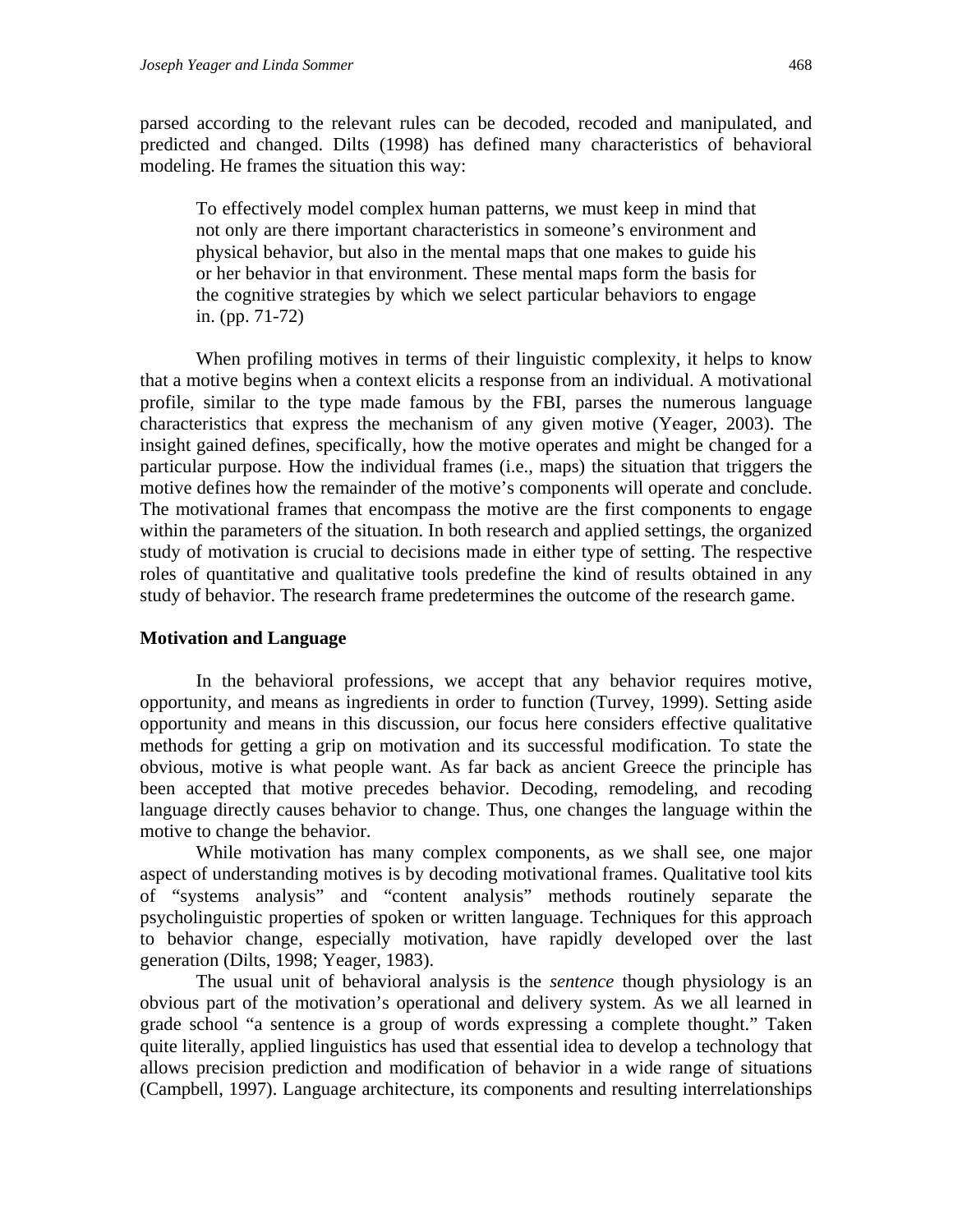parsed according to the relevant rules can be decoded, recoded and manipulated, and predicted and changed. Dilts (1998) has defined many characteristics of behavioral modeling. He frames the situation this way:

To effectively model complex human patterns, we must keep in mind that not only are there important characteristics in someone's environment and physical behavior, but also in the mental maps that one makes to guide his or her behavior in that environment. These mental maps form the basis for the cognitive strategies by which we select particular behaviors to engage in. (pp. 71-72)

When profiling motives in terms of their linguistic complexity, it helps to know that a motive begins when a context elicits a response from an individual. A motivational profile, similar to the type made famous by the FBI, parses the numerous language characteristics that express the mechanism of any given motive (Yeager, 2003). The insight gained defines, specifically, how the motive operates and might be changed for a particular purpose. How the individual frames (i.e., maps) the situation that triggers the motive defines how the remainder of the motive's components will operate and conclude. The motivational frames that encompass the motive are the first components to engage within the parameters of the situation. In both research and applied settings, the organized study of motivation is crucial to decisions made in either type of setting. The respective roles of quantitative and qualitative tools predefine the kind of results obtained in any study of behavior. The research frame predetermines the outcome of the research game.

#### **Motivation and Language**

In the behavioral professions, we accept that any behavior requires motive, opportunity, and means as ingredients in order to function (Turvey, 1999). Setting aside opportunity and means in this discussion, our focus here considers effective qualitative methods for getting a grip on motivation and its successful modification. To state the obvious, motive is what people want. As far back as ancient Greece the principle has been accepted that motive precedes behavior. Decoding, remodeling, and recoding language directly causes behavior to change. Thus, one changes the language within the motive to change the behavior.

While motivation has many complex components, as we shall see, one major aspect of understanding motives is by decoding motivational frames. Qualitative tool kits of "systems analysis" and "content analysis" methods routinely separate the psycholinguistic properties of spoken or written language. Techniques for this approach to behavior change, especially motivation, have rapidly developed over the last generation (Dilts, 1998; Yeager, 1983).

The usual unit of behavioral analysis is the *sentence* though physiology is an obvious part of the motivation's operational and delivery system. As we all learned in grade school "a sentence is a group of words expressing a complete thought." Taken quite literally, applied linguistics has used that essential idea to develop a technology that allows precision prediction and modification of behavior in a wide range of situations (Campbell, 1997). Language architecture, its components and resulting interrelationships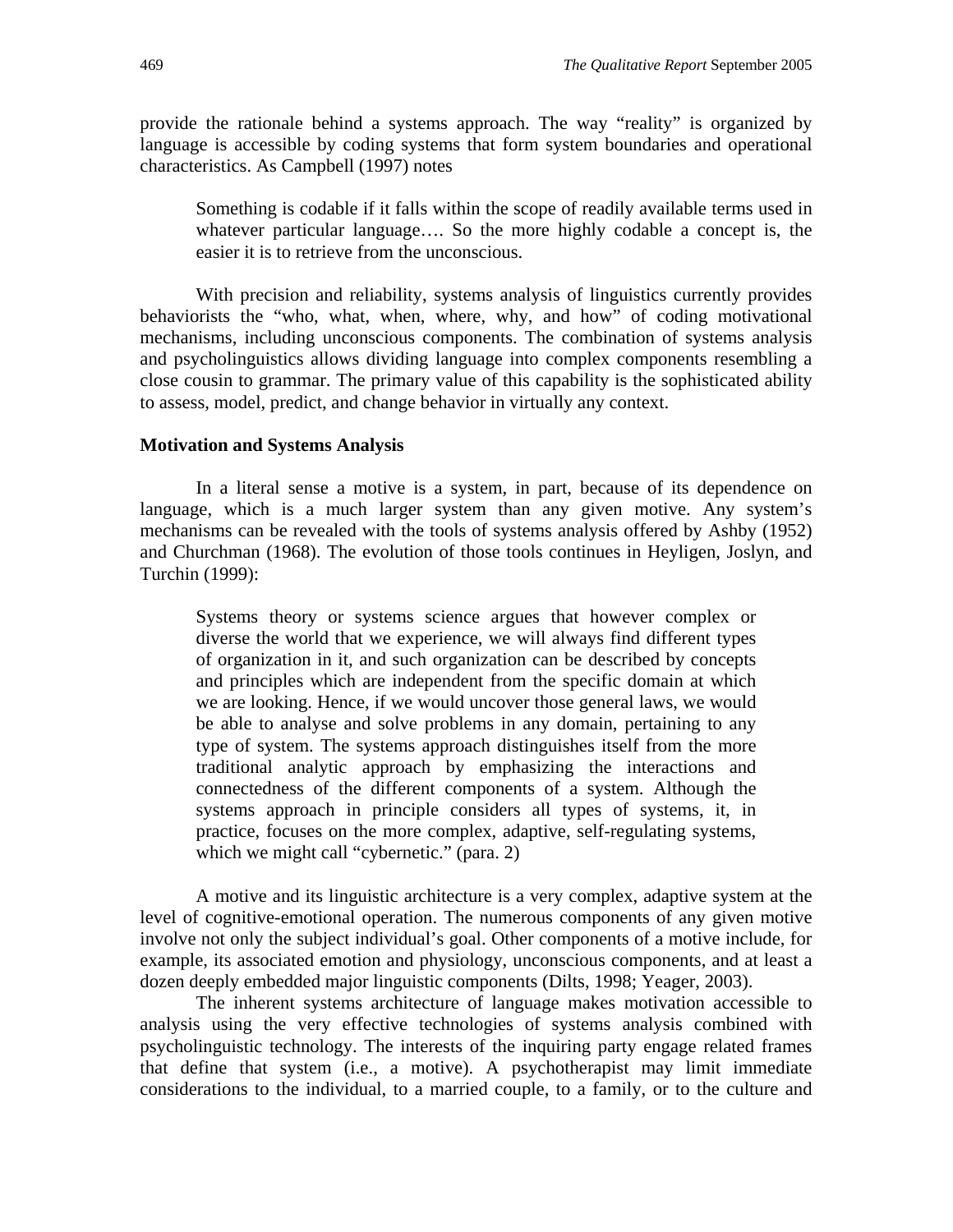provide the rationale behind a systems approach. The way "reality" is organized by language is accessible by coding systems that form system boundaries and operational characteristics. As Campbell (1997) notes

Something is codable if it falls within the scope of readily available terms used in whatever particular language…. So the more highly codable a concept is, the easier it is to retrieve from the unconscious.

With precision and reliability, systems analysis of linguistics currently provides behaviorists the "who, what, when, where, why, and how" of coding motivational mechanisms, including unconscious components. The combination of systems analysis and psycholinguistics allows dividing language into complex components resembling a close cousin to grammar. The primary value of this capability is the sophisticated ability to assess, model, predict, and change behavior in virtually any context.

#### **Motivation and Systems Analysis**

In a literal sense a motive is a system, in part, because of its dependence on language, which is a much larger system than any given motive. Any system's mechanisms can be revealed with the tools of systems analysis offered by Ashby (1952) and Churchman (1968). The evolution of those tools continues in Heyligen, Joslyn, and Turchin (1999):

Systems theory or systems science argues that however complex or diverse the world that we experience, we will always find different types of organization in it, and such organization can be described by concepts and principles which are independent from the specific domain at which we are looking. Hence, if we would uncover those general laws, we would be able to analyse and solve problems in any domain, pertaining to any type of system. The systems approach distinguishes itself from the more traditional analytic approach by emphasizing the interactions and connectedness of the different components of a system. Although the systems approach in principle considers all types of systems, it, in practice, focuses on the more complex, adaptive, self-regulating systems, which we might call "cybernetic." (para. 2)

A motive and its linguistic architecture is a very complex, adaptive system at the level of cognitive-emotional operation. The numerous components of any given motive involve not only the subject individual's goal. Other components of a motive include, for example, its associated emotion and physiology, unconscious components, and at least a dozen deeply embedded major linguistic components (Dilts, 1998; Yeager, 2003).

The inherent systems architecture of language makes motivation accessible to analysis using the very effective technologies of systems analysis combined with psycholinguistic technology. The interests of the inquiring party engage related frames that define that system (i.e., a motive). A psychotherapist may limit immediate considerations to the individual, to a married couple, to a family, or to the culture and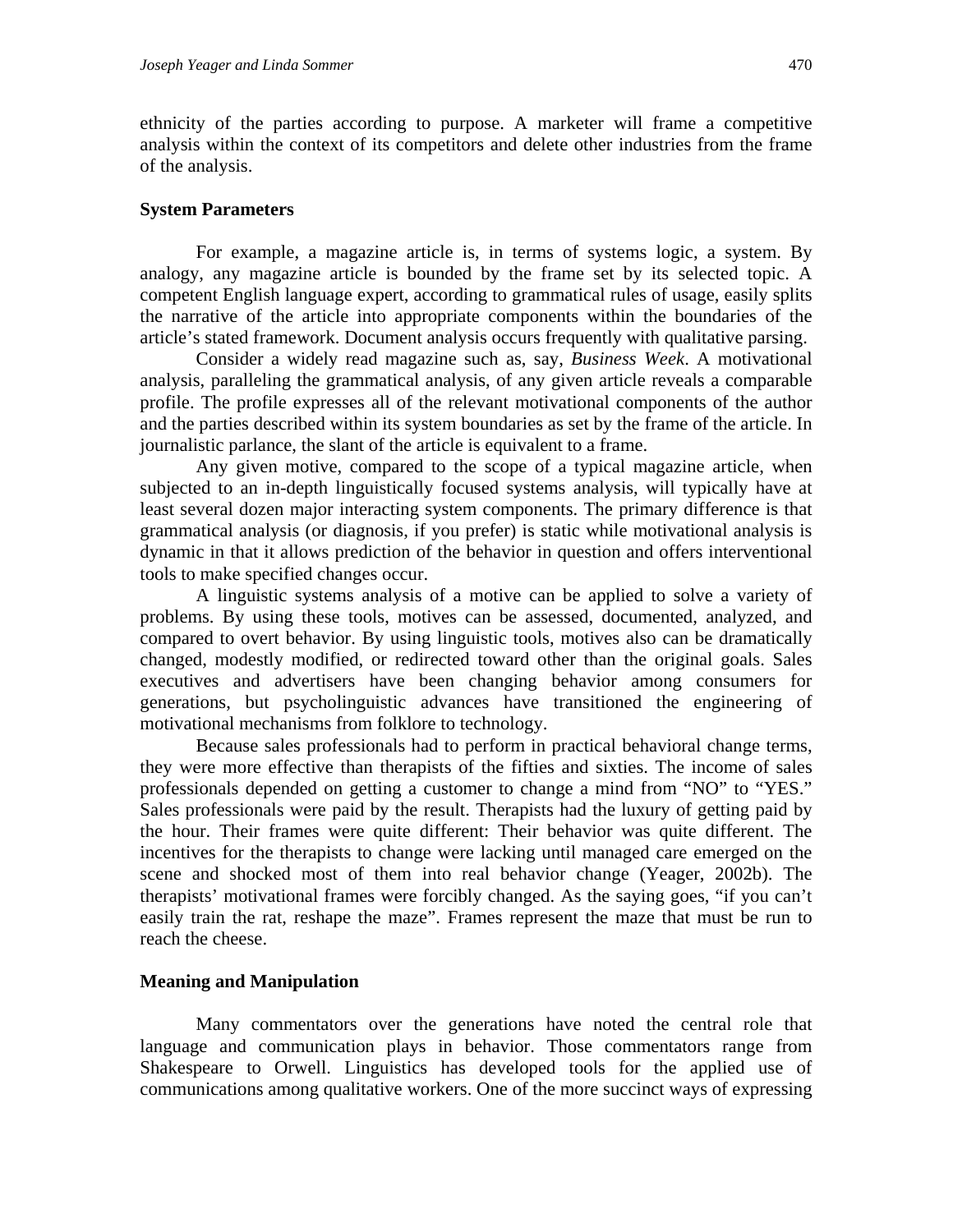ethnicity of the parties according to purpose. A marketer will frame a competitive analysis within the context of its competitors and delete other industries from the frame of the analysis.

#### **System Parameters**

For example, a magazine article is, in terms of systems logic, a system. By analogy, any magazine article is bounded by the frame set by its selected topic. A competent English language expert, according to grammatical rules of usage, easily splits the narrative of the article into appropriate components within the boundaries of the article's stated framework. Document analysis occurs frequently with qualitative parsing.

Consider a widely read magazine such as, say, *Business Week*. A motivational analysis, paralleling the grammatical analysis, of any given article reveals a comparable profile. The profile expresses all of the relevant motivational components of the author and the parties described within its system boundaries as set by the frame of the article. In journalistic parlance, the slant of the article is equivalent to a frame.

Any given motive, compared to the scope of a typical magazine article, when subjected to an in-depth linguistically focused systems analysis, will typically have at least several dozen major interacting system components. The primary difference is that grammatical analysis (or diagnosis, if you prefer) is static while motivational analysis is dynamic in that it allows prediction of the behavior in question and offers interventional tools to make specified changes occur.

A linguistic systems analysis of a motive can be applied to solve a variety of problems. By using these tools, motives can be assessed, documented, analyzed, and compared to overt behavior. By using linguistic tools, motives also can be dramatically changed, modestly modified, or redirected toward other than the original goals. Sales executives and advertisers have been changing behavior among consumers for generations, but psycholinguistic advances have transitioned the engineering of motivational mechanisms from folklore to technology.

Because sales professionals had to perform in practical behavioral change terms, they were more effective than therapists of the fifties and sixties. The income of sales professionals depended on getting a customer to change a mind from "NO" to "YES." Sales professionals were paid by the result. Therapists had the luxury of getting paid by the hour. Their frames were quite different: Their behavior was quite different. The incentives for the therapists to change were lacking until managed care emerged on the scene and shocked most of them into real behavior change (Yeager, 2002b). The therapists' motivational frames were forcibly changed. As the saying goes, "if you can't easily train the rat, reshape the maze". Frames represent the maze that must be run to reach the cheese.

#### **Meaning and Manipulation**

Many commentators over the generations have noted the central role that language and communication plays in behavior. Those commentators range from Shakespeare to Orwell. Linguistics has developed tools for the applied use of communications among qualitative workers. One of the more succinct ways of expressing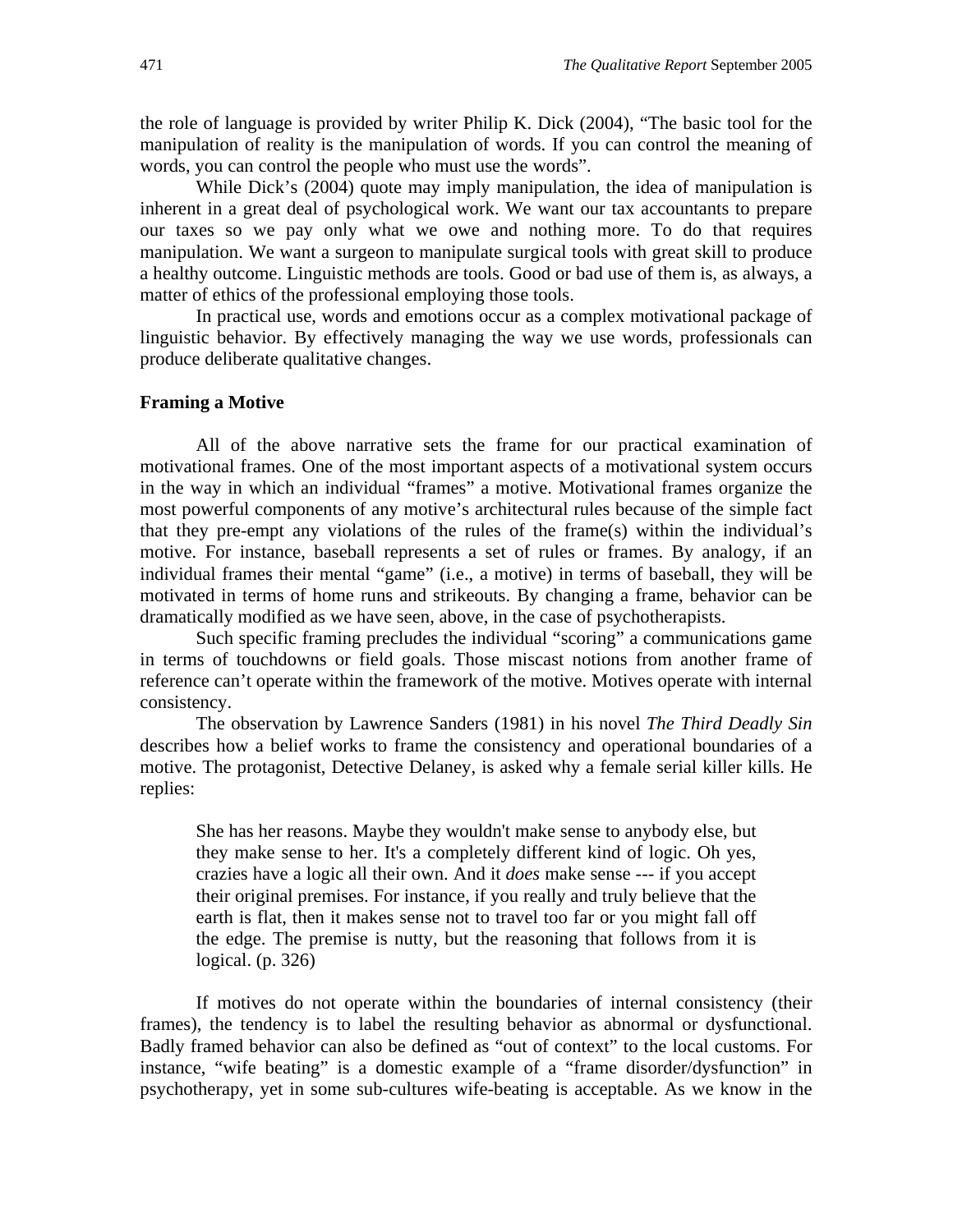the role of language is provided by writer Philip K. Dick (2004), "The basic tool for the manipulation of reality is the manipulation of words. If you can control the meaning of words, you can control the people who must use the words".

While Dick's (2004) quote may imply manipulation, the idea of manipulation is inherent in a great deal of psychological work. We want our tax accountants to prepare our taxes so we pay only what we owe and nothing more. To do that requires manipulation. We want a surgeon to manipulate surgical tools with great skill to produce a healthy outcome. Linguistic methods are tools. Good or bad use of them is, as always, a matter of ethics of the professional employing those tools.

In practical use, words and emotions occur as a complex motivational package of linguistic behavior. By effectively managing the way we use words, professionals can produce deliberate qualitative changes.

#### **Framing a Motive**

All of the above narrative sets the frame for our practical examination of motivational frames. One of the most important aspects of a motivational system occurs in the way in which an individual "frames" a motive. Motivational frames organize the most powerful components of any motive's architectural rules because of the simple fact that they pre-empt any violations of the rules of the frame(s) within the individual's motive. For instance, baseball represents a set of rules or frames. By analogy, if an individual frames their mental "game" (i.e., a motive) in terms of baseball, they will be motivated in terms of home runs and strikeouts. By changing a frame, behavior can be dramatically modified as we have seen, above, in the case of psychotherapists.

Such specific framing precludes the individual "scoring" a communications game in terms of touchdowns or field goals. Those miscast notions from another frame of reference can't operate within the framework of the motive. Motives operate with internal consistency.

The observation by Lawrence Sanders (1981) in his novel *The Third Deadly Sin* describes how a belief works to frame the consistency and operational boundaries of a motive. The protagonist, Detective Delaney, is asked why a female serial killer kills. He replies:

She has her reasons. Maybe they wouldn't make sense to anybody else, but they make sense to her. It's a completely different kind of logic. Oh yes, crazies have a logic all their own. And it *does* make sense --- if you accept their original premises. For instance, if you really and truly believe that the earth is flat, then it makes sense not to travel too far or you might fall off the edge. The premise is nutty, but the reasoning that follows from it is logical. (p. 326)

If motives do not operate within the boundaries of internal consistency (their frames), the tendency is to label the resulting behavior as abnormal or dysfunctional. Badly framed behavior can also be defined as "out of context" to the local customs. For instance, "wife beating" is a domestic example of a "frame disorder/dysfunction" in psychotherapy, yet in some sub-cultures wife-beating is acceptable. As we know in the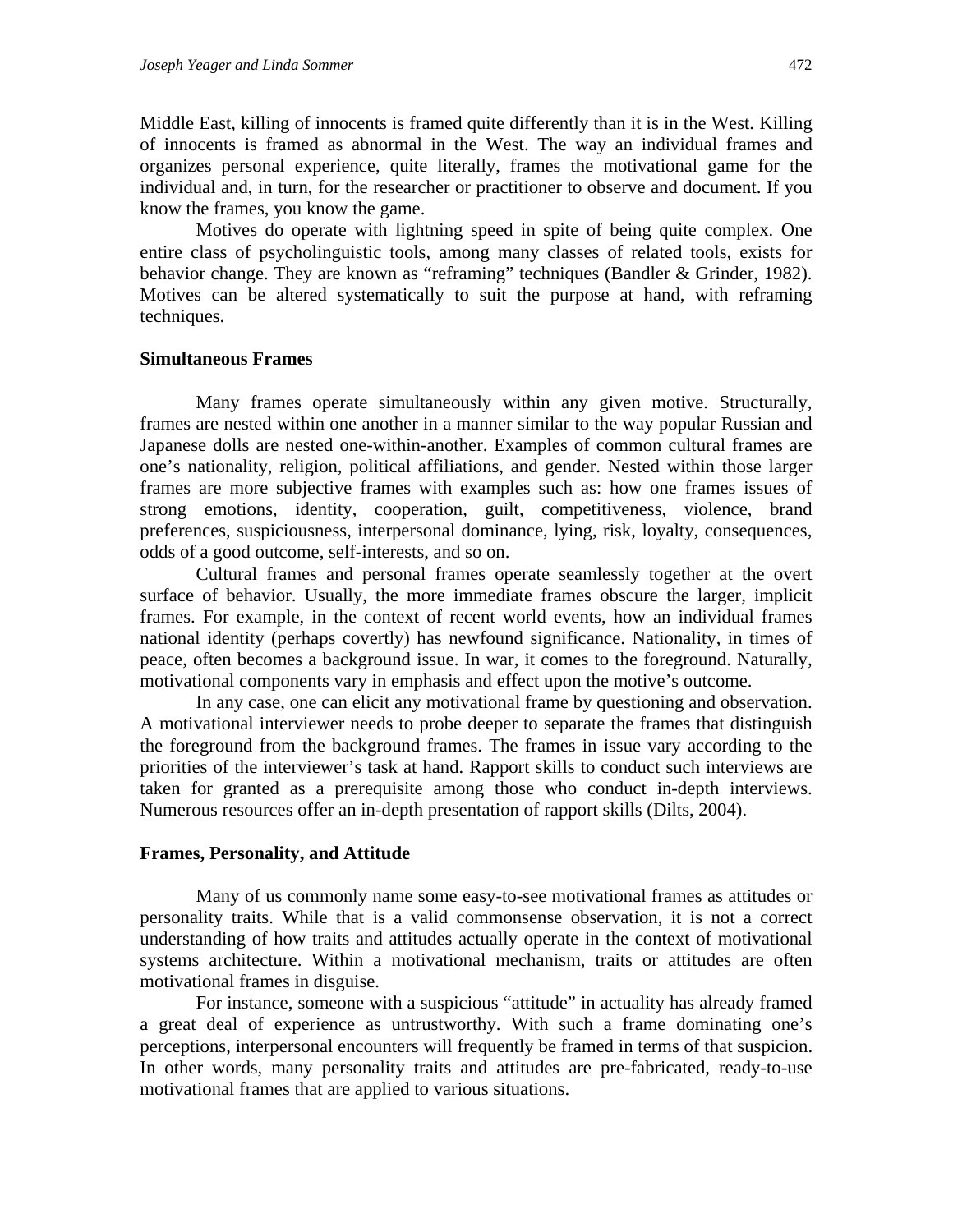Middle East, killing of innocents is framed quite differently than it is in the West. Killing of innocents is framed as abnormal in the West. The way an individual frames and organizes personal experience, quite literally, frames the motivational game for the individual and, in turn, for the researcher or practitioner to observe and document. If you know the frames, you know the game.

Motives do operate with lightning speed in spite of being quite complex. One entire class of psycholinguistic tools, among many classes of related tools, exists for behavior change. They are known as "reframing" techniques (Bandler & Grinder, 1982). Motives can be altered systematically to suit the purpose at hand, with reframing techniques.

#### **Simultaneous Frames**

Many frames operate simultaneously within any given motive. Structurally, frames are nested within one another in a manner similar to the way popular Russian and Japanese dolls are nested one-within-another. Examples of common cultural frames are one's nationality, religion, political affiliations, and gender. Nested within those larger frames are more subjective frames with examples such as: how one frames issues of strong emotions, identity, cooperation, guilt, competitiveness, violence, brand preferences, suspiciousness, interpersonal dominance, lying, risk, loyalty, consequences, odds of a good outcome, self-interests, and so on.

Cultural frames and personal frames operate seamlessly together at the overt surface of behavior. Usually, the more immediate frames obscure the larger, implicit frames. For example, in the context of recent world events, how an individual frames national identity (perhaps covertly) has newfound significance. Nationality, in times of peace, often becomes a background issue. In war, it comes to the foreground. Naturally, motivational components vary in emphasis and effect upon the motive's outcome.

In any case, one can elicit any motivational frame by questioning and observation. A motivational interviewer needs to probe deeper to separate the frames that distinguish the foreground from the background frames. The frames in issue vary according to the priorities of the interviewer's task at hand. Rapport skills to conduct such interviews are taken for granted as a prerequisite among those who conduct in-depth interviews. Numerous resources offer an in-depth presentation of rapport skills (Dilts, 2004).

#### **Frames, Personality, and Attitude**

Many of us commonly name some easy-to-see motivational frames as attitudes or personality traits. While that is a valid commonsense observation, it is not a correct understanding of how traits and attitudes actually operate in the context of motivational systems architecture. Within a motivational mechanism, traits or attitudes are often motivational frames in disguise.

For instance, someone with a suspicious "attitude" in actuality has already framed a great deal of experience as untrustworthy. With such a frame dominating one's perceptions, interpersonal encounters will frequently be framed in terms of that suspicion. In other words, many personality traits and attitudes are pre-fabricated, ready-to-use motivational frames that are applied to various situations.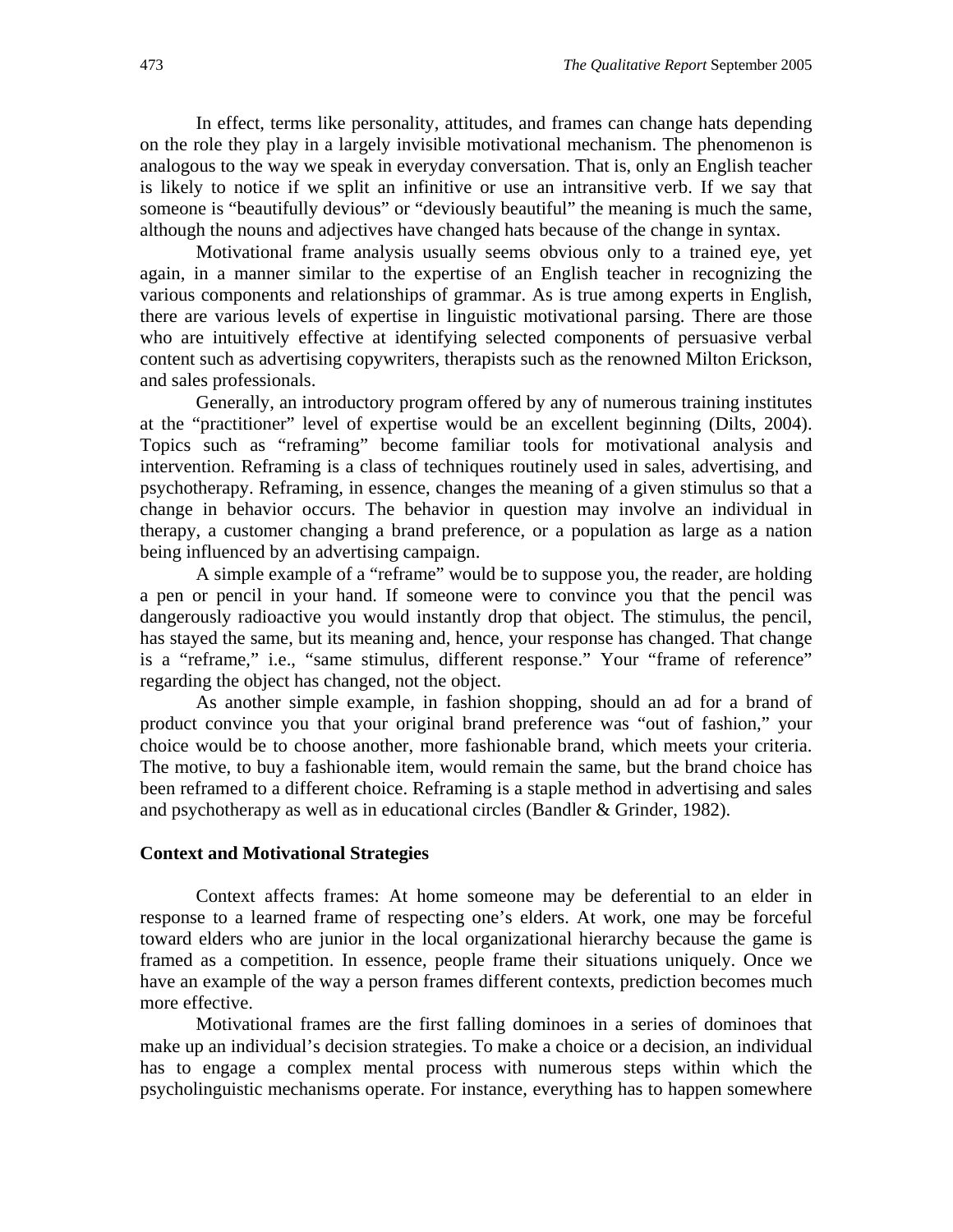In effect, terms like personality, attitudes, and frames can change hats depending on the role they play in a largely invisible motivational mechanism. The phenomenon is analogous to the way we speak in everyday conversation. That is, only an English teacher is likely to notice if we split an infinitive or use an intransitive verb. If we say that someone is "beautifully devious" or "deviously beautiful" the meaning is much the same, although the nouns and adjectives have changed hats because of the change in syntax.

Motivational frame analysis usually seems obvious only to a trained eye, yet again, in a manner similar to the expertise of an English teacher in recognizing the various components and relationships of grammar. As is true among experts in English, there are various levels of expertise in linguistic motivational parsing. There are those who are intuitively effective at identifying selected components of persuasive verbal content such as advertising copywriters, therapists such as the renowned Milton Erickson, and sales professionals.

Generally, an introductory program offered by any of numerous training institutes at the "practitioner" level of expertise would be an excellent beginning (Dilts, 2004). Topics such as "reframing" become familiar tools for motivational analysis and intervention. Reframing is a class of techniques routinely used in sales, advertising, and psychotherapy. Reframing, in essence, changes the meaning of a given stimulus so that a change in behavior occurs. The behavior in question may involve an individual in therapy, a customer changing a brand preference, or a population as large as a nation being influenced by an advertising campaign.

A simple example of a "reframe" would be to suppose you, the reader, are holding a pen or pencil in your hand. If someone were to convince you that the pencil was dangerously radioactive you would instantly drop that object. The stimulus, the pencil, has stayed the same, but its meaning and, hence, your response has changed. That change is a "reframe," i.e., "same stimulus, different response." Your "frame of reference" regarding the object has changed, not the object.

As another simple example, in fashion shopping, should an ad for a brand of product convince you that your original brand preference was "out of fashion," your choice would be to choose another, more fashionable brand, which meets your criteria. The motive, to buy a fashionable item, would remain the same, but the brand choice has been reframed to a different choice. Reframing is a staple method in advertising and sales and psychotherapy as well as in educational circles (Bandler & Grinder, 1982).

#### **Context and Motivational Strategies**

Context affects frames: At home someone may be deferential to an elder in response to a learned frame of respecting one's elders. At work, one may be forceful toward elders who are junior in the local organizational hierarchy because the game is framed as a competition. In essence, people frame their situations uniquely. Once we have an example of the way a person frames different contexts, prediction becomes much more effective.

Motivational frames are the first falling dominoes in a series of dominoes that make up an individual's decision strategies. To make a choice or a decision, an individual has to engage a complex mental process with numerous steps within which the psycholinguistic mechanisms operate. For instance, everything has to happen somewhere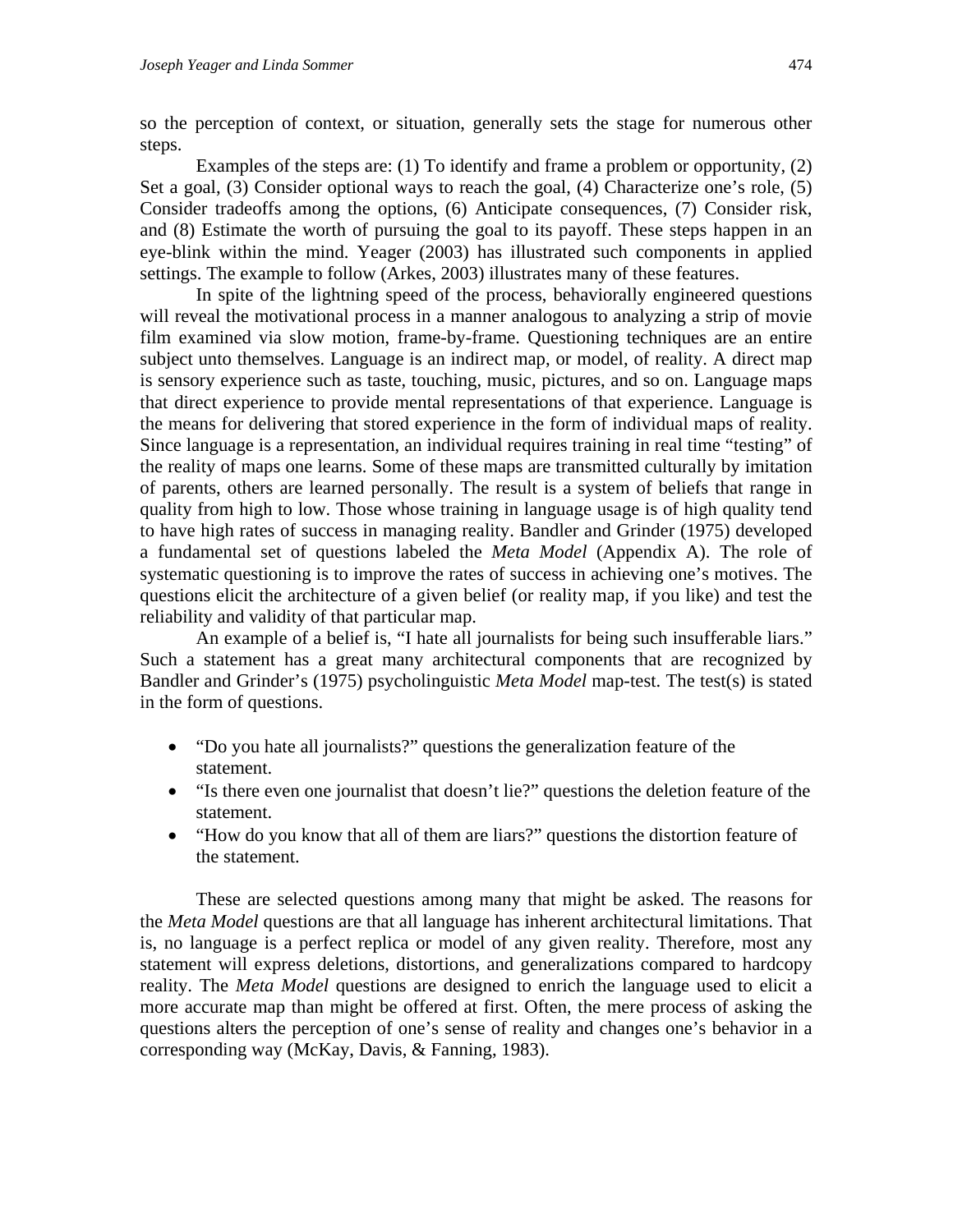so the perception of context, or situation, generally sets the stage for numerous other steps.

Examples of the steps are: (1) To identify and frame a problem or opportunity, (2) Set a goal, (3) Consider optional ways to reach the goal, (4) Characterize one's role, (5) Consider tradeoffs among the options, (6) Anticipate consequences, (7) Consider risk, and (8) Estimate the worth of pursuing the goal to its payoff. These steps happen in an eye-blink within the mind. Yeager (2003) has illustrated such components in applied settings. The example to follow (Arkes, 2003) illustrates many of these features.

In spite of the lightning speed of the process, behaviorally engineered questions will reveal the motivational process in a manner analogous to analyzing a strip of movie film examined via slow motion, frame-by-frame. Questioning techniques are an entire subject unto themselves. Language is an indirect map, or model, of reality. A direct map is sensory experience such as taste, touching, music, pictures, and so on. Language maps that direct experience to provide mental representations of that experience. Language is the means for delivering that stored experience in the form of individual maps of reality. Since language is a representation, an individual requires training in real time "testing" of the reality of maps one learns. Some of these maps are transmitted culturally by imitation of parents, others are learned personally. The result is a system of beliefs that range in quality from high to low. Those whose training in language usage is of high quality tend to have high rates of success in managing reality. Bandler and Grinder (1975) developed a fundamental set of questions labeled the *Meta Model* (Appendix A). The role of systematic questioning is to improve the rates of success in achieving one's motives. The questions elicit the architecture of a given belief (or reality map, if you like) and test the reliability and validity of that particular map.

An example of a belief is, "I hate all journalists for being such insufferable liars." Such a statement has a great many architectural components that are recognized by Bandler and Grinder's (1975) psycholinguistic *Meta Model* map-test. The test(s) is stated in the form of questions.

- "Do you hate all journalists?" questions the generalization feature of the statement.
- "Is there even one journalist that doesn't lie?" questions the deletion feature of the statement.
- "How do you know that all of them are liars?" questions the distortion feature of the statement.

These are selected questions among many that might be asked. The reasons for the *Meta Model* questions are that all language has inherent architectural limitations. That is, no language is a perfect replica or model of any given reality. Therefore, most any statement will express deletions, distortions, and generalizations compared to hardcopy reality. The *Meta Model* questions are designed to enrich the language used to elicit a more accurate map than might be offered at first. Often, the mere process of asking the questions alters the perception of one's sense of reality and changes one's behavior in a corresponding way (McKay, Davis, & Fanning, 1983).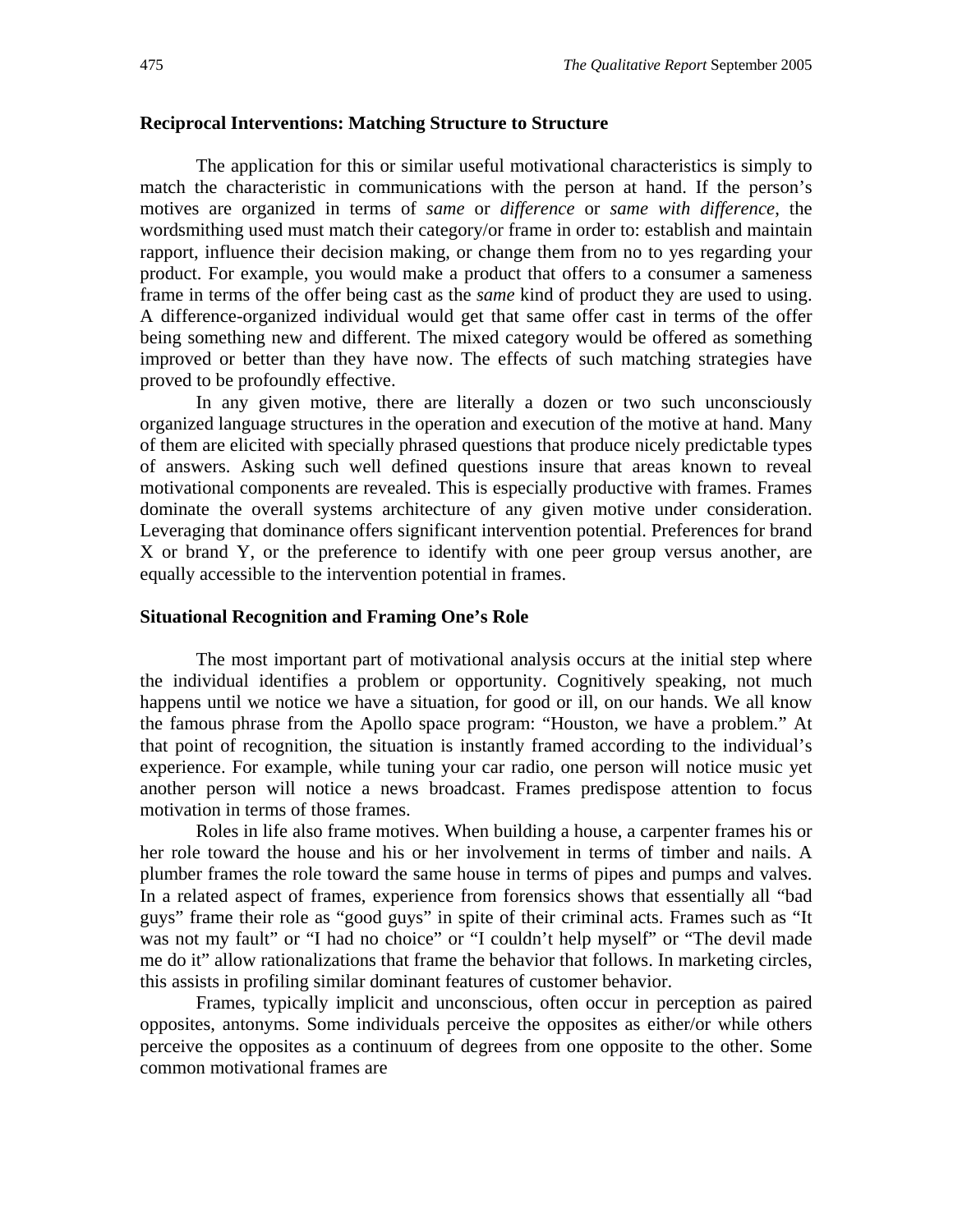#### **Reciprocal Interventions: Matching Structure to Structure**

The application for this or similar useful motivational characteristics is simply to match the characteristic in communications with the person at hand. If the person's motives are organized in terms of *same* or *difference* or *same with difference*, the wordsmithing used must match their category/or frame in order to: establish and maintain rapport, influence their decision making, or change them from no to yes regarding your product. For example, you would make a product that offers to a consumer a sameness frame in terms of the offer being cast as the *same* kind of product they are used to using. A difference-organized individual would get that same offer cast in terms of the offer being something new and different. The mixed category would be offered as something improved or better than they have now. The effects of such matching strategies have proved to be profoundly effective.

In any given motive, there are literally a dozen or two such unconsciously organized language structures in the operation and execution of the motive at hand. Many of them are elicited with specially phrased questions that produce nicely predictable types of answers. Asking such well defined questions insure that areas known to reveal motivational components are revealed. This is especially productive with frames. Frames dominate the overall systems architecture of any given motive under consideration. Leveraging that dominance offers significant intervention potential. Preferences for brand X or brand Y, or the preference to identify with one peer group versus another, are equally accessible to the intervention potential in frames.

#### **Situational Recognition and Framing One's Role**

The most important part of motivational analysis occurs at the initial step where the individual identifies a problem or opportunity. Cognitively speaking, not much happens until we notice we have a situation, for good or ill, on our hands. We all know the famous phrase from the Apollo space program: "Houston, we have a problem." At that point of recognition, the situation is instantly framed according to the individual's experience. For example, while tuning your car radio, one person will notice music yet another person will notice a news broadcast. Frames predispose attention to focus motivation in terms of those frames.

Roles in life also frame motives. When building a house, a carpenter frames his or her role toward the house and his or her involvement in terms of timber and nails. A plumber frames the role toward the same house in terms of pipes and pumps and valves. In a related aspect of frames, experience from forensics shows that essentially all "bad guys" frame their role as "good guys" in spite of their criminal acts. Frames such as "It was not my fault" or "I had no choice" or "I couldn't help myself" or "The devil made me do it" allow rationalizations that frame the behavior that follows. In marketing circles, this assists in profiling similar dominant features of customer behavior.

Frames, typically implicit and unconscious, often occur in perception as paired opposites, antonyms. Some individuals perceive the opposites as either/or while others perceive the opposites as a continuum of degrees from one opposite to the other. Some common motivational frames are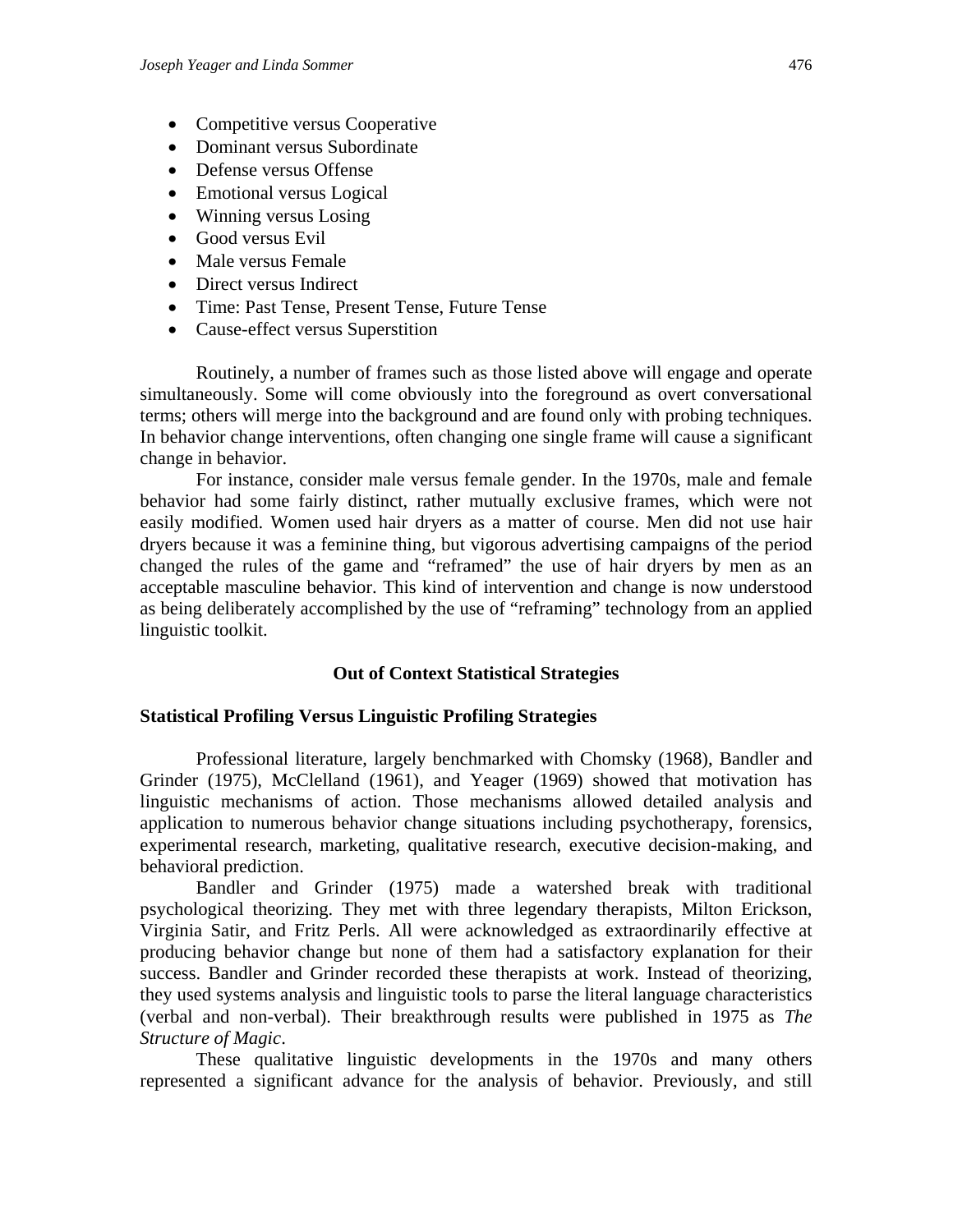- Competitive versus Cooperative
- Dominant versus Subordinate
- Defense versus Offense
- Emotional versus Logical
- Winning versus Losing
- Good versus Evil
- Male versus Female
- Direct versus Indirect
- Time: Past Tense, Present Tense, Future Tense
- Cause-effect versus Superstition

Routinely, a number of frames such as those listed above will engage and operate simultaneously. Some will come obviously into the foreground as overt conversational terms; others will merge into the background and are found only with probing techniques. In behavior change interventions, often changing one single frame will cause a significant change in behavior.

For instance, consider male versus female gender. In the 1970s, male and female behavior had some fairly distinct, rather mutually exclusive frames, which were not easily modified. Women used hair dryers as a matter of course. Men did not use hair dryers because it was a feminine thing, but vigorous advertising campaigns of the period changed the rules of the game and "reframed" the use of hair dryers by men as an acceptable masculine behavior. This kind of intervention and change is now understood as being deliberately accomplished by the use of "reframing" technology from an applied linguistic toolkit.

#### **Out of Context Statistical Strategies**

#### **Statistical Profiling Versus Linguistic Profiling Strategies**

Professional literature, largely benchmarked with Chomsky (1968), Bandler and Grinder (1975), McClelland (1961), and Yeager (1969) showed that motivation has linguistic mechanisms of action. Those mechanisms allowed detailed analysis and application to numerous behavior change situations including psychotherapy, forensics, experimental research, marketing, qualitative research, executive decision-making, and behavioral prediction.

Bandler and Grinder (1975) made a watershed break with traditional psychological theorizing. They met with three legendary therapists, Milton Erickson, Virginia Satir, and Fritz Perls. All were acknowledged as extraordinarily effective at producing behavior change but none of them had a satisfactory explanation for their success. Bandler and Grinder recorded these therapists at work. Instead of theorizing, they used systems analysis and linguistic tools to parse the literal language characteristics (verbal and non-verbal). Their breakthrough results were published in 1975 as *The Structure of Magic*.

These qualitative linguistic developments in the 1970s and many others represented a significant advance for the analysis of behavior. Previously, and still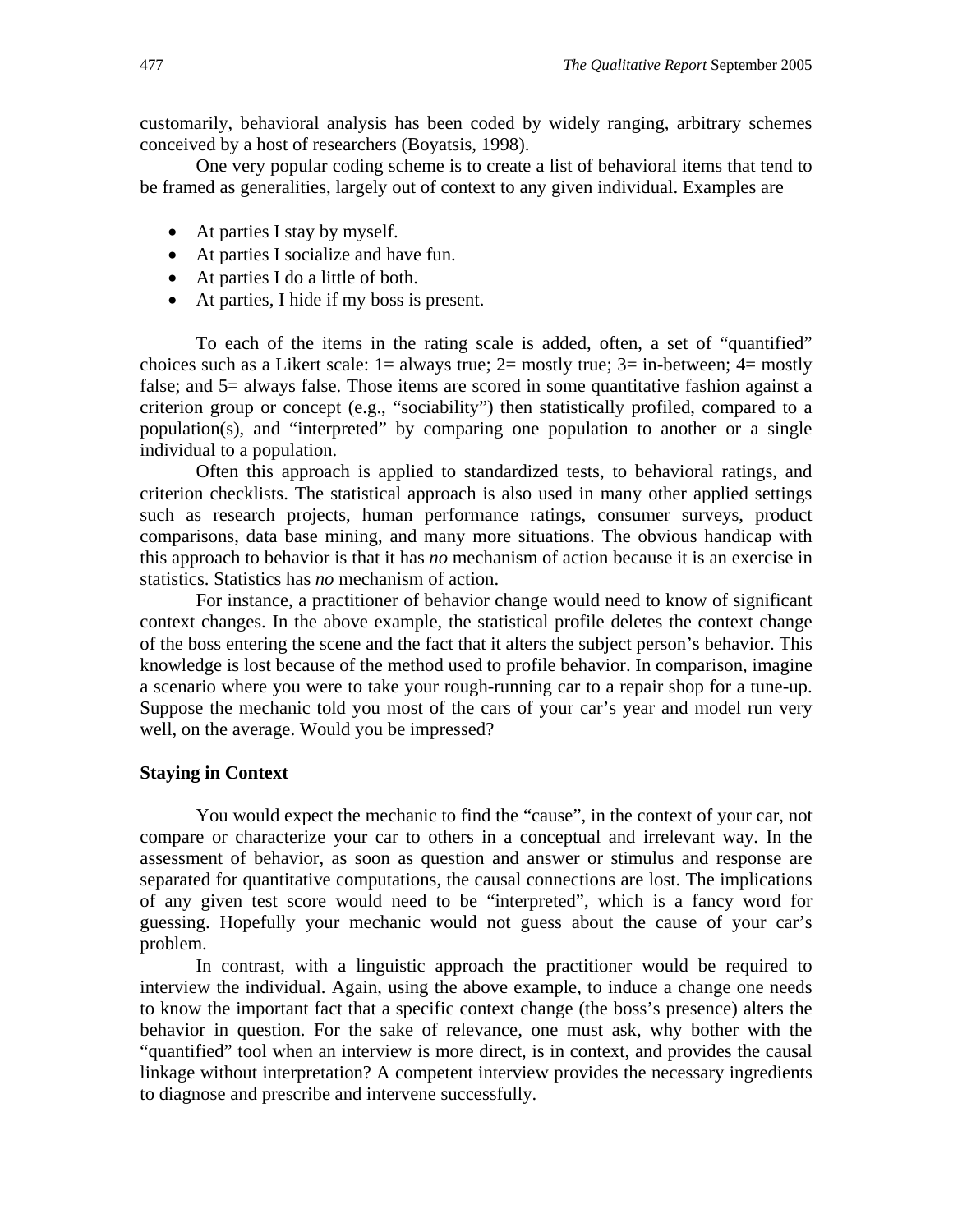customarily, behavioral analysis has been coded by widely ranging, arbitrary schemes conceived by a host of researchers (Boyatsis, 1998).

One very popular coding scheme is to create a list of behavioral items that tend to be framed as generalities, largely out of context to any given individual. Examples are

- At parties I stay by myself.
- At parties I socialize and have fun.
- At parties I do a little of both.
- At parties, I hide if my boss is present.

To each of the items in the rating scale is added, often, a set of "quantified" choices such as a Likert scale:  $1 =$  always true;  $2 =$  mostly true;  $3 =$  in-between;  $4 =$  mostly false; and 5= always false. Those items are scored in some quantitative fashion against a criterion group or concept (e.g., "sociability") then statistically profiled, compared to a population(s), and "interpreted" by comparing one population to another or a single individual to a population.

Often this approach is applied to standardized tests, to behavioral ratings, and criterion checklists. The statistical approach is also used in many other applied settings such as research projects, human performance ratings, consumer surveys, product comparisons, data base mining, and many more situations. The obvious handicap with this approach to behavior is that it has *no* mechanism of action because it is an exercise in statistics. Statistics has *no* mechanism of action.

For instance, a practitioner of behavior change would need to know of significant context changes. In the above example, the statistical profile deletes the context change of the boss entering the scene and the fact that it alters the subject person's behavior. This knowledge is lost because of the method used to profile behavior. In comparison, imagine a scenario where you were to take your rough-running car to a repair shop for a tune-up. Suppose the mechanic told you most of the cars of your car's year and model run very well, on the average. Would you be impressed?

#### **Staying in Context**

You would expect the mechanic to find the "cause", in the context of your car, not compare or characterize your car to others in a conceptual and irrelevant way. In the assessment of behavior, as soon as question and answer or stimulus and response are separated for quantitative computations, the causal connections are lost. The implications of any given test score would need to be "interpreted", which is a fancy word for guessing. Hopefully your mechanic would not guess about the cause of your car's problem.

In contrast, with a linguistic approach the practitioner would be required to interview the individual. Again, using the above example, to induce a change one needs to know the important fact that a specific context change (the boss's presence) alters the behavior in question. For the sake of relevance, one must ask, why bother with the "quantified" tool when an interview is more direct, is in context, and provides the causal linkage without interpretation? A competent interview provides the necessary ingredients to diagnose and prescribe and intervene successfully.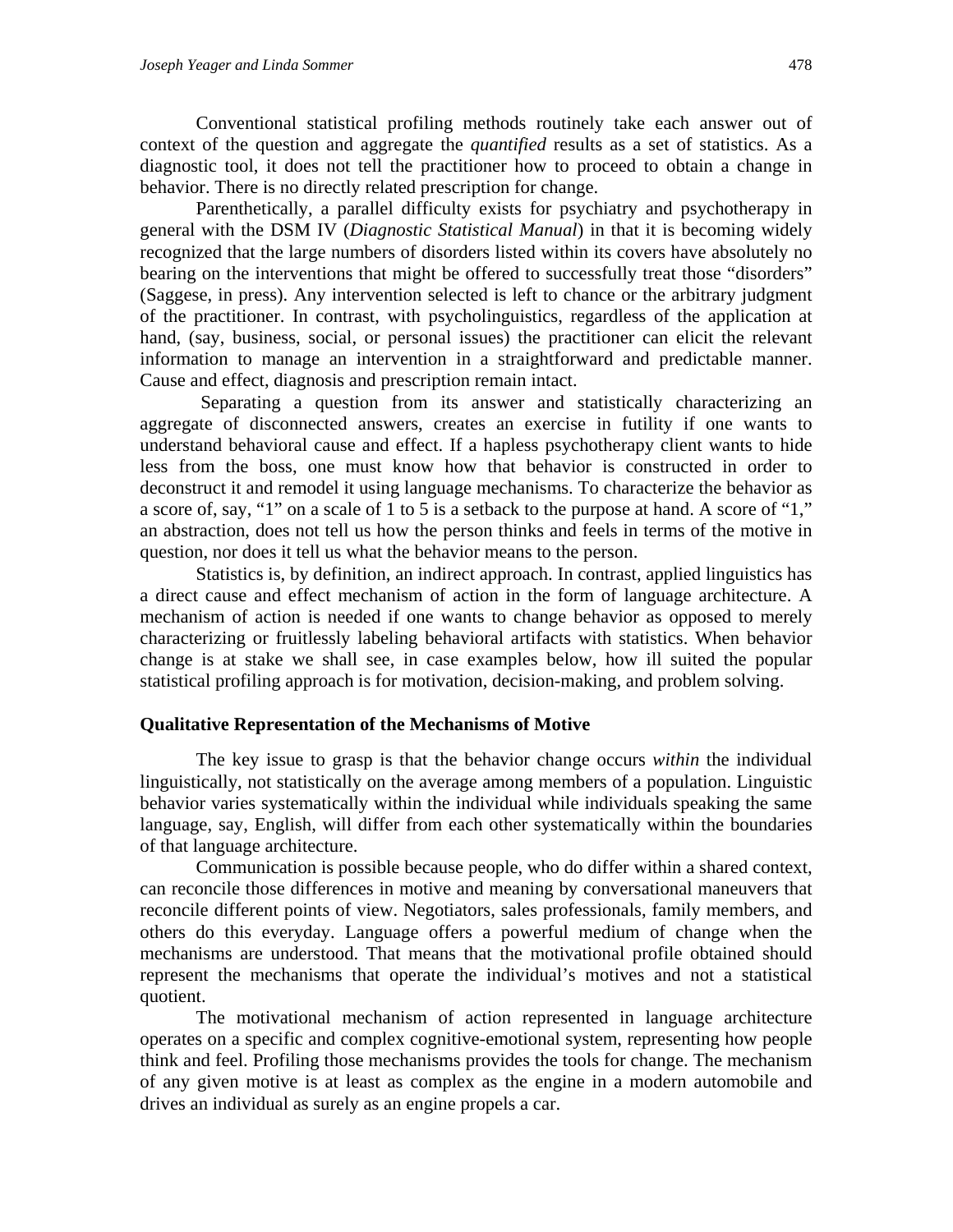Conventional statistical profiling methods routinely take each answer out of context of the question and aggregate the *quantified* results as a set of statistics. As a diagnostic tool, it does not tell the practitioner how to proceed to obtain a change in behavior. There is no directly related prescription for change.

Parenthetically, a parallel difficulty exists for psychiatry and psychotherapy in general with the DSM IV (*Diagnostic Statistical Manual*) in that it is becoming widely recognized that the large numbers of disorders listed within its covers have absolutely no bearing on the interventions that might be offered to successfully treat those "disorders" (Saggese, in press). Any intervention selected is left to chance or the arbitrary judgment of the practitioner. In contrast, with psycholinguistics, regardless of the application at hand, (say, business, social, or personal issues) the practitioner can elicit the relevant information to manage an intervention in a straightforward and predictable manner. Cause and effect, diagnosis and prescription remain intact.

Separating a question from its answer and statistically characterizing an aggregate of disconnected answers, creates an exercise in futility if one wants to understand behavioral cause and effect. If a hapless psychotherapy client wants to hide less from the boss, one must know how that behavior is constructed in order to deconstruct it and remodel it using language mechanisms. To characterize the behavior as a score of, say, "1" on a scale of 1 to 5 is a setback to the purpose at hand. A score of "1," an abstraction, does not tell us how the person thinks and feels in terms of the motive in question, nor does it tell us what the behavior means to the person.

Statistics is, by definition, an indirect approach. In contrast, applied linguistics has a direct cause and effect mechanism of action in the form of language architecture. A mechanism of action is needed if one wants to change behavior as opposed to merely characterizing or fruitlessly labeling behavioral artifacts with statistics. When behavior change is at stake we shall see, in case examples below, how ill suited the popular statistical profiling approach is for motivation, decision-making, and problem solving.

#### **Qualitative Representation of the Mechanisms of Motive**

The key issue to grasp is that the behavior change occurs *within* the individual linguistically, not statistically on the average among members of a population. Linguistic behavior varies systematically within the individual while individuals speaking the same language, say, English, will differ from each other systematically within the boundaries of that language architecture.

Communication is possible because people, who do differ within a shared context, can reconcile those differences in motive and meaning by conversational maneuvers that reconcile different points of view. Negotiators, sales professionals, family members, and others do this everyday. Language offers a powerful medium of change when the mechanisms are understood. That means that the motivational profile obtained should represent the mechanisms that operate the individual's motives and not a statistical quotient.

The motivational mechanism of action represented in language architecture operates on a specific and complex cognitive-emotional system, representing how people think and feel. Profiling those mechanisms provides the tools for change. The mechanism of any given motive is at least as complex as the engine in a modern automobile and drives an individual as surely as an engine propels a car.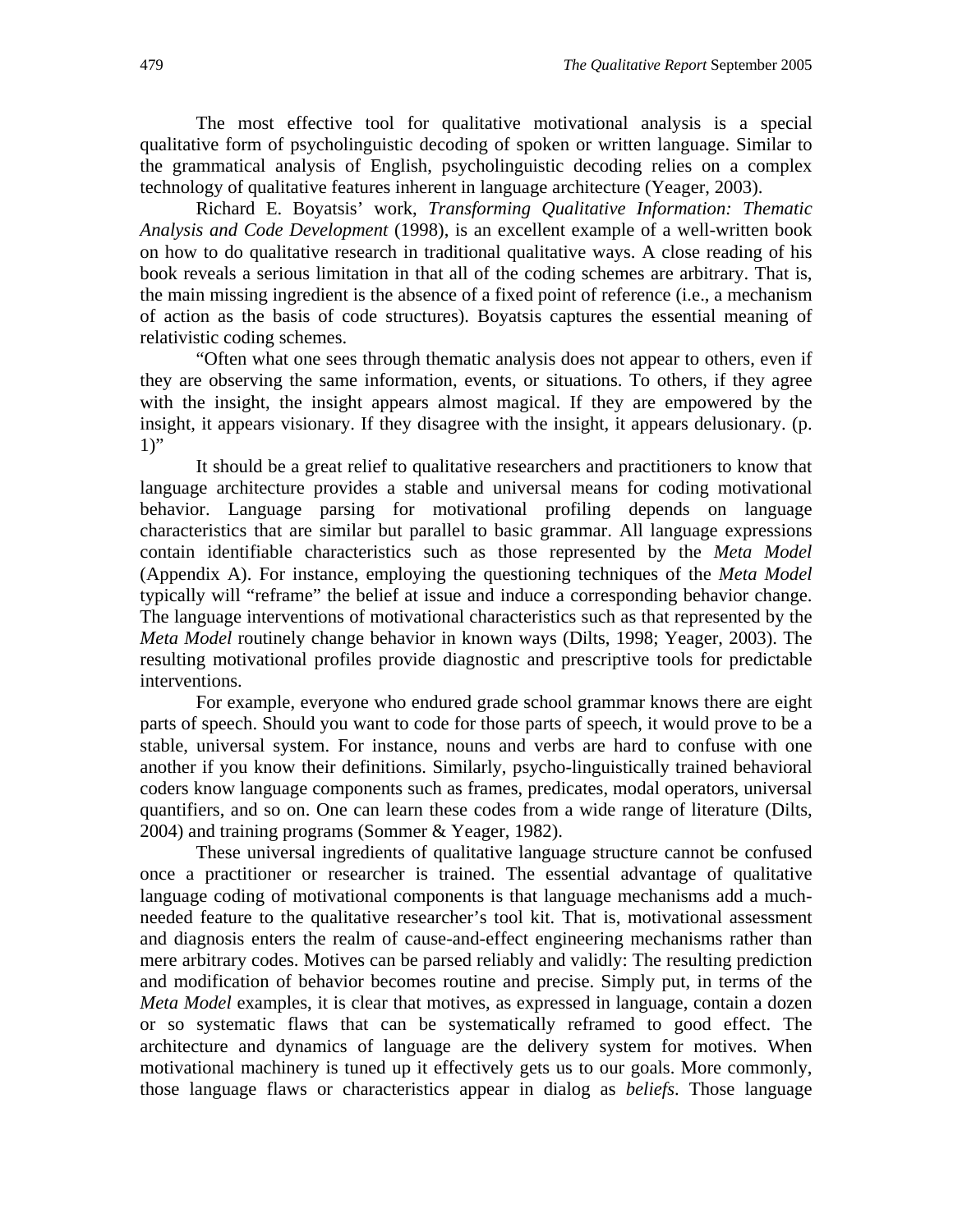The most effective tool for qualitative motivational analysis is a special qualitative form of psycholinguistic decoding of spoken or written language. Similar to the grammatical analysis of English, psycholinguistic decoding relies on a complex technology of qualitative features inherent in language architecture (Yeager, 2003).

Richard E. Boyatsis' work, *Transforming Qualitative Information: Thematic Analysis and Code Development* (1998), is an excellent example of a well-written book on how to do qualitative research in traditional qualitative ways. A close reading of his book reveals a serious limitation in that all of the coding schemes are arbitrary. That is, the main missing ingredient is the absence of a fixed point of reference (i.e., a mechanism of action as the basis of code structures). Boyatsis captures the essential meaning of relativistic coding schemes.

"Often what one sees through thematic analysis does not appear to others, even if they are observing the same information, events, or situations. To others, if they agree with the insight, the insight appears almost magical. If they are empowered by the insight, it appears visionary. If they disagree with the insight, it appears delusionary. (p.  $1$ "

It should be a great relief to qualitative researchers and practitioners to know that language architecture provides a stable and universal means for coding motivational behavior. Language parsing for motivational profiling depends on language characteristics that are similar but parallel to basic grammar. All language expressions contain identifiable characteristics such as those represented by the *Meta Model* (Appendix A). For instance, employing the questioning techniques of the *Meta Model* typically will "reframe" the belief at issue and induce a corresponding behavior change. The language interventions of motivational characteristics such as that represented by the *Meta Model* routinely change behavior in known ways (Dilts, 1998; Yeager, 2003). The resulting motivational profiles provide diagnostic and prescriptive tools for predictable interventions.

For example, everyone who endured grade school grammar knows there are eight parts of speech. Should you want to code for those parts of speech, it would prove to be a stable, universal system. For instance, nouns and verbs are hard to confuse with one another if you know their definitions. Similarly, psycho-linguistically trained behavioral coders know language components such as frames, predicates, modal operators, universal quantifiers, and so on. One can learn these codes from a wide range of literature (Dilts, 2004) and training programs (Sommer & Yeager, 1982).

These universal ingredients of qualitative language structure cannot be confused once a practitioner or researcher is trained. The essential advantage of qualitative language coding of motivational components is that language mechanisms add a muchneeded feature to the qualitative researcher's tool kit. That is, motivational assessment and diagnosis enters the realm of cause-and-effect engineering mechanisms rather than mere arbitrary codes. Motives can be parsed reliably and validly: The resulting prediction and modification of behavior becomes routine and precise. Simply put, in terms of the *Meta Model* examples, it is clear that motives, as expressed in language, contain a dozen or so systematic flaws that can be systematically reframed to good effect. The architecture and dynamics of language are the delivery system for motives. When motivational machinery is tuned up it effectively gets us to our goals. More commonly, those language flaws or characteristics appear in dialog as *beliefs*. Those language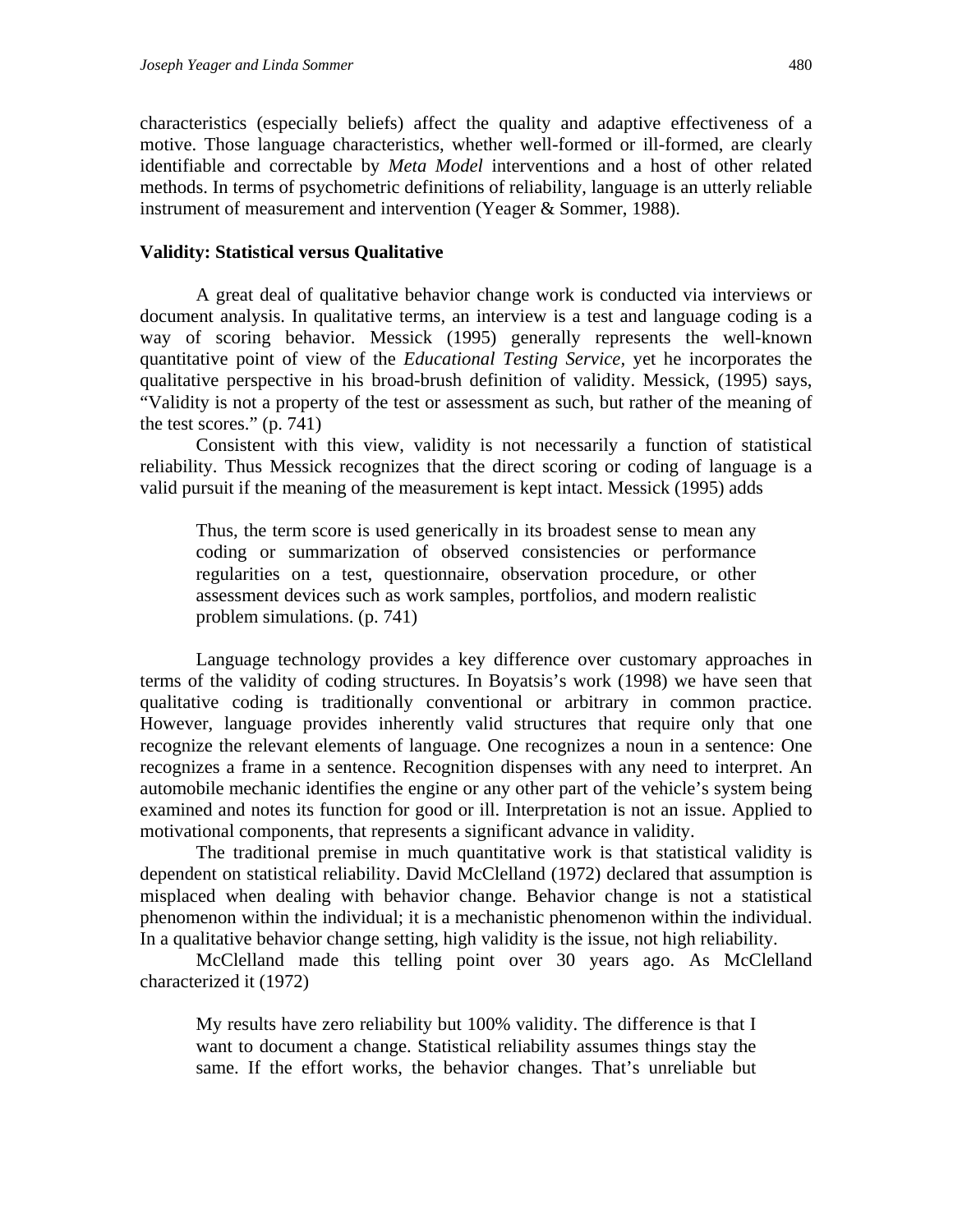characteristics (especially beliefs) affect the quality and adaptive effectiveness of a motive. Those language characteristics, whether well-formed or ill-formed, are clearly identifiable and correctable by *Meta Model* interventions and a host of other related methods. In terms of psychometric definitions of reliability, language is an utterly reliable instrument of measurement and intervention (Yeager & Sommer, 1988).

#### **Validity: Statistical versus Qualitative**

A great deal of qualitative behavior change work is conducted via interviews or document analysis. In qualitative terms, an interview is a test and language coding is a way of scoring behavior. Messick (1995) generally represents the well-known quantitative point of view of the *Educational Testing Service,* yet he incorporates the qualitative perspective in his broad-brush definition of validity. Messick, (1995) says, "Validity is not a property of the test or assessment as such, but rather of the meaning of the test scores." (p. 741)

Consistent with this view, validity is not necessarily a function of statistical reliability. Thus Messick recognizes that the direct scoring or coding of language is a valid pursuit if the meaning of the measurement is kept intact. Messick (1995) adds

Thus, the term score is used generically in its broadest sense to mean any coding or summarization of observed consistencies or performance regularities on a test, questionnaire, observation procedure, or other assessment devices such as work samples, portfolios, and modern realistic problem simulations. (p. 741)

Language technology provides a key difference over customary approaches in terms of the validity of coding structures. In Boyatsis's work (1998) we have seen that qualitative coding is traditionally conventional or arbitrary in common practice. However, language provides inherently valid structures that require only that one recognize the relevant elements of language. One recognizes a noun in a sentence: One recognizes a frame in a sentence. Recognition dispenses with any need to interpret. An automobile mechanic identifies the engine or any other part of the vehicle's system being examined and notes its function for good or ill. Interpretation is not an issue. Applied to motivational components, that represents a significant advance in validity.

The traditional premise in much quantitative work is that statistical validity is dependent on statistical reliability. David McClelland (1972) declared that assumption is misplaced when dealing with behavior change. Behavior change is not a statistical phenomenon within the individual; it is a mechanistic phenomenon within the individual. In a qualitative behavior change setting, high validity is the issue, not high reliability.

McClelland made this telling point over 30 years ago. As McClelland characterized it (1972)

My results have zero reliability but 100% validity. The difference is that I want to document a change. Statistical reliability assumes things stay the same. If the effort works, the behavior changes. That's unreliable but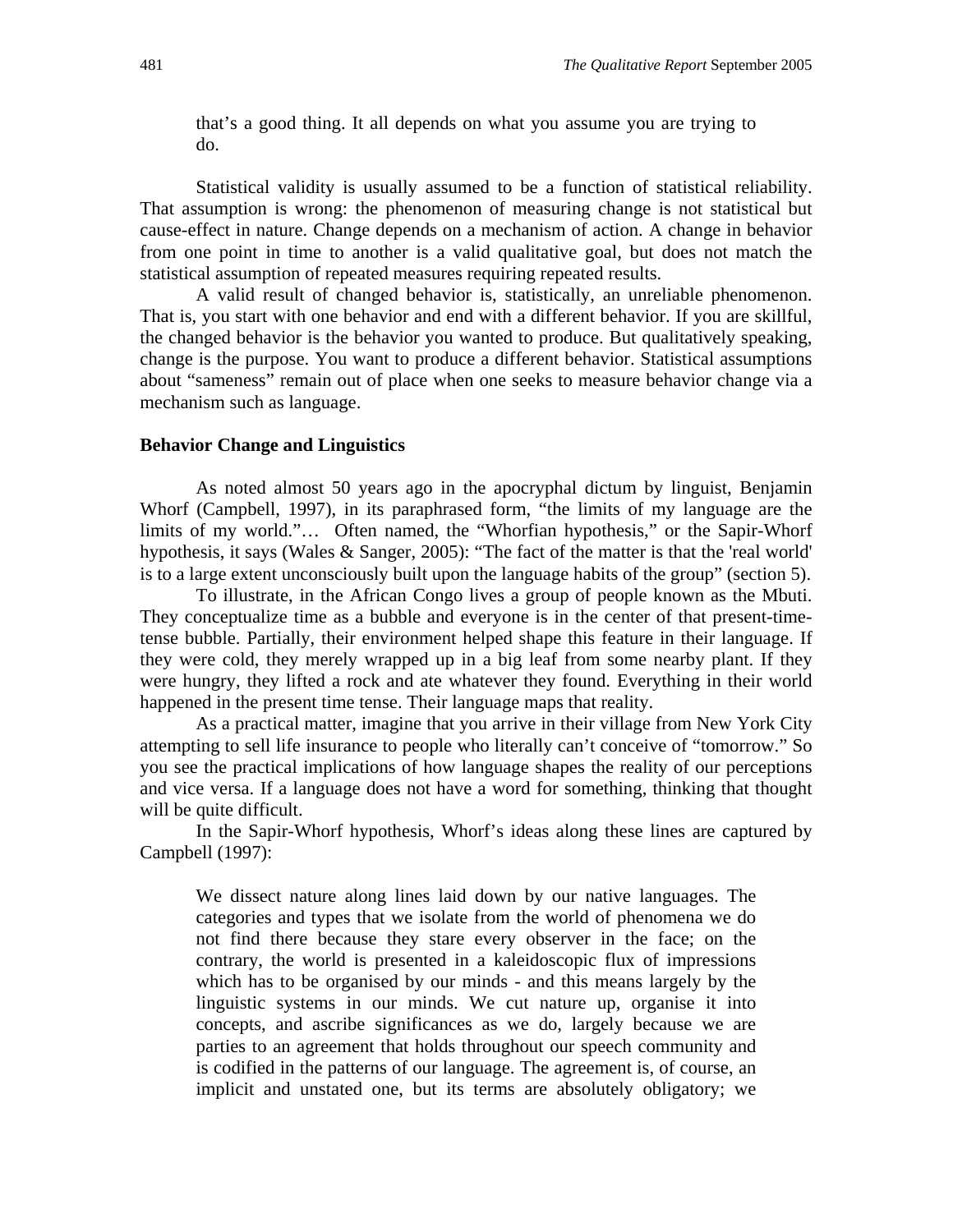that's a good thing. It all depends on what you assume you are trying to do.

Statistical validity is usually assumed to be a function of statistical reliability. That assumption is wrong: the phenomenon of measuring change is not statistical but cause-effect in nature. Change depends on a mechanism of action. A change in behavior from one point in time to another is a valid qualitative goal, but does not match the statistical assumption of repeated measures requiring repeated results.

A valid result of changed behavior is, statistically, an unreliable phenomenon. That is, you start with one behavior and end with a different behavior. If you are skillful, the changed behavior is the behavior you wanted to produce. But qualitatively speaking, change is the purpose. You want to produce a different behavior. Statistical assumptions about "sameness" remain out of place when one seeks to measure behavior change via a mechanism such as language.

#### **Behavior Change and Linguistics**

As noted almost 50 years ago in the apocryphal dictum by linguist, Benjamin Whorf (Campbell, 1997), in its paraphrased form, "the limits of my language are the limits of my world."… Often named, the "Whorfian hypothesis," or the Sapir-Whorf hypothesis, it says (Wales & Sanger, 2005): "The fact of the matter is that the 'real world' is to a large extent unconsciously built upon the language habits of the group" (section 5).

To illustrate, in the African Congo lives a group of people known as the Mbuti. They conceptualize time as a bubble and everyone is in the center of that present-timetense bubble. Partially, their environment helped shape this feature in their language. If they were cold, they merely wrapped up in a big leaf from some nearby plant. If they were hungry, they lifted a rock and ate whatever they found. Everything in their world happened in the present time tense. Their language maps that reality.

As a practical matter, imagine that you arrive in their village from New York City attempting to sell life insurance to people who literally can't conceive of "tomorrow." So you see the practical implications of how language shapes the reality of our perceptions and vice versa. If a language does not have a word for something, thinking that thought will be quite difficult.

In the Sapir-Whorf hypothesis, Whorf's ideas along these lines are captured by Campbell (1997):

We dissect nature along lines laid down by our native languages. The categories and types that we isolate from the world of phenomena we do not find there because they stare every observer in the face; on the contrary, the world is presented in a kaleidoscopic flux of impressions which has to be organised by our minds - and this means largely by the linguistic systems in our minds. We cut nature up, organise it into concepts, and ascribe significances as we do, largely because we are parties to an agreement that holds throughout our speech community and is codified in the patterns of our language. The agreement is, of course, an implicit and unstated one, but its terms are absolutely obligatory; we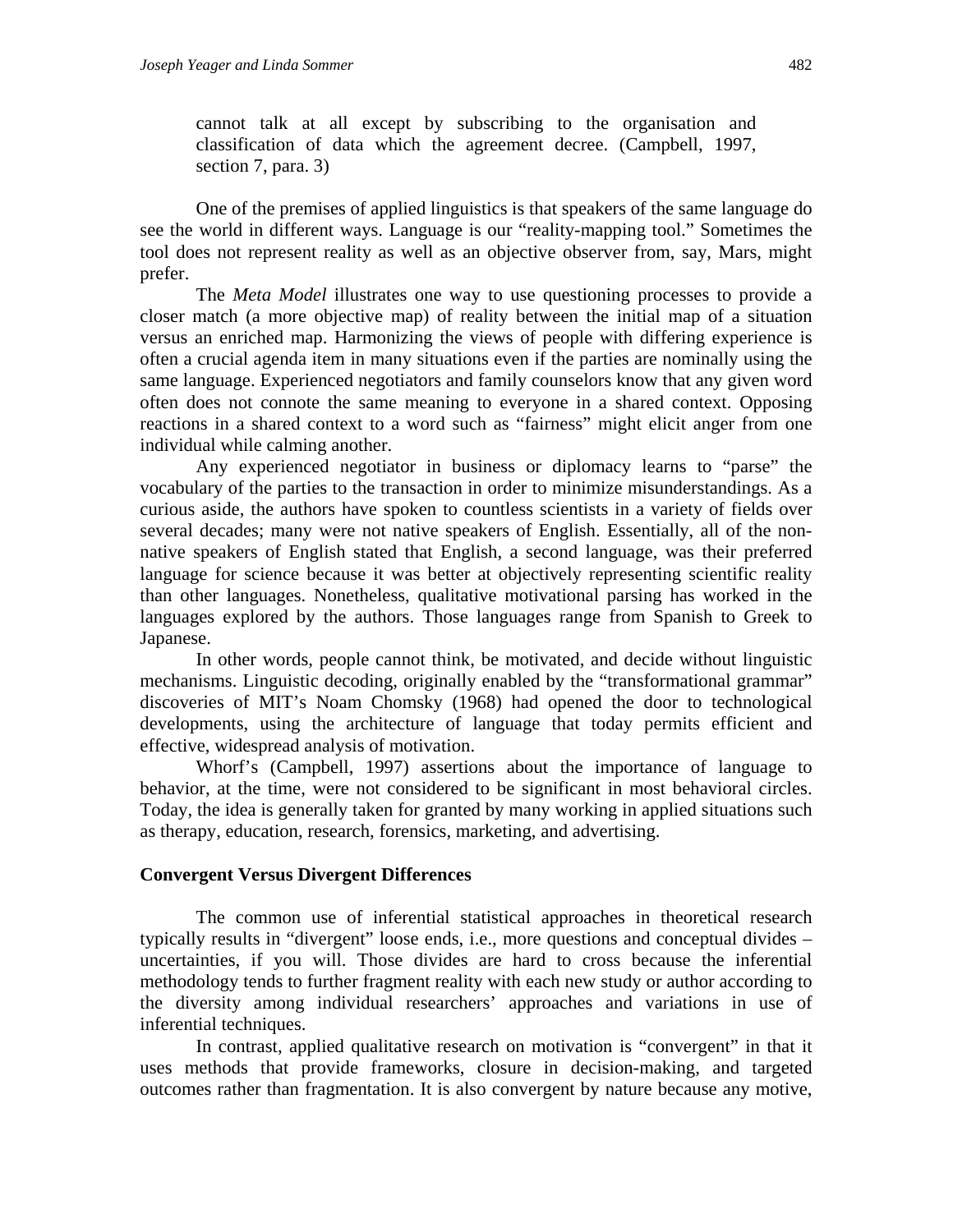cannot talk at all except by subscribing to the organisation and classification of data which the agreement decree. (Campbell, 1997, section 7, para. 3)

One of the premises of applied linguistics is that speakers of the same language do see the world in different ways. Language is our "reality-mapping tool." Sometimes the tool does not represent reality as well as an objective observer from, say, Mars, might prefer.

The *Meta Model* illustrates one way to use questioning processes to provide a closer match (a more objective map) of reality between the initial map of a situation versus an enriched map. Harmonizing the views of people with differing experience is often a crucial agenda item in many situations even if the parties are nominally using the same language. Experienced negotiators and family counselors know that any given word often does not connote the same meaning to everyone in a shared context. Opposing reactions in a shared context to a word such as "fairness" might elicit anger from one individual while calming another.

Any experienced negotiator in business or diplomacy learns to "parse" the vocabulary of the parties to the transaction in order to minimize misunderstandings. As a curious aside, the authors have spoken to countless scientists in a variety of fields over several decades; many were not native speakers of English. Essentially, all of the nonnative speakers of English stated that English, a second language, was their preferred language for science because it was better at objectively representing scientific reality than other languages. Nonetheless, qualitative motivational parsing has worked in the languages explored by the authors. Those languages range from Spanish to Greek to Japanese.

In other words, people cannot think, be motivated, and decide without linguistic mechanisms. Linguistic decoding, originally enabled by the "transformational grammar" discoveries of MIT's Noam Chomsky (1968) had opened the door to technological developments, using the architecture of language that today permits efficient and effective, widespread analysis of motivation.

Whorf's (Campbell, 1997) assertions about the importance of language to behavior, at the time, were not considered to be significant in most behavioral circles. Today, the idea is generally taken for granted by many working in applied situations such as therapy, education, research, forensics, marketing, and advertising.

#### **Convergent Versus Divergent Differences**

The common use of inferential statistical approaches in theoretical research typically results in "divergent" loose ends, i.e., more questions and conceptual divides – uncertainties, if you will. Those divides are hard to cross because the inferential methodology tends to further fragment reality with each new study or author according to the diversity among individual researchers' approaches and variations in use of inferential techniques.

In contrast, applied qualitative research on motivation is "convergent" in that it uses methods that provide frameworks, closure in decision-making, and targeted outcomes rather than fragmentation. It is also convergent by nature because any motive,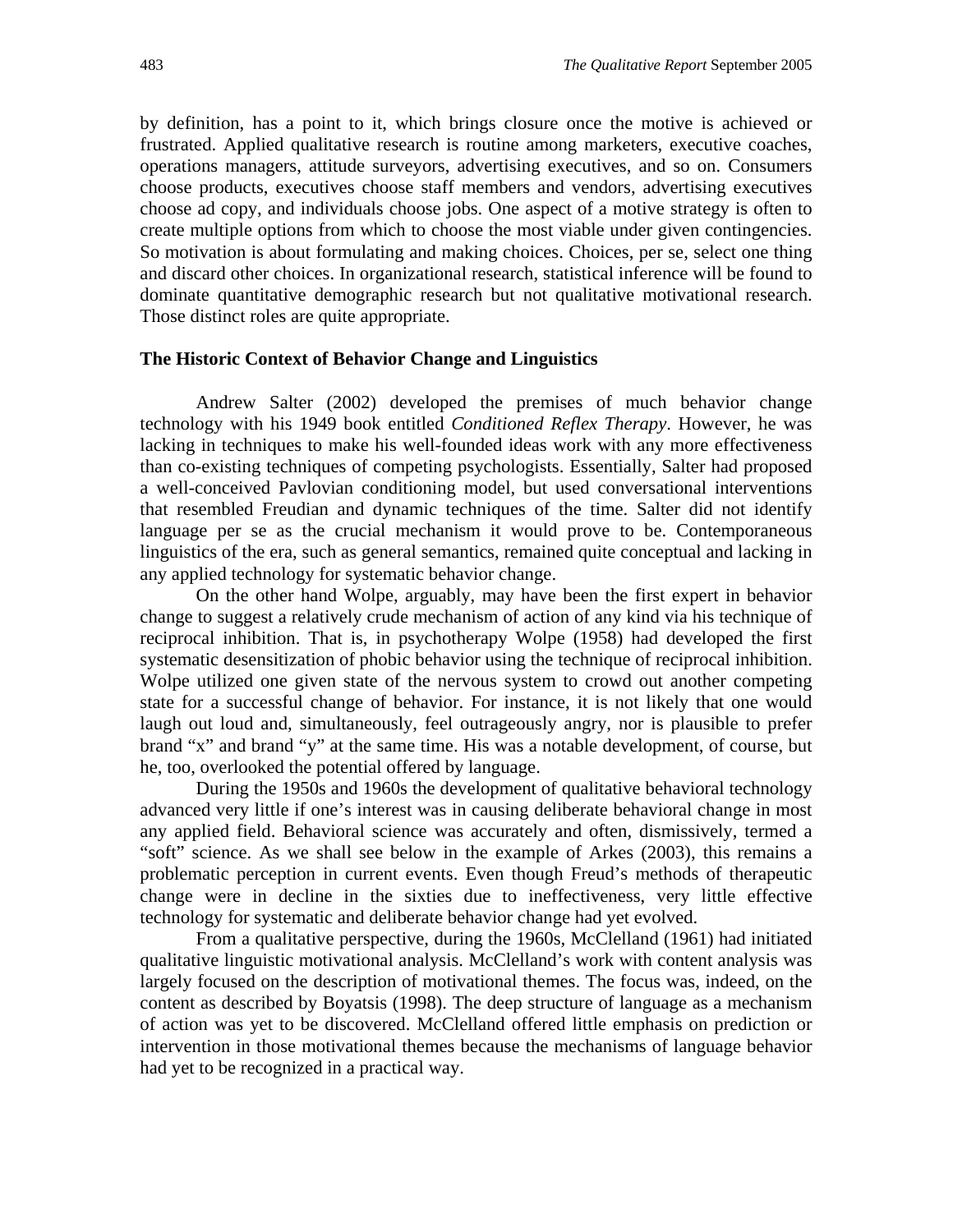by definition, has a point to it, which brings closure once the motive is achieved or frustrated. Applied qualitative research is routine among marketers, executive coaches, operations managers, attitude surveyors, advertising executives, and so on. Consumers choose products, executives choose staff members and vendors, advertising executives choose ad copy, and individuals choose jobs. One aspect of a motive strategy is often to create multiple options from which to choose the most viable under given contingencies. So motivation is about formulating and making choices. Choices, per se, select one thing and discard other choices. In organizational research, statistical inference will be found to dominate quantitative demographic research but not qualitative motivational research. Those distinct roles are quite appropriate.

#### **The Historic Context of Behavior Change and Linguistics**

Andrew Salter (2002) developed the premises of much behavior change technology with his 1949 book entitled *Conditioned Reflex Therapy*. However, he was lacking in techniques to make his well-founded ideas work with any more effectiveness than co-existing techniques of competing psychologists. Essentially, Salter had proposed a well-conceived Pavlovian conditioning model, but used conversational interventions that resembled Freudian and dynamic techniques of the time. Salter did not identify language per se as the crucial mechanism it would prove to be. Contemporaneous linguistics of the era, such as general semantics, remained quite conceptual and lacking in any applied technology for systematic behavior change.

On the other hand Wolpe, arguably, may have been the first expert in behavior change to suggest a relatively crude mechanism of action of any kind via his technique of reciprocal inhibition. That is, in psychotherapy Wolpe (1958) had developed the first systematic desensitization of phobic behavior using the technique of reciprocal inhibition. Wolpe utilized one given state of the nervous system to crowd out another competing state for a successful change of behavior. For instance, it is not likely that one would laugh out loud and, simultaneously, feel outrageously angry, nor is plausible to prefer brand "x" and brand "y" at the same time. His was a notable development, of course, but he, too, overlooked the potential offered by language.

During the 1950s and 1960s the development of qualitative behavioral technology advanced very little if one's interest was in causing deliberate behavioral change in most any applied field. Behavioral science was accurately and often, dismissively, termed a "soft" science. As we shall see below in the example of Arkes (2003), this remains a problematic perception in current events. Even though Freud's methods of therapeutic change were in decline in the sixties due to ineffectiveness, very little effective technology for systematic and deliberate behavior change had yet evolved.

From a qualitative perspective, during the 1960s, McClelland (1961) had initiated qualitative linguistic motivational analysis. McClelland's work with content analysis was largely focused on the description of motivational themes. The focus was, indeed, on the content as described by Boyatsis (1998). The deep structure of language as a mechanism of action was yet to be discovered. McClelland offered little emphasis on prediction or intervention in those motivational themes because the mechanisms of language behavior had yet to be recognized in a practical way.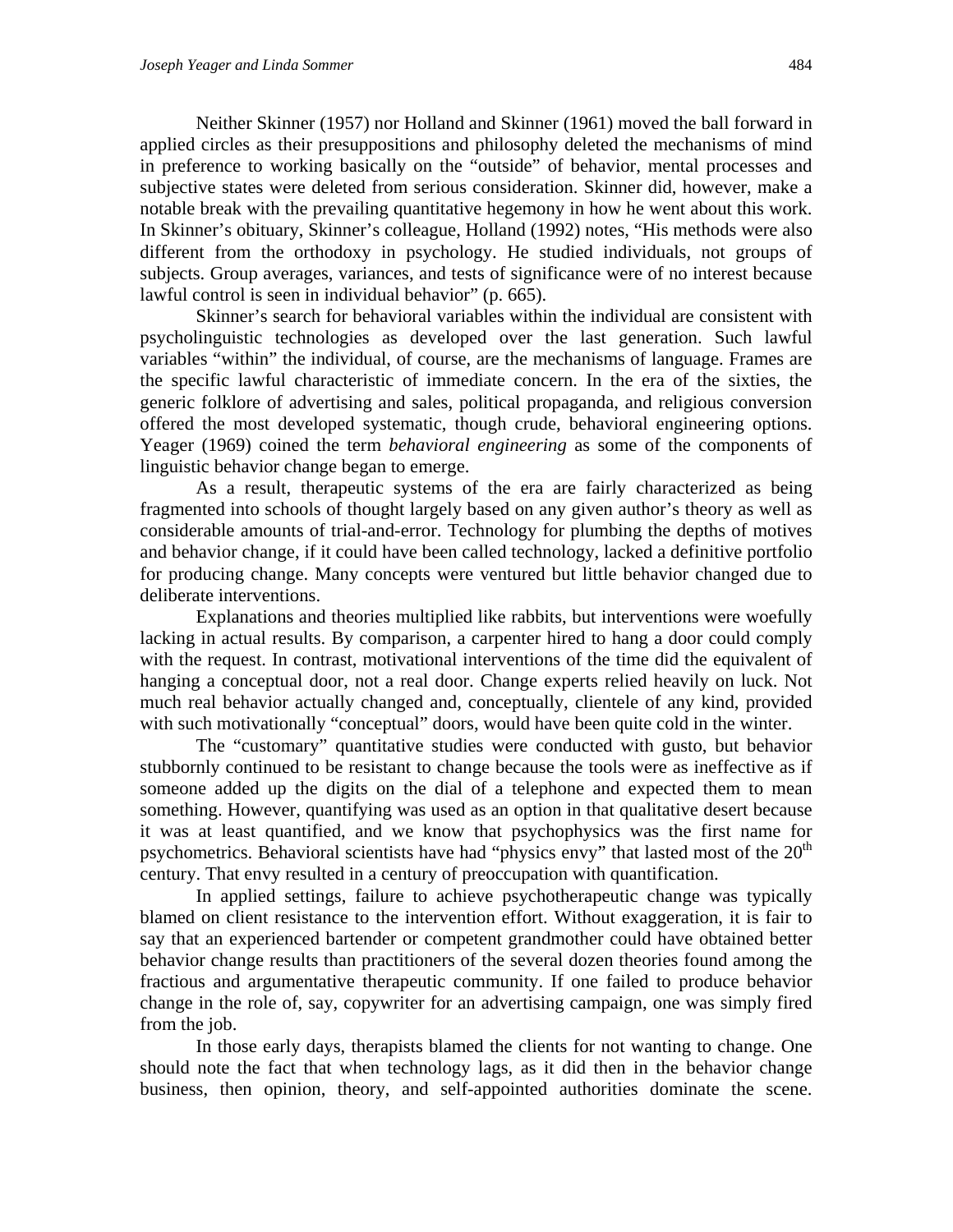Neither Skinner (1957) nor Holland and Skinner (1961) moved the ball forward in applied circles as their presuppositions and philosophy deleted the mechanisms of mind in preference to working basically on the "outside" of behavior, mental processes and subjective states were deleted from serious consideration. Skinner did, however, make a notable break with the prevailing quantitative hegemony in how he went about this work. In Skinner's obituary, Skinner's colleague, Holland (1992) notes, "His methods were also different from the orthodoxy in psychology. He studied individuals, not groups of subjects. Group averages, variances, and tests of significance were of no interest because lawful control is seen in individual behavior" (p. 665).

Skinner's search for behavioral variables within the individual are consistent with psycholinguistic technologies as developed over the last generation. Such lawful variables "within" the individual, of course, are the mechanisms of language. Frames are the specific lawful characteristic of immediate concern. In the era of the sixties, the generic folklore of advertising and sales, political propaganda, and religious conversion offered the most developed systematic, though crude, behavioral engineering options. Yeager (1969) coined the term *behavioral engineering* as some of the components of linguistic behavior change began to emerge.

As a result, therapeutic systems of the era are fairly characterized as being fragmented into schools of thought largely based on any given author's theory as well as considerable amounts of trial-and-error. Technology for plumbing the depths of motives and behavior change, if it could have been called technology, lacked a definitive portfolio for producing change. Many concepts were ventured but little behavior changed due to deliberate interventions.

Explanations and theories multiplied like rabbits, but interventions were woefully lacking in actual results. By comparison, a carpenter hired to hang a door could comply with the request. In contrast, motivational interventions of the time did the equivalent of hanging a conceptual door, not a real door. Change experts relied heavily on luck. Not much real behavior actually changed and, conceptually, clientele of any kind, provided with such motivationally "conceptual" doors, would have been quite cold in the winter.

The "customary" quantitative studies were conducted with gusto, but behavior stubbornly continued to be resistant to change because the tools were as ineffective as if someone added up the digits on the dial of a telephone and expected them to mean something. However, quantifying was used as an option in that qualitative desert because it was at least quantified, and we know that psychophysics was the first name for psychometrics. Behavioral scientists have had "physics envy" that lasted most of the  $20<sup>th</sup>$ century. That envy resulted in a century of preoccupation with quantification.

In applied settings, failure to achieve psychotherapeutic change was typically blamed on client resistance to the intervention effort. Without exaggeration, it is fair to say that an experienced bartender or competent grandmother could have obtained better behavior change results than practitioners of the several dozen theories found among the fractious and argumentative therapeutic community. If one failed to produce behavior change in the role of, say, copywriter for an advertising campaign, one was simply fired from the job.

In those early days, therapists blamed the clients for not wanting to change. One should note the fact that when technology lags, as it did then in the behavior change business, then opinion, theory, and self-appointed authorities dominate the scene.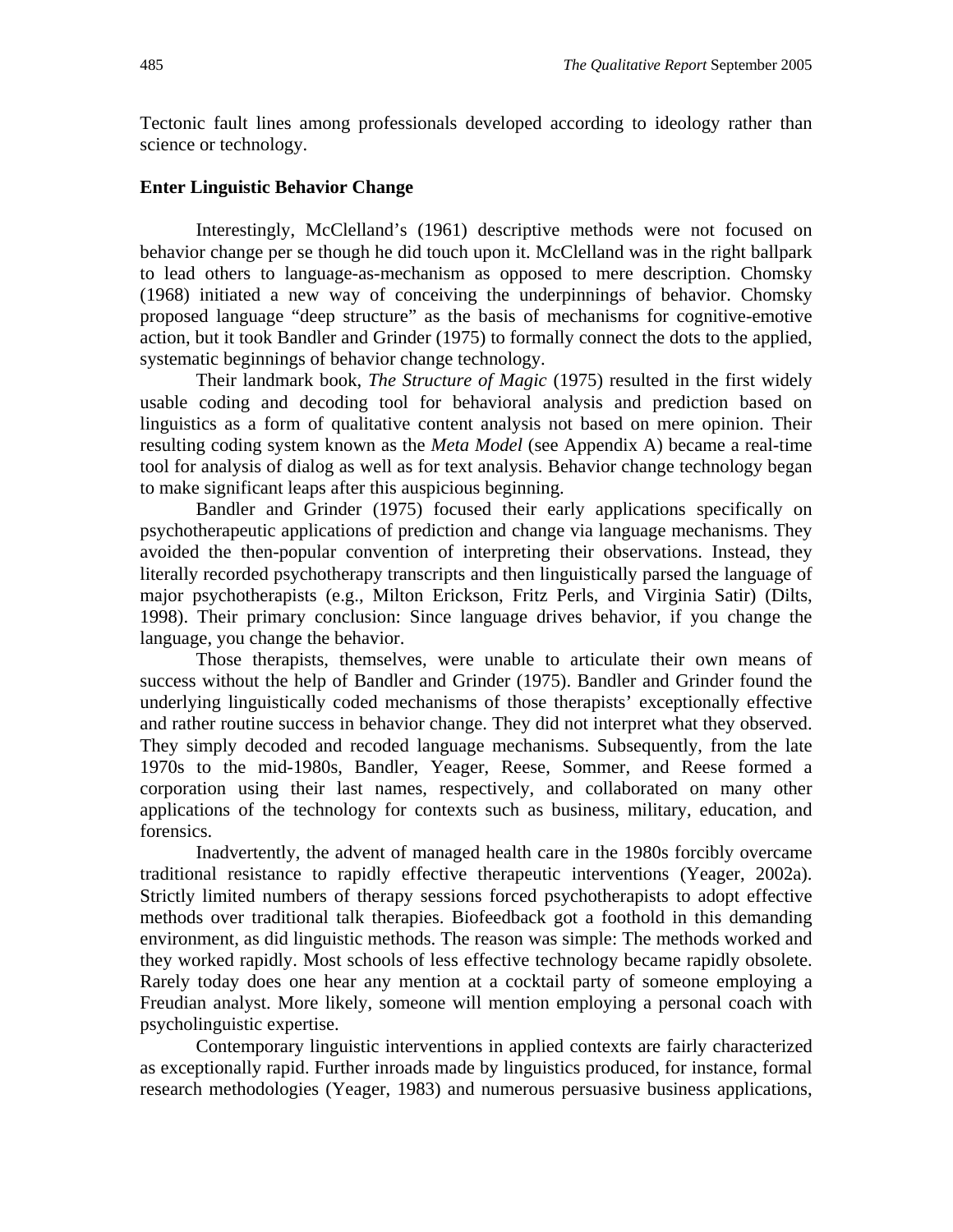Tectonic fault lines among professionals developed according to ideology rather than science or technology.

#### **Enter Linguistic Behavior Change**

Interestingly, McClelland's (1961) descriptive methods were not focused on behavior change per se though he did touch upon it. McClelland was in the right ballpark to lead others to language-as-mechanism as opposed to mere description. Chomsky (1968) initiated a new way of conceiving the underpinnings of behavior. Chomsky proposed language "deep structure" as the basis of mechanisms for cognitive-emotive action, but it took Bandler and Grinder (1975) to formally connect the dots to the applied, systematic beginnings of behavior change technology.

Their landmark book, *The Structure of Magic* (1975) resulted in the first widely usable coding and decoding tool for behavioral analysis and prediction based on linguistics as a form of qualitative content analysis not based on mere opinion. Their resulting coding system known as the *Meta Model* (see Appendix A) became a real-time tool for analysis of dialog as well as for text analysis. Behavior change technology began to make significant leaps after this auspicious beginning.

Bandler and Grinder (1975) focused their early applications specifically on psychotherapeutic applications of prediction and change via language mechanisms. They avoided the then-popular convention of interpreting their observations. Instead, they literally recorded psychotherapy transcripts and then linguistically parsed the language of major psychotherapists (e.g., Milton Erickson, Fritz Perls, and Virginia Satir) (Dilts, 1998). Their primary conclusion: Since language drives behavior, if you change the language, you change the behavior.

Those therapists, themselves, were unable to articulate their own means of success without the help of Bandler and Grinder (1975). Bandler and Grinder found the underlying linguistically coded mechanisms of those therapists' exceptionally effective and rather routine success in behavior change. They did not interpret what they observed. They simply decoded and recoded language mechanisms. Subsequently, from the late 1970s to the mid-1980s, Bandler, Yeager, Reese, Sommer, and Reese formed a corporation using their last names, respectively, and collaborated on many other applications of the technology for contexts such as business, military, education, and forensics.

Inadvertently, the advent of managed health care in the 1980s forcibly overcame traditional resistance to rapidly effective therapeutic interventions (Yeager, 2002a). Strictly limited numbers of therapy sessions forced psychotherapists to adopt effective methods over traditional talk therapies. Biofeedback got a foothold in this demanding environment, as did linguistic methods. The reason was simple: The methods worked and they worked rapidly. Most schools of less effective technology became rapidly obsolete. Rarely today does one hear any mention at a cocktail party of someone employing a Freudian analyst. More likely, someone will mention employing a personal coach with psycholinguistic expertise.

Contemporary linguistic interventions in applied contexts are fairly characterized as exceptionally rapid. Further inroads made by linguistics produced, for instance, formal research methodologies (Yeager, 1983) and numerous persuasive business applications,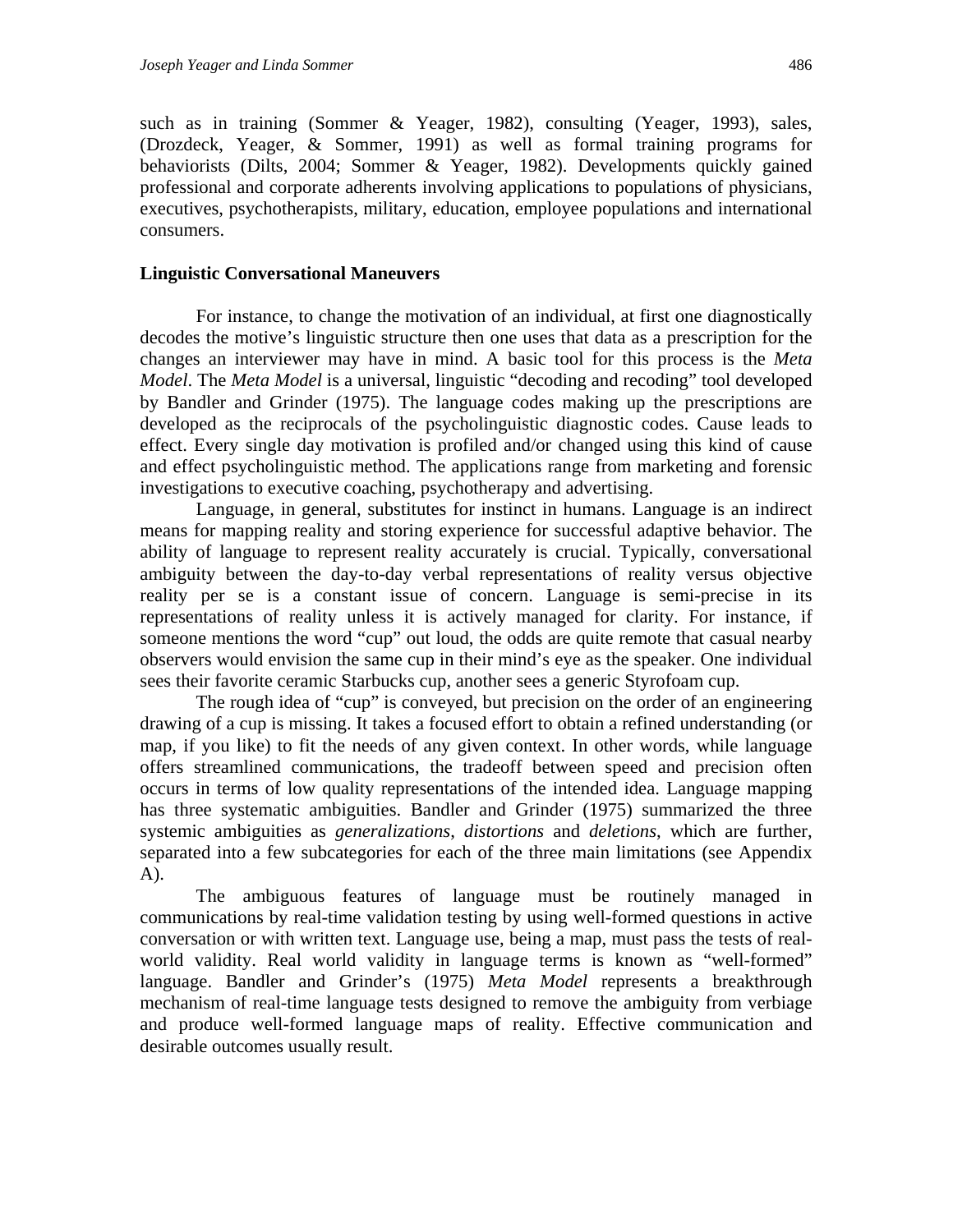such as in training (Sommer & Yeager, 1982), consulting (Yeager, 1993), sales, (Drozdeck, Yeager, & Sommer, 1991) as well as formal training programs for behaviorists (Dilts, 2004; Sommer & Yeager, 1982). Developments quickly gained professional and corporate adherents involving applications to populations of physicians, executives, psychotherapists, military, education, employee populations and international consumers.

#### **Linguistic Conversational Maneuvers**

For instance, to change the motivation of an individual, at first one diagnostically decodes the motive's linguistic structure then one uses that data as a prescription for the changes an interviewer may have in mind. A basic tool for this process is the *Meta Model*. The *Meta Model* is a universal, linguistic "decoding and recoding" tool developed by Bandler and Grinder (1975). The language codes making up the prescriptions are developed as the reciprocals of the psycholinguistic diagnostic codes. Cause leads to effect. Every single day motivation is profiled and/or changed using this kind of cause and effect psycholinguistic method. The applications range from marketing and forensic investigations to executive coaching, psychotherapy and advertising.

Language, in general, substitutes for instinct in humans. Language is an indirect means for mapping reality and storing experience for successful adaptive behavior. The ability of language to represent reality accurately is crucial. Typically, conversational ambiguity between the day-to-day verbal representations of reality versus objective reality per se is a constant issue of concern. Language is semi-precise in its representations of reality unless it is actively managed for clarity. For instance, if someone mentions the word "cup" out loud, the odds are quite remote that casual nearby observers would envision the same cup in their mind's eye as the speaker. One individual sees their favorite ceramic Starbucks cup, another sees a generic Styrofoam cup.

The rough idea of "cup" is conveyed, but precision on the order of an engineering drawing of a cup is missing. It takes a focused effort to obtain a refined understanding (or map, if you like) to fit the needs of any given context. In other words, while language offers streamlined communications, the tradeoff between speed and precision often occurs in terms of low quality representations of the intended idea. Language mapping has three systematic ambiguities. Bandler and Grinder (1975) summarized the three systemic ambiguities as *generalizations*, *distortions* and *deletions*, which are further, separated into a few subcategories for each of the three main limitations (see Appendix A).

The ambiguous features of language must be routinely managed in communications by real-time validation testing by using well-formed questions in active conversation or with written text. Language use, being a map, must pass the tests of realworld validity. Real world validity in language terms is known as "well-formed" language. Bandler and Grinder's (1975) *Meta Model* represents a breakthrough mechanism of real-time language tests designed to remove the ambiguity from verbiage and produce well-formed language maps of reality. Effective communication and desirable outcomes usually result.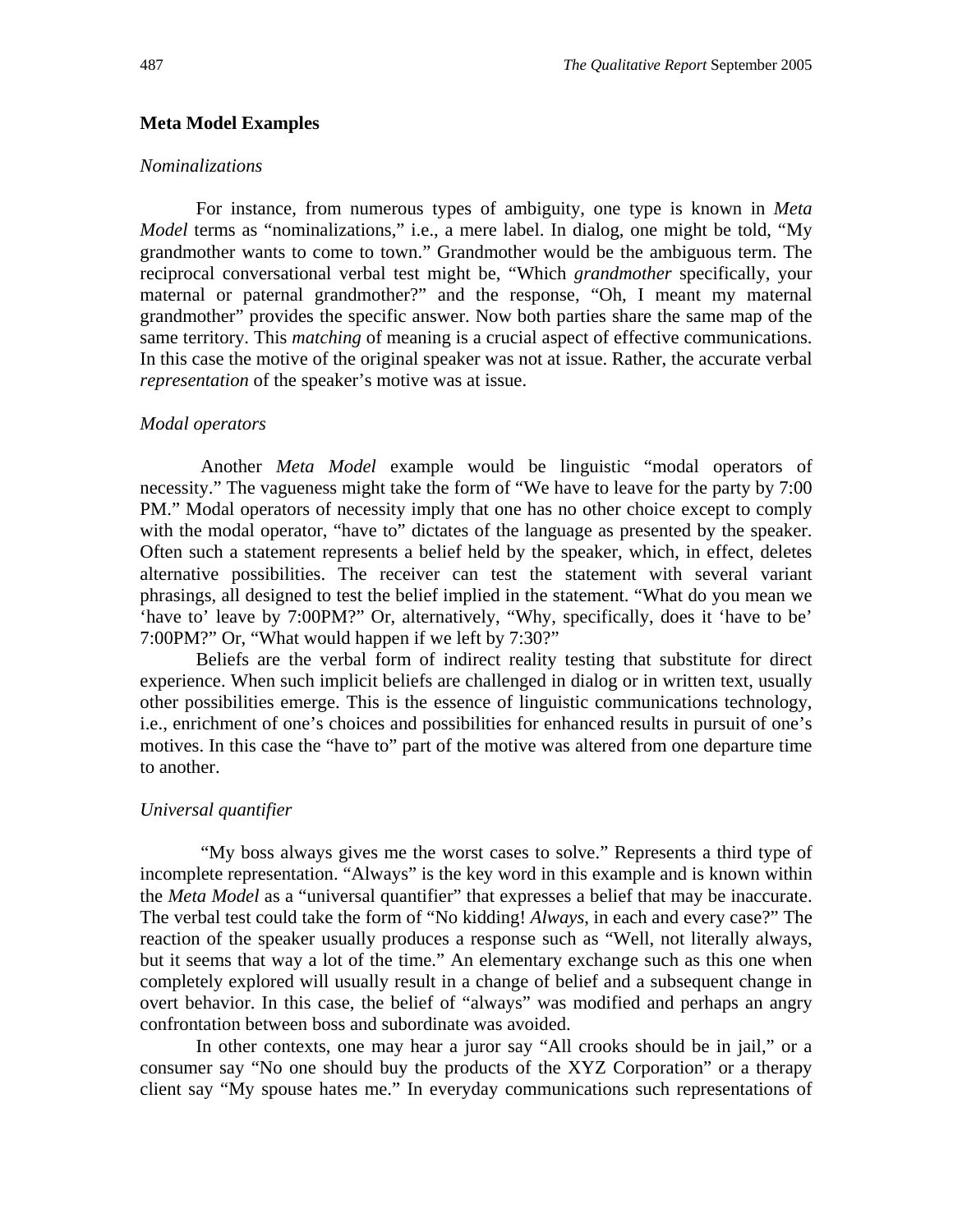#### **Meta Model Examples**

#### *Nominalizations*

For instance, from numerous types of ambiguity, one type is known in *Meta Model* terms as "nominalizations," i.e., a mere label. In dialog, one might be told, "My grandmother wants to come to town." Grandmother would be the ambiguous term. The reciprocal conversational verbal test might be, "Which *grandmother* specifically, your maternal or paternal grandmother?" and the response, "Oh, I meant my maternal grandmother" provides the specific answer. Now both parties share the same map of the same territory. This *matching* of meaning is a crucial aspect of effective communications. In this case the motive of the original speaker was not at issue. Rather, the accurate verbal *representation* of the speaker's motive was at issue.

#### *Modal operators*

 Another *Meta Model* example would be linguistic "modal operators of necessity." The vagueness might take the form of "We have to leave for the party by 7:00 PM." Modal operators of necessity imply that one has no other choice except to comply with the modal operator, "have to" dictates of the language as presented by the speaker. Often such a statement represents a belief held by the speaker, which, in effect, deletes alternative possibilities. The receiver can test the statement with several variant phrasings, all designed to test the belief implied in the statement. "What do you mean we 'have to' leave by 7:00PM?" Or, alternatively, "Why, specifically, does it 'have to be' 7:00PM?" Or, "What would happen if we left by 7:30?"

Beliefs are the verbal form of indirect reality testing that substitute for direct experience. When such implicit beliefs are challenged in dialog or in written text, usually other possibilities emerge. This is the essence of linguistic communications technology, i.e., enrichment of one's choices and possibilities for enhanced results in pursuit of one's motives. In this case the "have to" part of the motive was altered from one departure time to another.

#### *Universal quantifier*

"My boss always gives me the worst cases to solve." Represents a third type of incomplete representation. "Always" is the key word in this example and is known within the *Meta Model* as a "universal quantifier" that expresses a belief that may be inaccurate. The verbal test could take the form of "No kidding! *Always*, in each and every case?" The reaction of the speaker usually produces a response such as "Well, not literally always, but it seems that way a lot of the time." An elementary exchange such as this one when completely explored will usually result in a change of belief and a subsequent change in overt behavior. In this case, the belief of "always" was modified and perhaps an angry confrontation between boss and subordinate was avoided.

In other contexts, one may hear a juror say "All crooks should be in jail," or a consumer say "No one should buy the products of the XYZ Corporation" or a therapy client say "My spouse hates me." In everyday communications such representations of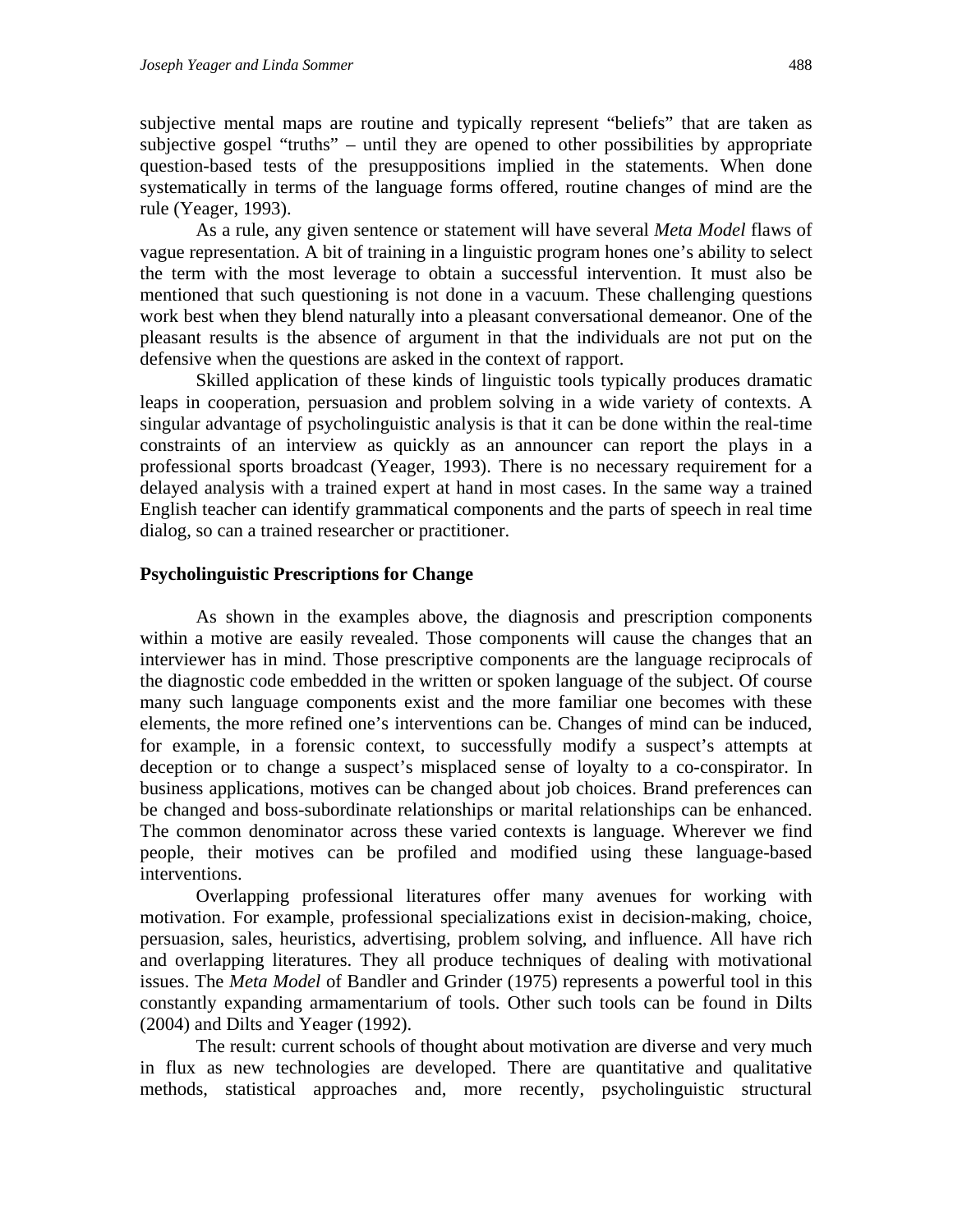subjective mental maps are routine and typically represent "beliefs" that are taken as subjective gospel "truths" – until they are opened to other possibilities by appropriate question-based tests of the presuppositions implied in the statements. When done systematically in terms of the language forms offered, routine changes of mind are the rule (Yeager, 1993).

As a rule, any given sentence or statement will have several *Meta Model* flaws of vague representation. A bit of training in a linguistic program hones one's ability to select the term with the most leverage to obtain a successful intervention. It must also be mentioned that such questioning is not done in a vacuum. These challenging questions work best when they blend naturally into a pleasant conversational demeanor. One of the pleasant results is the absence of argument in that the individuals are not put on the defensive when the questions are asked in the context of rapport.

Skilled application of these kinds of linguistic tools typically produces dramatic leaps in cooperation, persuasion and problem solving in a wide variety of contexts. A singular advantage of psycholinguistic analysis is that it can be done within the real-time constraints of an interview as quickly as an announcer can report the plays in a professional sports broadcast (Yeager, 1993). There is no necessary requirement for a delayed analysis with a trained expert at hand in most cases. In the same way a trained English teacher can identify grammatical components and the parts of speech in real time dialog, so can a trained researcher or practitioner.

#### **Psycholinguistic Prescriptions for Change**

As shown in the examples above, the diagnosis and prescription components within a motive are easily revealed. Those components will cause the changes that an interviewer has in mind. Those prescriptive components are the language reciprocals of the diagnostic code embedded in the written or spoken language of the subject. Of course many such language components exist and the more familiar one becomes with these elements, the more refined one's interventions can be. Changes of mind can be induced, for example, in a forensic context, to successfully modify a suspect's attempts at deception or to change a suspect's misplaced sense of loyalty to a co-conspirator. In business applications, motives can be changed about job choices. Brand preferences can be changed and boss-subordinate relationships or marital relationships can be enhanced. The common denominator across these varied contexts is language. Wherever we find people, their motives can be profiled and modified using these language-based interventions.

Overlapping professional literatures offer many avenues for working with motivation. For example, professional specializations exist in decision-making, choice, persuasion, sales, heuristics, advertising, problem solving, and influence. All have rich and overlapping literatures. They all produce techniques of dealing with motivational issues. The *Meta Model* of Bandler and Grinder (1975) represents a powerful tool in this constantly expanding armamentarium of tools. Other such tools can be found in Dilts (2004) and Dilts and Yeager (1992).

The result: current schools of thought about motivation are diverse and very much in flux as new technologies are developed. There are quantitative and qualitative methods, statistical approaches and, more recently, psycholinguistic structural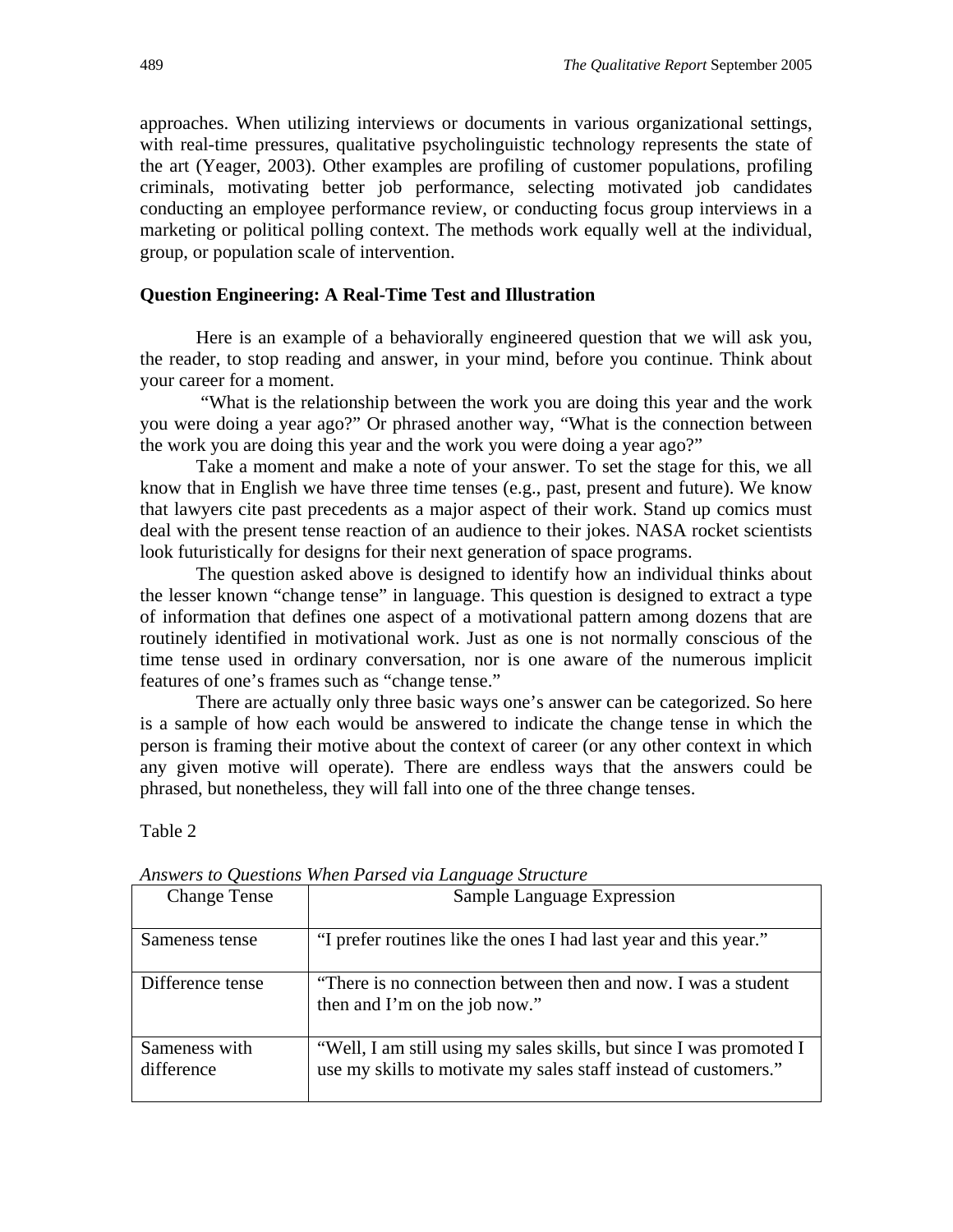approaches. When utilizing interviews or documents in various organizational settings, with real-time pressures, qualitative psycholinguistic technology represents the state of the art (Yeager, 2003). Other examples are profiling of customer populations, profiling criminals, motivating better job performance, selecting motivated job candidates conducting an employee performance review, or conducting focus group interviews in a marketing or political polling context. The methods work equally well at the individual, group, or population scale of intervention.

#### **Question Engineering: A Real-Time Test and Illustration**

Here is an example of a behaviorally engineered question that we will ask you, the reader, to stop reading and answer, in your mind, before you continue. Think about your career for a moment.

"What is the relationship between the work you are doing this year and the work you were doing a year ago?" Or phrased another way, "What is the connection between the work you are doing this year and the work you were doing a year ago?"

Take a moment and make a note of your answer. To set the stage for this, we all know that in English we have three time tenses (e.g., past, present and future). We know that lawyers cite past precedents as a major aspect of their work. Stand up comics must deal with the present tense reaction of an audience to their jokes. NASA rocket scientists look futuristically for designs for their next generation of space programs.

The question asked above is designed to identify how an individual thinks about the lesser known "change tense" in language. This question is designed to extract a type of information that defines one aspect of a motivational pattern among dozens that are routinely identified in motivational work. Just as one is not normally conscious of the time tense used in ordinary conversation, nor is one aware of the numerous implicit features of one's frames such as "change tense."

There are actually only three basic ways one's answer can be categorized. So here is a sample of how each would be answered to indicate the change tense in which the person is framing their motive about the context of career (or any other context in which any given motive will operate). There are endless ways that the answers could be phrased, but nonetheless, they will fall into one of the three change tenses.

#### Table 2

| <b>Change Tense</b>         | Sample Language Expression                                                                                                             |
|-----------------------------|----------------------------------------------------------------------------------------------------------------------------------------|
| Sameness tense              | "I prefer routines like the ones I had last year and this year."                                                                       |
| Difference tense            | "There is no connection between then and now. I was a student<br>then and I'm on the job now."                                         |
| Sameness with<br>difference | "Well, I am still using my sales skills, but since I was promoted I<br>use my skills to motivate my sales staff instead of customers." |

*Answers to Questions When Parsed via Language Structure*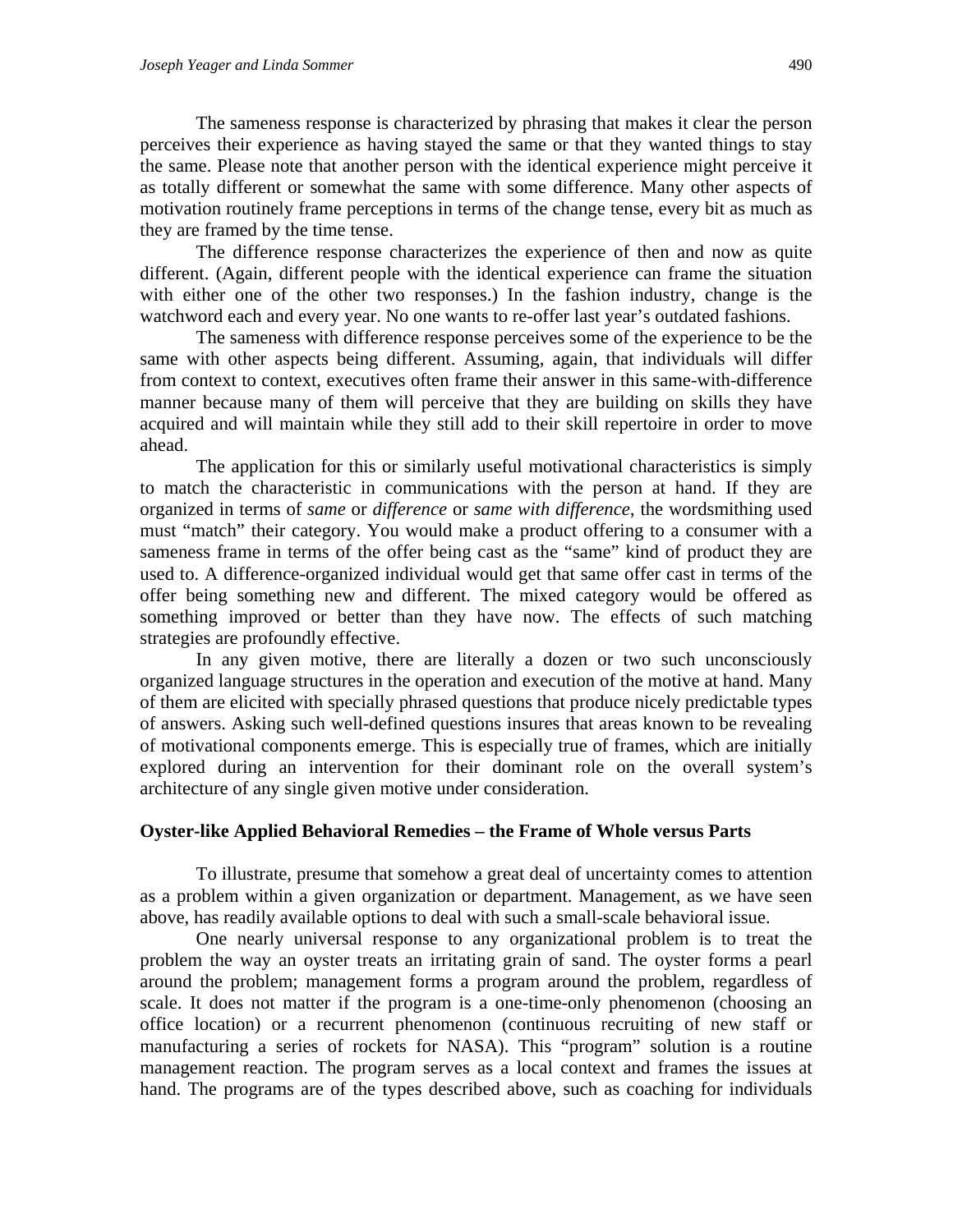The sameness response is characterized by phrasing that makes it clear the person perceives their experience as having stayed the same or that they wanted things to stay the same. Please note that another person with the identical experience might perceive it as totally different or somewhat the same with some difference. Many other aspects of motivation routinely frame perceptions in terms of the change tense, every bit as much as they are framed by the time tense.

The difference response characterizes the experience of then and now as quite different. (Again, different people with the identical experience can frame the situation with either one of the other two responses.) In the fashion industry, change is the watchword each and every year. No one wants to re-offer last year's outdated fashions.

The sameness with difference response perceives some of the experience to be the same with other aspects being different. Assuming, again, that individuals will differ from context to context, executives often frame their answer in this same-with-difference manner because many of them will perceive that they are building on skills they have acquired and will maintain while they still add to their skill repertoire in order to move ahead.

The application for this or similarly useful motivational characteristics is simply to match the characteristic in communications with the person at hand. If they are organized in terms of *same* or *difference* or *same with difference*, the wordsmithing used must "match" their category. You would make a product offering to a consumer with a sameness frame in terms of the offer being cast as the "same" kind of product they are used to. A difference-organized individual would get that same offer cast in terms of the offer being something new and different. The mixed category would be offered as something improved or better than they have now. The effects of such matching strategies are profoundly effective.

In any given motive, there are literally a dozen or two such unconsciously organized language structures in the operation and execution of the motive at hand. Many of them are elicited with specially phrased questions that produce nicely predictable types of answers. Asking such well-defined questions insures that areas known to be revealing of motivational components emerge. This is especially true of frames, which are initially explored during an intervention for their dominant role on the overall system's architecture of any single given motive under consideration.

#### **Oyster-like Applied Behavioral Remedies – the Frame of Whole versus Parts**

To illustrate, presume that somehow a great deal of uncertainty comes to attention as a problem within a given organization or department. Management, as we have seen above, has readily available options to deal with such a small-scale behavioral issue.

One nearly universal response to any organizational problem is to treat the problem the way an oyster treats an irritating grain of sand. The oyster forms a pearl around the problem; management forms a program around the problem, regardless of scale. It does not matter if the program is a one-time-only phenomenon (choosing an office location) or a recurrent phenomenon (continuous recruiting of new staff or manufacturing a series of rockets for NASA). This "program" solution is a routine management reaction. The program serves as a local context and frames the issues at hand. The programs are of the types described above, such as coaching for individuals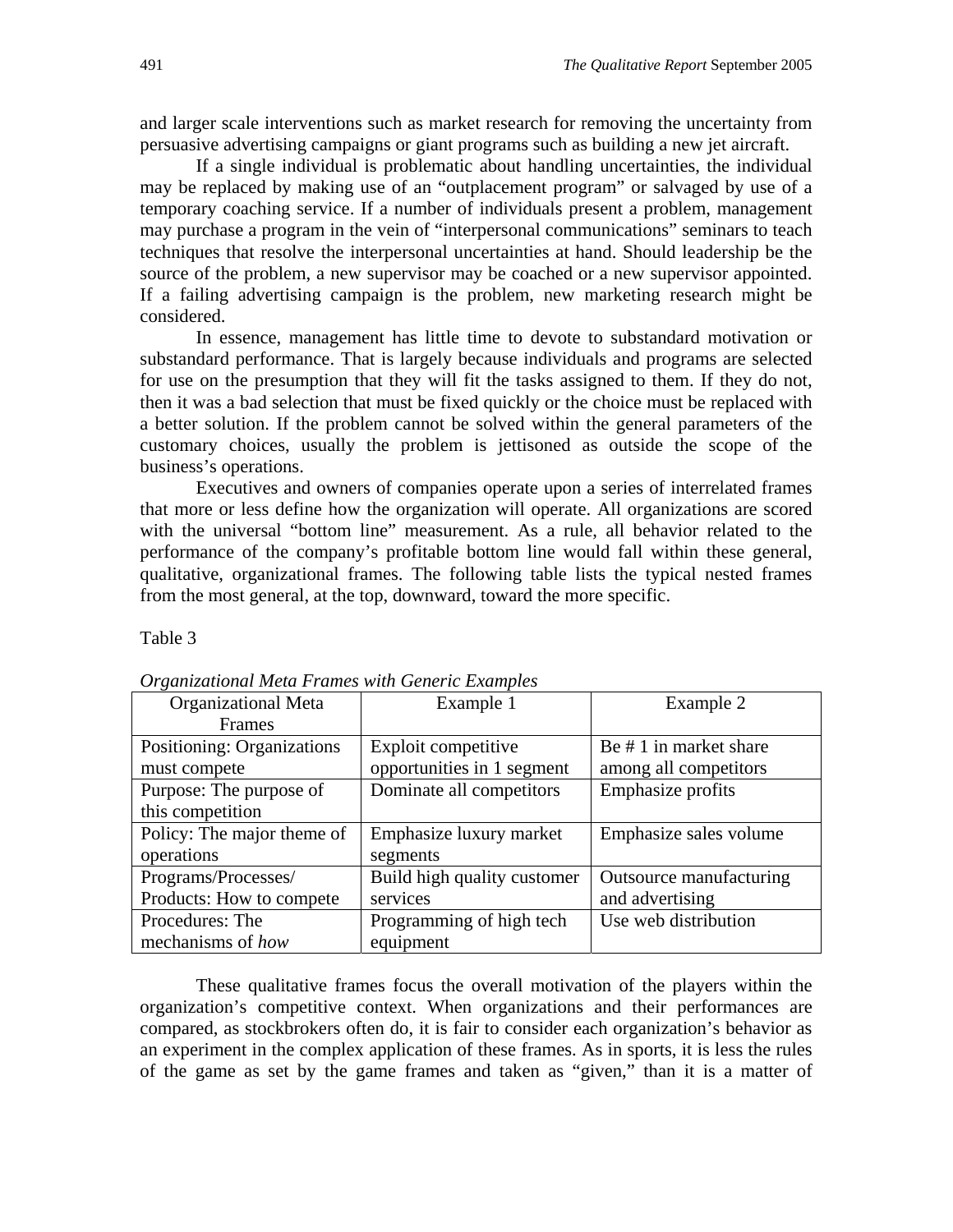and larger scale interventions such as market research for removing the uncertainty from persuasive advertising campaigns or giant programs such as building a new jet aircraft.

If a single individual is problematic about handling uncertainties, the individual may be replaced by making use of an "outplacement program" or salvaged by use of a temporary coaching service. If a number of individuals present a problem, management may purchase a program in the vein of "interpersonal communications" seminars to teach techniques that resolve the interpersonal uncertainties at hand. Should leadership be the source of the problem, a new supervisor may be coached or a new supervisor appointed. If a failing advertising campaign is the problem, new marketing research might be considered.

In essence, management has little time to devote to substandard motivation or substandard performance. That is largely because individuals and programs are selected for use on the presumption that they will fit the tasks assigned to them. If they do not, then it was a bad selection that must be fixed quickly or the choice must be replaced with a better solution. If the problem cannot be solved within the general parameters of the customary choices, usually the problem is jettisoned as outside the scope of the business's operations.

Executives and owners of companies operate upon a series of interrelated frames that more or less define how the organization will operate. All organizations are scored with the universal "bottom line" measurement. As a rule, all behavior related to the performance of the company's profitable bottom line would fall within these general, qualitative, organizational frames. The following table lists the typical nested frames from the most general, at the top, downward, toward the more specific.

Table 3

| <b>Organizational Meta</b> | Example 1                   | Example 2               |
|----------------------------|-----------------------------|-------------------------|
| Frames                     |                             |                         |
| Positioning: Organizations | Exploit competitive         | Be # 1 in market share  |
| must compete               | opportunities in 1 segment  | among all competitors   |
| Purpose: The purpose of    | Dominate all competitors    | Emphasize profits       |
| this competition           |                             |                         |
| Policy: The major theme of | Emphasize luxury market     | Emphasize sales volume  |
| operations                 | segments                    |                         |
| Programs/Processes/        | Build high quality customer | Outsource manufacturing |
| Products: How to compete   | services                    | and advertising         |
| Procedures: The            | Programming of high tech    | Use web distribution    |
| mechanisms of how          | equipment                   |                         |

*Organizational Meta Frames with Generic Examples* 

These qualitative frames focus the overall motivation of the players within the organization's competitive context. When organizations and their performances are compared, as stockbrokers often do, it is fair to consider each organization's behavior as an experiment in the complex application of these frames. As in sports, it is less the rules of the game as set by the game frames and taken as "given," than it is a matter of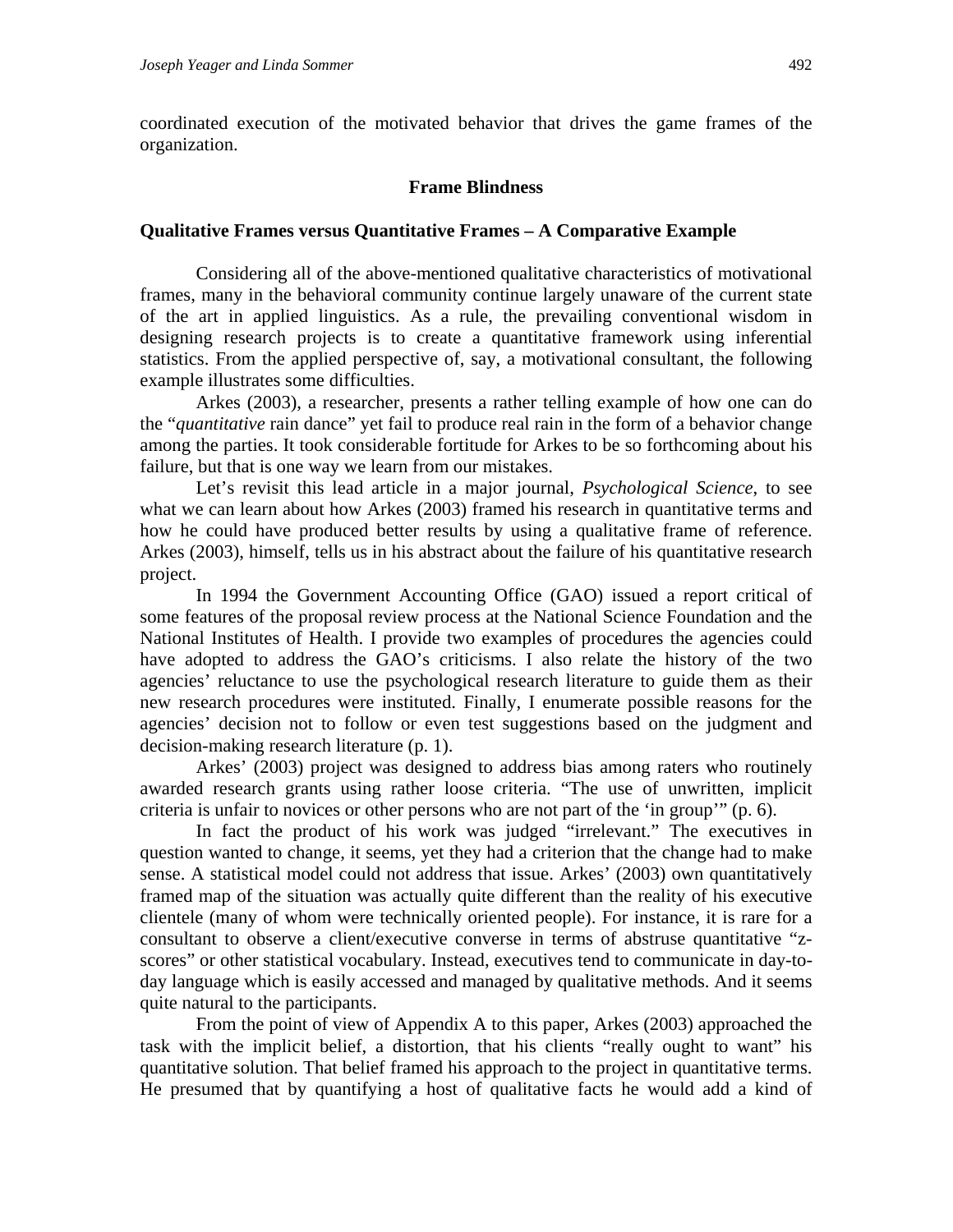coordinated execution of the motivated behavior that drives the game frames of the organization.

#### **Frame Blindness**

#### **Qualitative Frames versus Quantitative Frames – A Comparative Example**

Considering all of the above-mentioned qualitative characteristics of motivational frames, many in the behavioral community continue largely unaware of the current state of the art in applied linguistics. As a rule, the prevailing conventional wisdom in designing research projects is to create a quantitative framework using inferential statistics. From the applied perspective of, say, a motivational consultant, the following example illustrates some difficulties.

Arkes (2003), a researcher, presents a rather telling example of how one can do the "*quantitative* rain dance" yet fail to produce real rain in the form of a behavior change among the parties. It took considerable fortitude for Arkes to be so forthcoming about his failure, but that is one way we learn from our mistakes.

Let's revisit this lead article in a major journal, *Psychological Science*, to see what we can learn about how Arkes (2003) framed his research in quantitative terms and how he could have produced better results by using a qualitative frame of reference. Arkes (2003), himself, tells us in his abstract about the failure of his quantitative research project.

In 1994 the Government Accounting Office (GAO) issued a report critical of some features of the proposal review process at the National Science Foundation and the National Institutes of Health. I provide two examples of procedures the agencies could have adopted to address the GAO's criticisms. I also relate the history of the two agencies' reluctance to use the psychological research literature to guide them as their new research procedures were instituted. Finally, I enumerate possible reasons for the agencies' decision not to follow or even test suggestions based on the judgment and decision-making research literature (p. 1).

Arkes' (2003) project was designed to address bias among raters who routinely awarded research grants using rather loose criteria. "The use of unwritten, implicit criteria is unfair to novices or other persons who are not part of the 'in group'" (p. 6).

In fact the product of his work was judged "irrelevant." The executives in question wanted to change, it seems, yet they had a criterion that the change had to make sense. A statistical model could not address that issue. Arkes' (2003) own quantitatively framed map of the situation was actually quite different than the reality of his executive clientele (many of whom were technically oriented people). For instance, it is rare for a consultant to observe a client/executive converse in terms of abstruse quantitative "zscores" or other statistical vocabulary. Instead, executives tend to communicate in day-today language which is easily accessed and managed by qualitative methods. And it seems quite natural to the participants.

From the point of view of Appendix A to this paper, Arkes (2003) approached the task with the implicit belief, a distortion, that his clients "really ought to want" his quantitative solution. That belief framed his approach to the project in quantitative terms. He presumed that by quantifying a host of qualitative facts he would add a kind of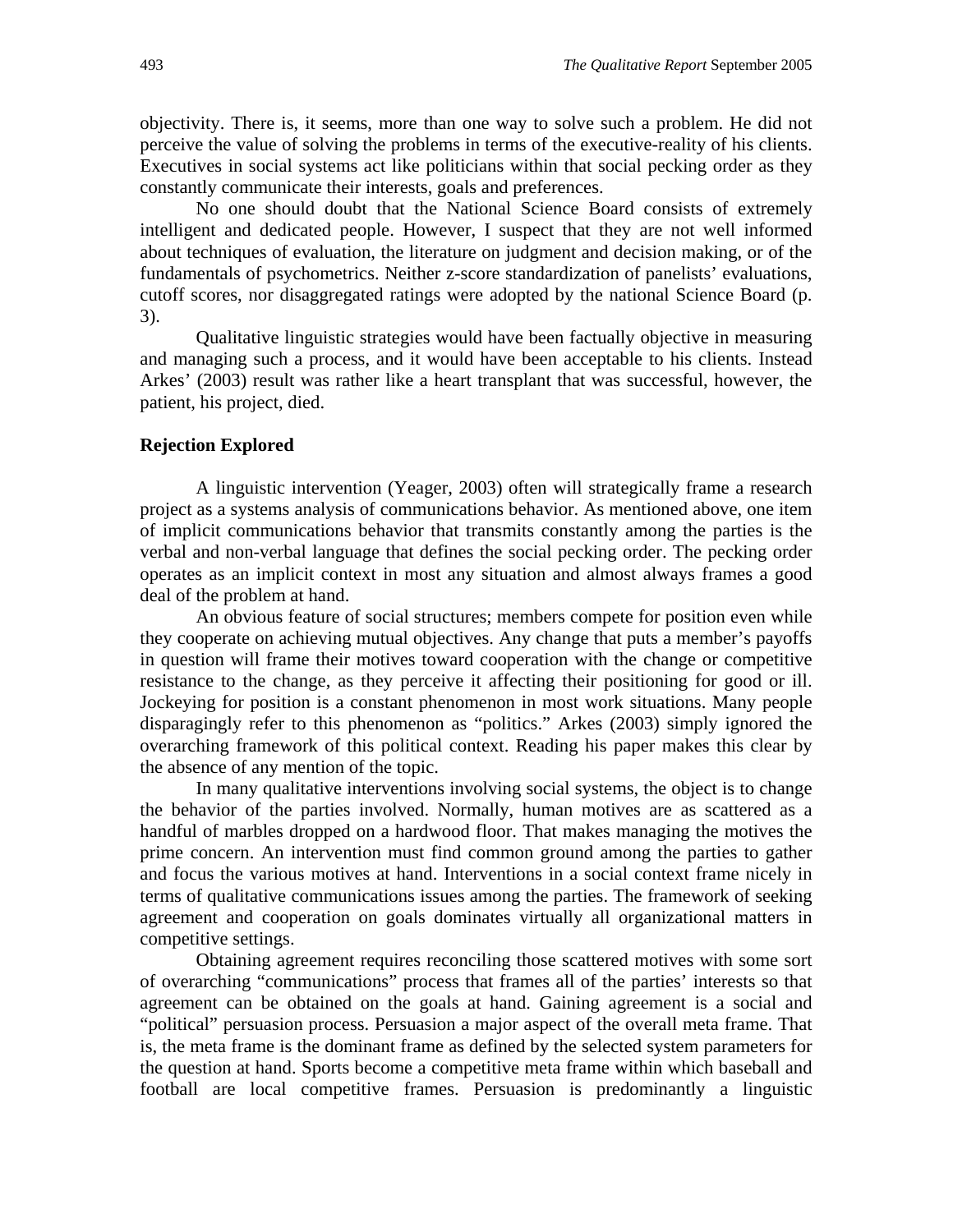objectivity. There is, it seems, more than one way to solve such a problem. He did not perceive the value of solving the problems in terms of the executive-reality of his clients. Executives in social systems act like politicians within that social pecking order as they constantly communicate their interests, goals and preferences.

No one should doubt that the National Science Board consists of extremely intelligent and dedicated people. However, I suspect that they are not well informed about techniques of evaluation, the literature on judgment and decision making, or of the fundamentals of psychometrics. Neither z-score standardization of panelists' evaluations, cutoff scores, nor disaggregated ratings were adopted by the national Science Board (p. 3).

Qualitative linguistic strategies would have been factually objective in measuring and managing such a process, and it would have been acceptable to his clients. Instead Arkes' (2003) result was rather like a heart transplant that was successful, however, the patient, his project, died.

#### **Rejection Explored**

A linguistic intervention (Yeager, 2003) often will strategically frame a research project as a systems analysis of communications behavior. As mentioned above, one item of implicit communications behavior that transmits constantly among the parties is the verbal and non-verbal language that defines the social pecking order. The pecking order operates as an implicit context in most any situation and almost always frames a good deal of the problem at hand.

An obvious feature of social structures; members compete for position even while they cooperate on achieving mutual objectives. Any change that puts a member's payoffs in question will frame their motives toward cooperation with the change or competitive resistance to the change, as they perceive it affecting their positioning for good or ill. Jockeying for position is a constant phenomenon in most work situations. Many people disparagingly refer to this phenomenon as "politics." Arkes (2003) simply ignored the overarching framework of this political context. Reading his paper makes this clear by the absence of any mention of the topic.

In many qualitative interventions involving social systems, the object is to change the behavior of the parties involved. Normally, human motives are as scattered as a handful of marbles dropped on a hardwood floor. That makes managing the motives the prime concern. An intervention must find common ground among the parties to gather and focus the various motives at hand. Interventions in a social context frame nicely in terms of qualitative communications issues among the parties. The framework of seeking agreement and cooperation on goals dominates virtually all organizational matters in competitive settings.

Obtaining agreement requires reconciling those scattered motives with some sort of overarching "communications" process that frames all of the parties' interests so that agreement can be obtained on the goals at hand. Gaining agreement is a social and "political" persuasion process. Persuasion a major aspect of the overall meta frame. That is, the meta frame is the dominant frame as defined by the selected system parameters for the question at hand. Sports become a competitive meta frame within which baseball and football are local competitive frames. Persuasion is predominantly a linguistic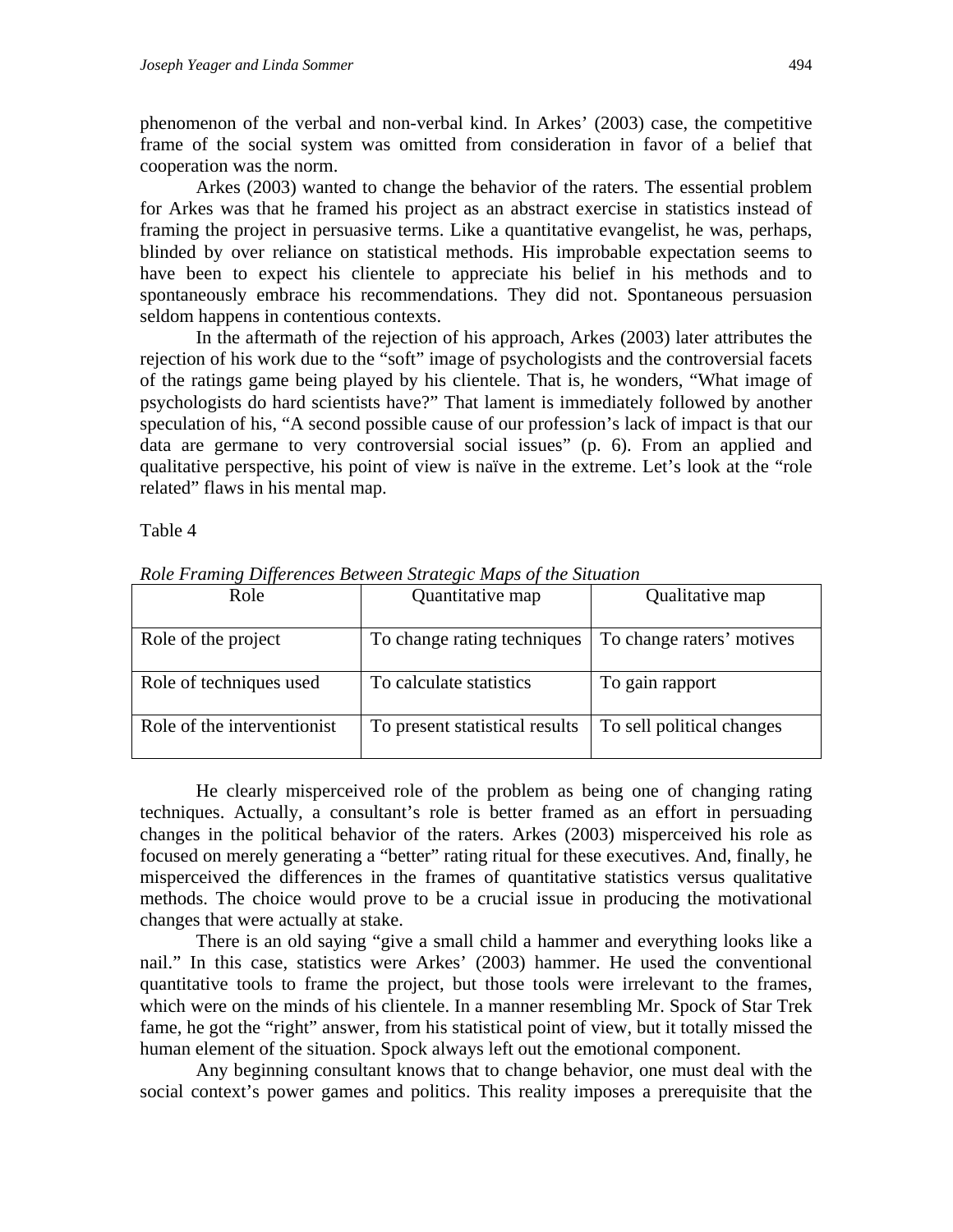phenomenon of the verbal and non-verbal kind. In Arkes' (2003) case, the competitive frame of the social system was omitted from consideration in favor of a belief that cooperation was the norm.

Arkes (2003) wanted to change the behavior of the raters. The essential problem for Arkes was that he framed his project as an abstract exercise in statistics instead of framing the project in persuasive terms. Like a quantitative evangelist, he was, perhaps, blinded by over reliance on statistical methods. His improbable expectation seems to have been to expect his clientele to appreciate his belief in his methods and to spontaneously embrace his recommendations. They did not. Spontaneous persuasion seldom happens in contentious contexts.

In the aftermath of the rejection of his approach, Arkes (2003) later attributes the rejection of his work due to the "soft" image of psychologists and the controversial facets of the ratings game being played by his clientele. That is, he wonders, "What image of psychologists do hard scientists have?" That lament is immediately followed by another speculation of his, "A second possible cause of our profession's lack of impact is that our data are germane to very controversial social issues" (p. 6). From an applied and qualitative perspective, his point of view is naïve in the extreme. Let's look at the "role related" flaws in his mental map.

Table 4

| Role                        | Quantitative map               | Qualitative map           |
|-----------------------------|--------------------------------|---------------------------|
| Role of the project         | To change rating techniques    | To change raters' motives |
| Role of techniques used     | To calculate statistics        | To gain rapport           |
| Role of the interventionist | To present statistical results | To sell political changes |

*Role Framing Differences Between Strategic Maps of the Situation*

He clearly misperceived role of the problem as being one of changing rating techniques. Actually, a consultant's role is better framed as an effort in persuading changes in the political behavior of the raters. Arkes (2003) misperceived his role as focused on merely generating a "better" rating ritual for these executives. And, finally, he misperceived the differences in the frames of quantitative statistics versus qualitative methods. The choice would prove to be a crucial issue in producing the motivational changes that were actually at stake.

There is an old saying "give a small child a hammer and everything looks like a nail." In this case, statistics were Arkes' (2003) hammer. He used the conventional quantitative tools to frame the project, but those tools were irrelevant to the frames, which were on the minds of his clientele. In a manner resembling Mr. Spock of Star Trek fame, he got the "right" answer, from his statistical point of view, but it totally missed the human element of the situation. Spock always left out the emotional component.

Any beginning consultant knows that to change behavior, one must deal with the social context's power games and politics. This reality imposes a prerequisite that the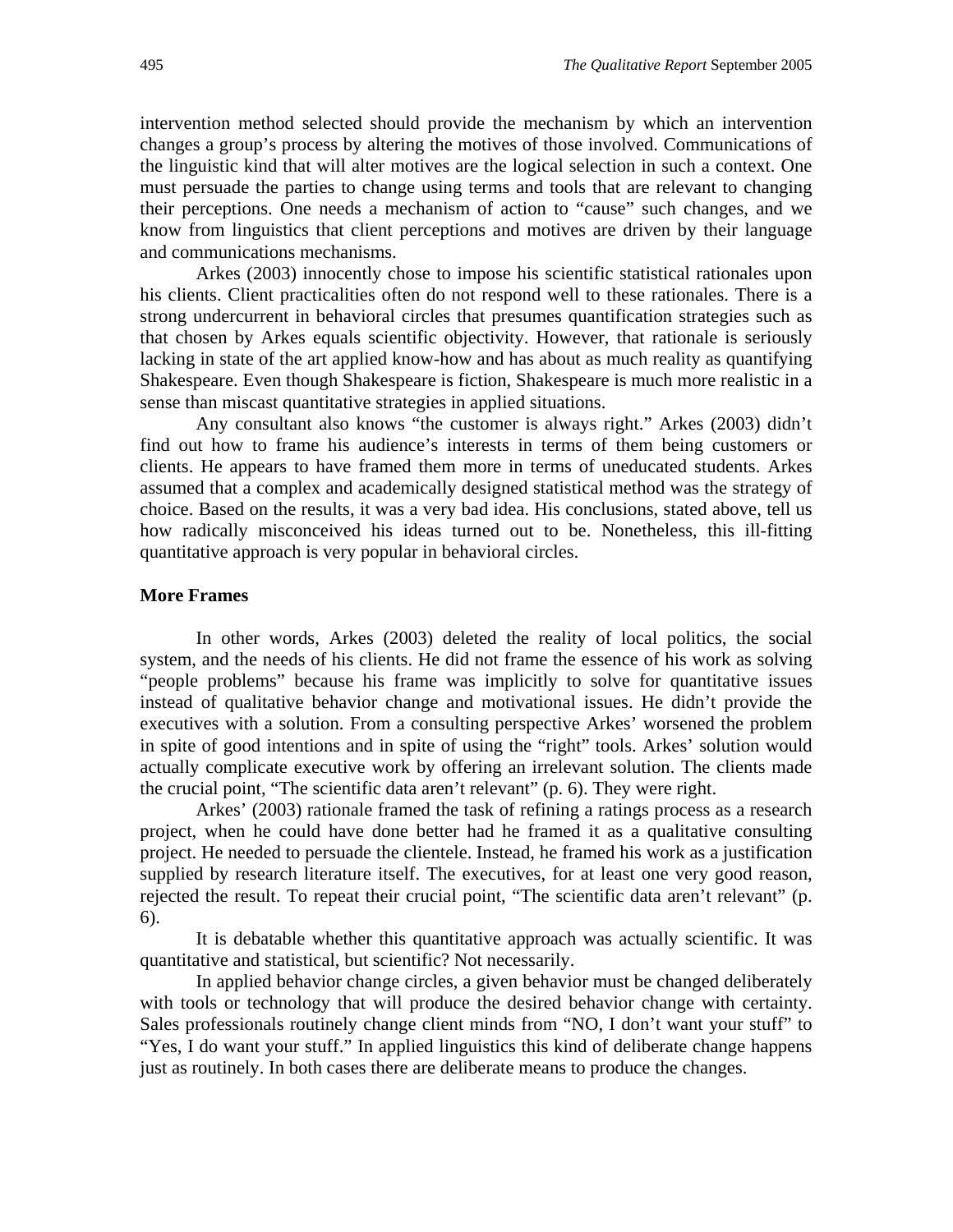intervention method selected should provide the mechanism by which an intervention changes a group's process by altering the motives of those involved. Communications of the linguistic kind that will alter motives are the logical selection in such a context. One must persuade the parties to change using terms and tools that are relevant to changing their perceptions. One needs a mechanism of action to "cause" such changes, and we know from linguistics that client perceptions and motives are driven by their language and communications mechanisms.

Arkes (2003) innocently chose to impose his scientific statistical rationales upon his clients. Client practicalities often do not respond well to these rationales. There is a strong undercurrent in behavioral circles that presumes quantification strategies such as that chosen by Arkes equals scientific objectivity. However, that rationale is seriously lacking in state of the art applied know-how and has about as much reality as quantifying Shakespeare. Even though Shakespeare is fiction, Shakespeare is much more realistic in a sense than miscast quantitative strategies in applied situations.

Any consultant also knows "the customer is always right." Arkes (2003) didn't find out how to frame his audience's interests in terms of them being customers or clients. He appears to have framed them more in terms of uneducated students. Arkes assumed that a complex and academically designed statistical method was the strategy of choice. Based on the results, it was a very bad idea. His conclusions, stated above, tell us how radically misconceived his ideas turned out to be. Nonetheless, this ill-fitting quantitative approach is very popular in behavioral circles.

#### **More Frames**

In other words, Arkes (2003) deleted the reality of local politics, the social system, and the needs of his clients. He did not frame the essence of his work as solving "people problems" because his frame was implicitly to solve for quantitative issues instead of qualitative behavior change and motivational issues. He didn't provide the executives with a solution. From a consulting perspective Arkes' worsened the problem in spite of good intentions and in spite of using the "right" tools. Arkes' solution would actually complicate executive work by offering an irrelevant solution. The clients made the crucial point, "The scientific data aren't relevant" (p. 6). They were right.

Arkes' (2003) rationale framed the task of refining a ratings process as a research project, when he could have done better had he framed it as a qualitative consulting project. He needed to persuade the clientele. Instead, he framed his work as a justification supplied by research literature itself. The executives, for at least one very good reason, rejected the result. To repeat their crucial point, "The scientific data aren't relevant" (p. 6).

It is debatable whether this quantitative approach was actually scientific. It was quantitative and statistical, but scientific? Not necessarily.

In applied behavior change circles, a given behavior must be changed deliberately with tools or technology that will produce the desired behavior change with certainty. Sales professionals routinely change client minds from "NO, I don't want your stuff" to "Yes, I do want your stuff." In applied linguistics this kind of deliberate change happens just as routinely. In both cases there are deliberate means to produce the changes.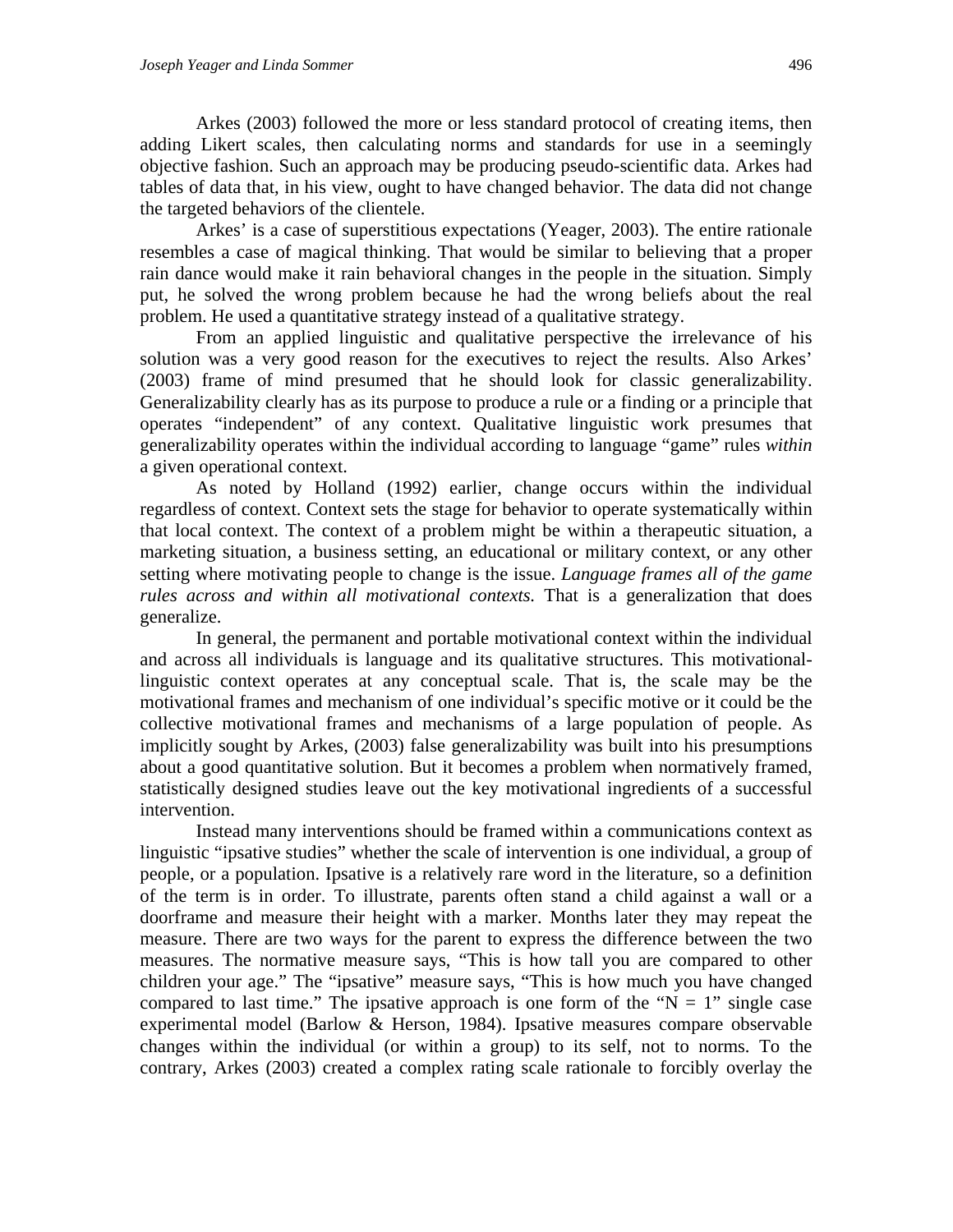Arkes (2003) followed the more or less standard protocol of creating items, then adding Likert scales, then calculating norms and standards for use in a seemingly objective fashion. Such an approach may be producing pseudo-scientific data. Arkes had tables of data that, in his view, ought to have changed behavior. The data did not change the targeted behaviors of the clientele.

Arkes' is a case of superstitious expectations (Yeager, 2003). The entire rationale resembles a case of magical thinking. That would be similar to believing that a proper rain dance would make it rain behavioral changes in the people in the situation. Simply put, he solved the wrong problem because he had the wrong beliefs about the real problem. He used a quantitative strategy instead of a qualitative strategy.

From an applied linguistic and qualitative perspective the irrelevance of his solution was a very good reason for the executives to reject the results. Also Arkes' (2003) frame of mind presumed that he should look for classic generalizability. Generalizability clearly has as its purpose to produce a rule or a finding or a principle that operates "independent" of any context. Qualitative linguistic work presumes that generalizability operates within the individual according to language "game" rules *within* a given operational context.

As noted by Holland (1992) earlier, change occurs within the individual regardless of context. Context sets the stage for behavior to operate systematically within that local context. The context of a problem might be within a therapeutic situation, a marketing situation, a business setting, an educational or military context, or any other setting where motivating people to change is the issue. *Language frames all of the game rules across and within all motivational contexts.* That is a generalization that does generalize.

In general, the permanent and portable motivational context within the individual and across all individuals is language and its qualitative structures. This motivationallinguistic context operates at any conceptual scale. That is, the scale may be the motivational frames and mechanism of one individual's specific motive or it could be the collective motivational frames and mechanisms of a large population of people. As implicitly sought by Arkes, (2003) false generalizability was built into his presumptions about a good quantitative solution. But it becomes a problem when normatively framed, statistically designed studies leave out the key motivational ingredients of a successful intervention.

Instead many interventions should be framed within a communications context as linguistic "ipsative studies" whether the scale of intervention is one individual, a group of people, or a population. Ipsative is a relatively rare word in the literature, so a definition of the term is in order. To illustrate, parents often stand a child against a wall or a doorframe and measure their height with a marker. Months later they may repeat the measure. There are two ways for the parent to express the difference between the two measures. The normative measure says, "This is how tall you are compared to other children your age." The "ipsative" measure says, "This is how much you have changed compared to last time." The ipsative approach is one form of the " $N = 1$ " single case experimental model (Barlow & Herson, 1984). Ipsative measures compare observable changes within the individual (or within a group) to its self, not to norms. To the contrary, Arkes (2003) created a complex rating scale rationale to forcibly overlay the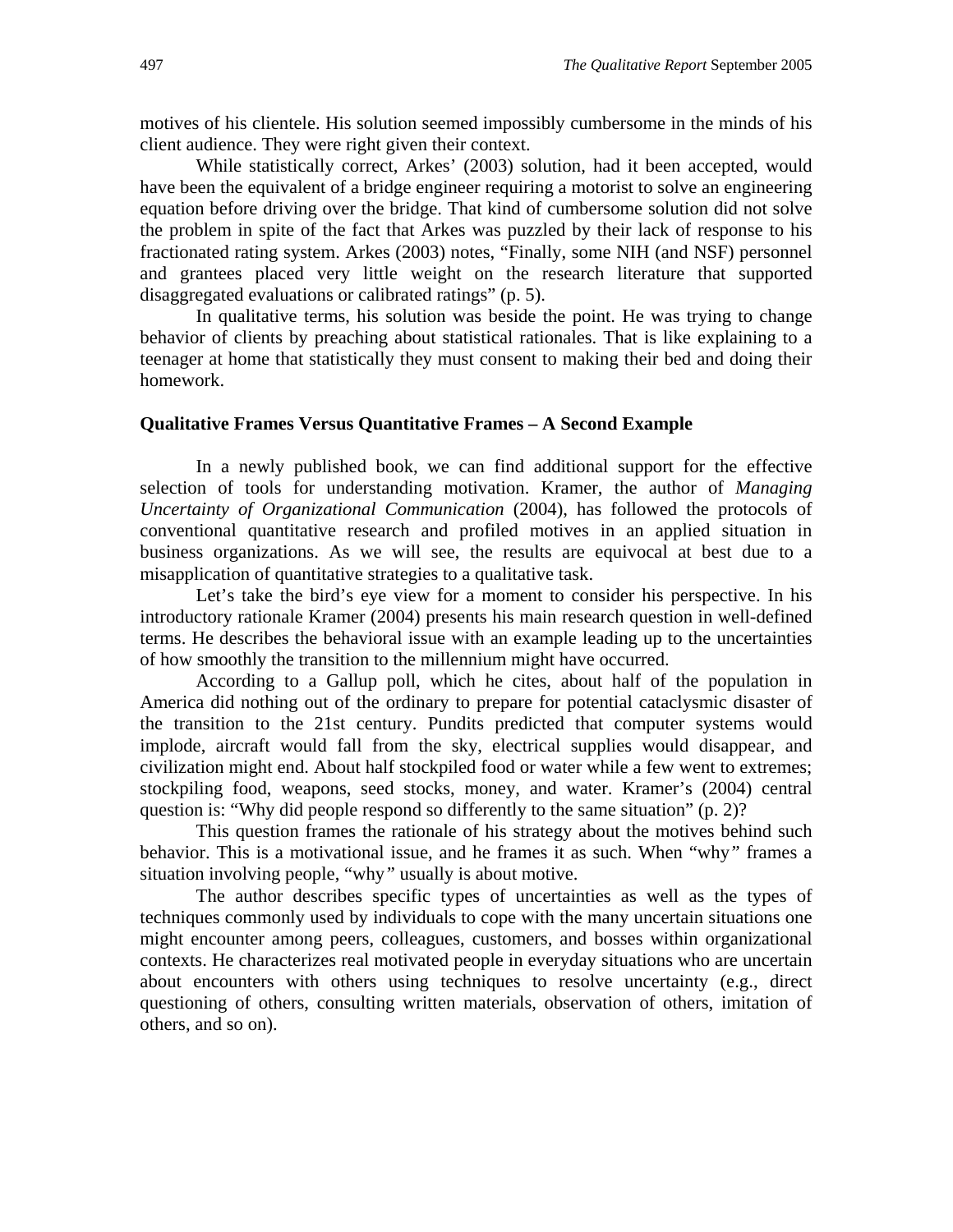motives of his clientele. His solution seemed impossibly cumbersome in the minds of his client audience. They were right given their context.

While statistically correct, Arkes' (2003) solution, had it been accepted, would have been the equivalent of a bridge engineer requiring a motorist to solve an engineering equation before driving over the bridge. That kind of cumbersome solution did not solve the problem in spite of the fact that Arkes was puzzled by their lack of response to his fractionated rating system. Arkes (2003) notes, "Finally, some NIH (and NSF) personnel and grantees placed very little weight on the research literature that supported disaggregated evaluations or calibrated ratings" (p. 5).

In qualitative terms, his solution was beside the point. He was trying to change behavior of clients by preaching about statistical rationales. That is like explaining to a teenager at home that statistically they must consent to making their bed and doing their homework.

#### **Qualitative Frames Versus Quantitative Frames – A Second Example**

In a newly published book, we can find additional support for the effective selection of tools for understanding motivation. Kramer, the author of *Managing Uncertainty of Organizational Communication* (2004), has followed the protocols of conventional quantitative research and profiled motives in an applied situation in business organizations. As we will see, the results are equivocal at best due to a misapplication of quantitative strategies to a qualitative task.

Let's take the bird's eye view for a moment to consider his perspective. In his introductory rationale Kramer (2004) presents his main research question in well-defined terms. He describes the behavioral issue with an example leading up to the uncertainties of how smoothly the transition to the millennium might have occurred.

According to a Gallup poll, which he cites, about half of the population in America did nothing out of the ordinary to prepare for potential cataclysmic disaster of the transition to the 21st century. Pundits predicted that computer systems would implode, aircraft would fall from the sky, electrical supplies would disappear, and civilization might end. About half stockpiled food or water while a few went to extremes; stockpiling food, weapons, seed stocks, money, and water. Kramer's (2004) central question is: "Why did people respond so differently to the same situation" (p. 2)?

This question frames the rationale of his strategy about the motives behind such behavior. This is a motivational issue, and he frames it as such. When "why*"* frames a situation involving people, "why*"* usually is about motive.

The author describes specific types of uncertainties as well as the types of techniques commonly used by individuals to cope with the many uncertain situations one might encounter among peers, colleagues, customers, and bosses within organizational contexts. He characterizes real motivated people in everyday situations who are uncertain about encounters with others using techniques to resolve uncertainty (e.g., direct questioning of others, consulting written materials, observation of others, imitation of others, and so on).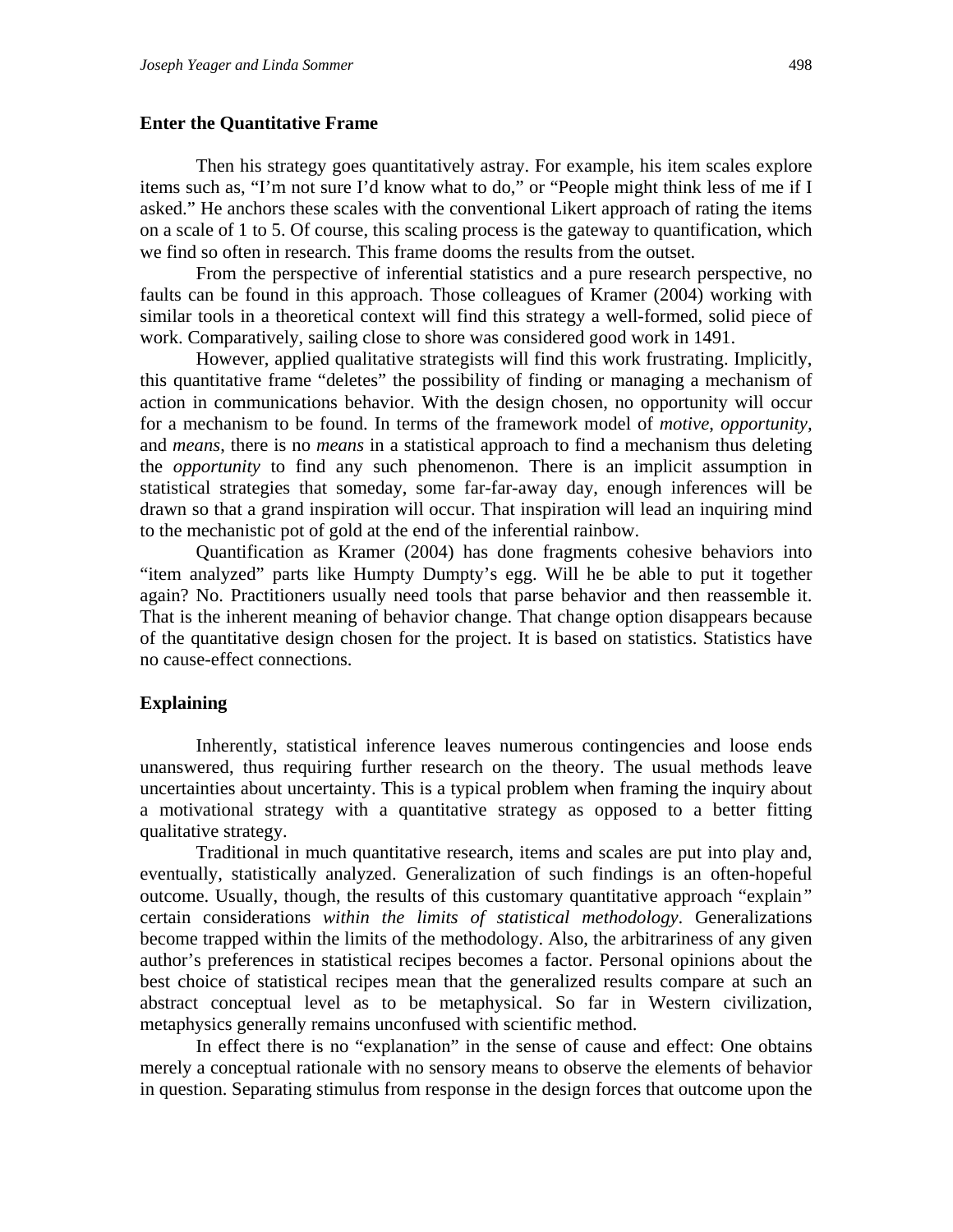#### **Enter the Quantitative Frame**

Then his strategy goes quantitatively astray. For example, his item scales explore items such as, "I'm not sure I'd know what to do," or "People might think less of me if I asked." He anchors these scales with the conventional Likert approach of rating the items on a scale of 1 to 5. Of course, this scaling process is the gateway to quantification, which we find so often in research. This frame dooms the results from the outset.

From the perspective of inferential statistics and a pure research perspective, no faults can be found in this approach. Those colleagues of Kramer (2004) working with similar tools in a theoretical context will find this strategy a well-formed, solid piece of work. Comparatively, sailing close to shore was considered good work in 1491.

However, applied qualitative strategists will find this work frustrating. Implicitly, this quantitative frame "deletes" the possibility of finding or managing a mechanism of action in communications behavior. With the design chosen, no opportunity will occur for a mechanism to be found. In terms of the framework model of *motive*, *opportunity,* and *means*, there is no *means* in a statistical approach to find a mechanism thus deleting the *opportunity* to find any such phenomenon. There is an implicit assumption in statistical strategies that someday, some far-far-away day, enough inferences will be drawn so that a grand inspiration will occur. That inspiration will lead an inquiring mind to the mechanistic pot of gold at the end of the inferential rainbow.

Quantification as Kramer (2004) has done fragments cohesive behaviors into "item analyzed" parts like Humpty Dumpty's egg. Will he be able to put it together again? No. Practitioners usually need tools that parse behavior and then reassemble it. That is the inherent meaning of behavior change. That change option disappears because of the quantitative design chosen for the project. It is based on statistics. Statistics have no cause-effect connections.

#### **Explaining**

Inherently, statistical inference leaves numerous contingencies and loose ends unanswered, thus requiring further research on the theory. The usual methods leave uncertainties about uncertainty. This is a typical problem when framing the inquiry about a motivational strategy with a quantitative strategy as opposed to a better fitting qualitative strategy.

Traditional in much quantitative research, items and scales are put into play and, eventually, statistically analyzed. Generalization of such findings is an often-hopeful outcome. Usually, though, the results of this customary quantitative approach "explain*"* certain considerations *within the limits of statistical methodology*. Generalizations become trapped within the limits of the methodology. Also, the arbitrariness of any given author's preferences in statistical recipes becomes a factor. Personal opinions about the best choice of statistical recipes mean that the generalized results compare at such an abstract conceptual level as to be metaphysical. So far in Western civilization, metaphysics generally remains unconfused with scientific method.

In effect there is no "explanation" in the sense of cause and effect: One obtains merely a conceptual rationale with no sensory means to observe the elements of behavior in question. Separating stimulus from response in the design forces that outcome upon the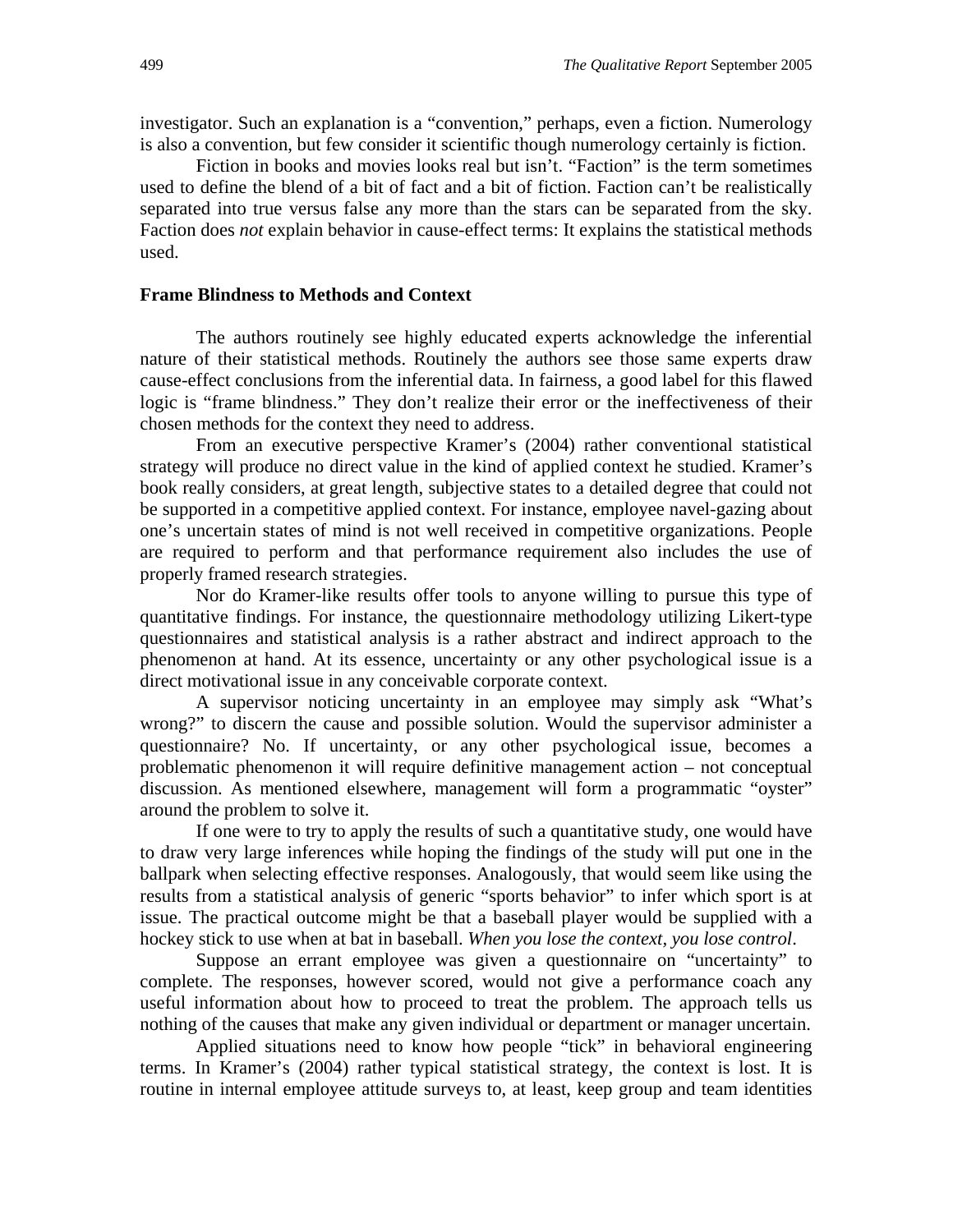investigator. Such an explanation is a "convention," perhaps, even a fiction. Numerology is also a convention, but few consider it scientific though numerology certainly is fiction.

Fiction in books and movies looks real but isn't. "Faction" is the term sometimes used to define the blend of a bit of fact and a bit of fiction. Faction can't be realistically separated into true versus false any more than the stars can be separated from the sky. Faction does *not* explain behavior in cause-effect terms: It explains the statistical methods used.

#### **Frame Blindness to Methods and Context**

The authors routinely see highly educated experts acknowledge the inferential nature of their statistical methods. Routinely the authors see those same experts draw cause-effect conclusions from the inferential data. In fairness, a good label for this flawed logic is "frame blindness." They don't realize their error or the ineffectiveness of their chosen methods for the context they need to address.

From an executive perspective Kramer's (2004) rather conventional statistical strategy will produce no direct value in the kind of applied context he studied. Kramer's book really considers, at great length, subjective states to a detailed degree that could not be supported in a competitive applied context. For instance, employee navel-gazing about one's uncertain states of mind is not well received in competitive organizations. People are required to perform and that performance requirement also includes the use of properly framed research strategies.

Nor do Kramer-like results offer tools to anyone willing to pursue this type of quantitative findings. For instance, the questionnaire methodology utilizing Likert-type questionnaires and statistical analysis is a rather abstract and indirect approach to the phenomenon at hand. At its essence, uncertainty or any other psychological issue is a direct motivational issue in any conceivable corporate context.

A supervisor noticing uncertainty in an employee may simply ask "What's wrong?" to discern the cause and possible solution. Would the supervisor administer a questionnaire? No. If uncertainty, or any other psychological issue, becomes a problematic phenomenon it will require definitive management action – not conceptual discussion. As mentioned elsewhere, management will form a programmatic "oyster" around the problem to solve it.

If one were to try to apply the results of such a quantitative study, one would have to draw very large inferences while hoping the findings of the study will put one in the ballpark when selecting effective responses. Analogously, that would seem like using the results from a statistical analysis of generic "sports behavior" to infer which sport is at issue. The practical outcome might be that a baseball player would be supplied with a hockey stick to use when at bat in baseball. *When you lose the context, you lose control*.

Suppose an errant employee was given a questionnaire on "uncertainty" to complete. The responses, however scored, would not give a performance coach any useful information about how to proceed to treat the problem. The approach tells us nothing of the causes that make any given individual or department or manager uncertain.

Applied situations need to know how people "tick" in behavioral engineering terms. In Kramer's (2004) rather typical statistical strategy, the context is lost. It is routine in internal employee attitude surveys to, at least, keep group and team identities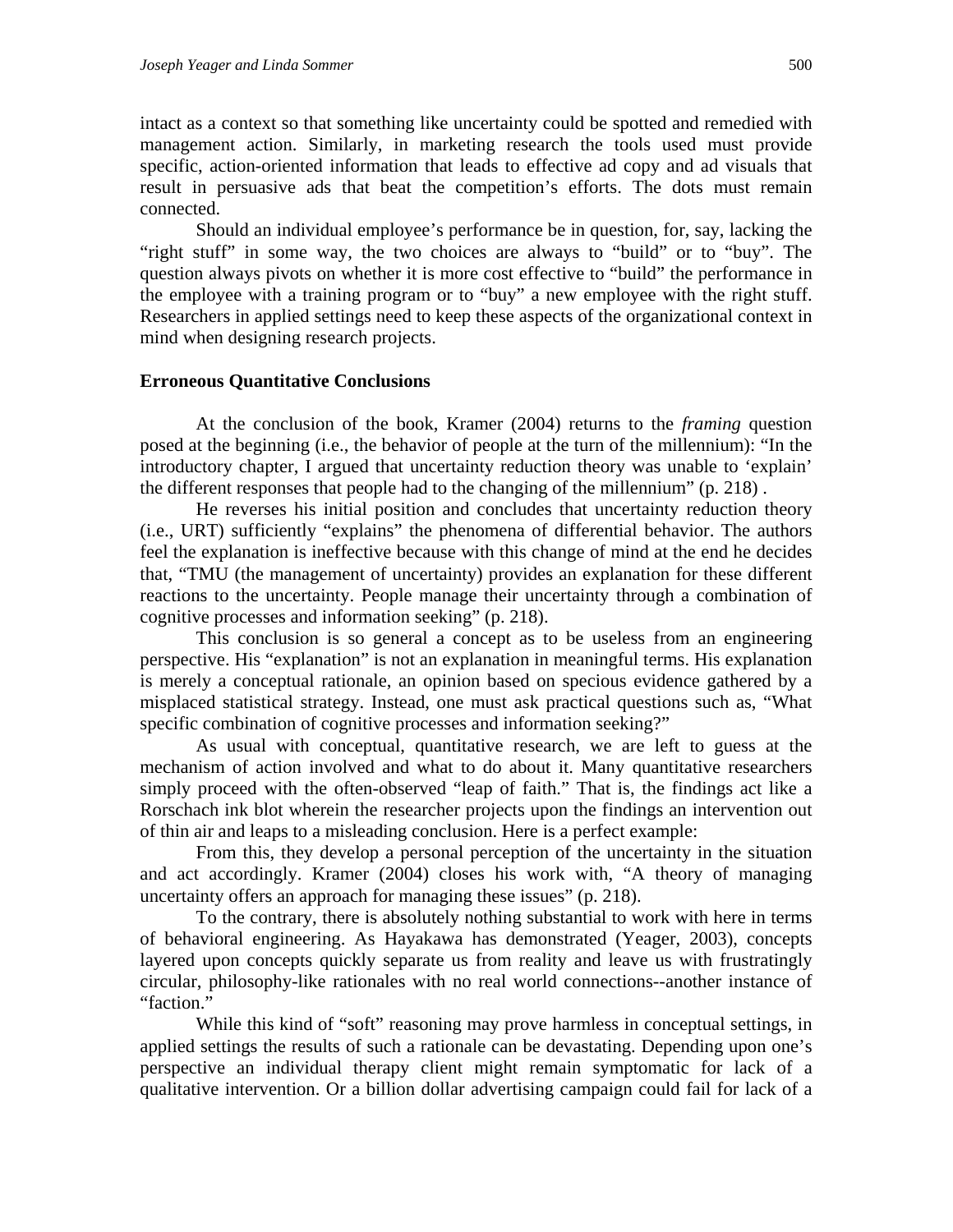intact as a context so that something like uncertainty could be spotted and remedied with management action. Similarly, in marketing research the tools used must provide specific, action-oriented information that leads to effective ad copy and ad visuals that result in persuasive ads that beat the competition's efforts. The dots must remain connected.

Should an individual employee's performance be in question, for, say, lacking the "right stuff" in some way, the two choices are always to "build" or to "buy". The question always pivots on whether it is more cost effective to "build" the performance in the employee with a training program or to "buy" a new employee with the right stuff. Researchers in applied settings need to keep these aspects of the organizational context in mind when designing research projects.

#### **Erroneous Quantitative Conclusions**

At the conclusion of the book, Kramer (2004) returns to the *framing* question posed at the beginning (i.e., the behavior of people at the turn of the millennium): "In the introductory chapter, I argued that uncertainty reduction theory was unable to 'explain' the different responses that people had to the changing of the millennium" (p. 218) .

He reverses his initial position and concludes that uncertainty reduction theory (i.e., URT) sufficiently "explains" the phenomena of differential behavior. The authors feel the explanation is ineffective because with this change of mind at the end he decides that, "TMU (the management of uncertainty) provides an explanation for these different reactions to the uncertainty. People manage their uncertainty through a combination of cognitive processes and information seeking" (p. 218).

This conclusion is so general a concept as to be useless from an engineering perspective. His "explanation" is not an explanation in meaningful terms. His explanation is merely a conceptual rationale, an opinion based on specious evidence gathered by a misplaced statistical strategy. Instead, one must ask practical questions such as, "What specific combination of cognitive processes and information seeking?"

As usual with conceptual, quantitative research, we are left to guess at the mechanism of action involved and what to do about it. Many quantitative researchers simply proceed with the often-observed "leap of faith." That is, the findings act like a Rorschach ink blot wherein the researcher projects upon the findings an intervention out of thin air and leaps to a misleading conclusion. Here is a perfect example:

From this, they develop a personal perception of the uncertainty in the situation and act accordingly. Kramer (2004) closes his work with, "A theory of managing uncertainty offers an approach for managing these issues" (p. 218).

To the contrary, there is absolutely nothing substantial to work with here in terms of behavioral engineering. As Hayakawa has demonstrated (Yeager, 2003), concepts layered upon concepts quickly separate us from reality and leave us with frustratingly circular, philosophy-like rationales with no real world connections--another instance of "faction."

While this kind of "soft" reasoning may prove harmless in conceptual settings, in applied settings the results of such a rationale can be devastating. Depending upon one's perspective an individual therapy client might remain symptomatic for lack of a qualitative intervention. Or a billion dollar advertising campaign could fail for lack of a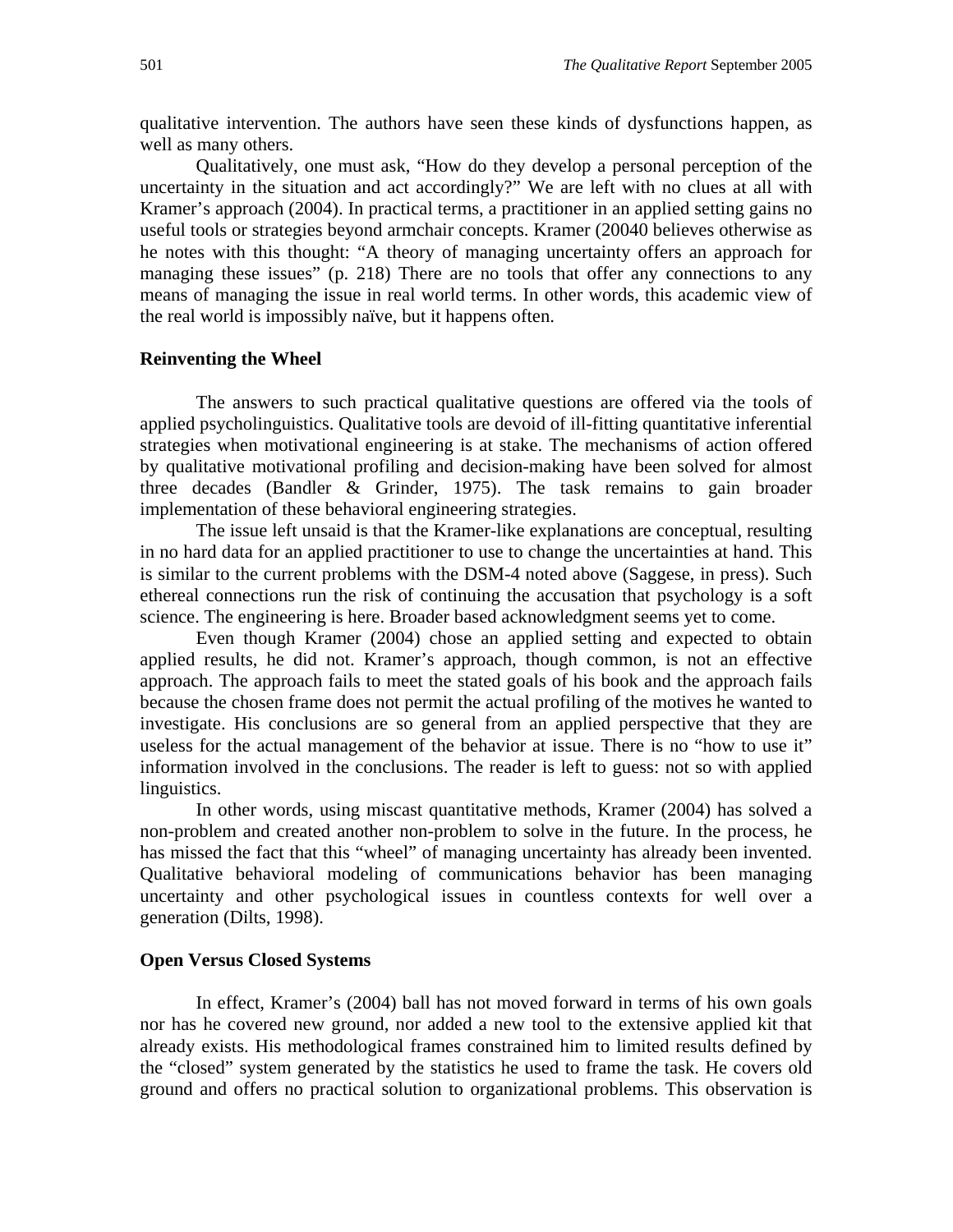qualitative intervention. The authors have seen these kinds of dysfunctions happen, as well as many others.

Qualitatively, one must ask, "How do they develop a personal perception of the uncertainty in the situation and act accordingly?" We are left with no clues at all with Kramer's approach (2004). In practical terms, a practitioner in an applied setting gains no useful tools or strategies beyond armchair concepts. Kramer (20040 believes otherwise as he notes with this thought: "A theory of managing uncertainty offers an approach for managing these issues" (p. 218) There are no tools that offer any connections to any means of managing the issue in real world terms. In other words, this academic view of the real world is impossibly naïve, but it happens often.

#### **Reinventing the Wheel**

The answers to such practical qualitative questions are offered via the tools of applied psycholinguistics. Qualitative tools are devoid of ill-fitting quantitative inferential strategies when motivational engineering is at stake. The mechanisms of action offered by qualitative motivational profiling and decision-making have been solved for almost three decades (Bandler & Grinder, 1975). The task remains to gain broader implementation of these behavioral engineering strategies.

The issue left unsaid is that the Kramer-like explanations are conceptual, resulting in no hard data for an applied practitioner to use to change the uncertainties at hand. This is similar to the current problems with the DSM-4 noted above (Saggese, in press). Such ethereal connections run the risk of continuing the accusation that psychology is a soft science. The engineering is here. Broader based acknowledgment seems yet to come.

Even though Kramer (2004) chose an applied setting and expected to obtain applied results, he did not. Kramer's approach, though common, is not an effective approach. The approach fails to meet the stated goals of his book and the approach fails because the chosen frame does not permit the actual profiling of the motives he wanted to investigate. His conclusions are so general from an applied perspective that they are useless for the actual management of the behavior at issue. There is no "how to use it" information involved in the conclusions. The reader is left to guess: not so with applied linguistics.

In other words, using miscast quantitative methods, Kramer (2004) has solved a non-problem and created another non-problem to solve in the future. In the process, he has missed the fact that this "wheel" of managing uncertainty has already been invented. Qualitative behavioral modeling of communications behavior has been managing uncertainty and other psychological issues in countless contexts for well over a generation (Dilts, 1998).

#### **Open Versus Closed Systems**

In effect, Kramer's (2004) ball has not moved forward in terms of his own goals nor has he covered new ground, nor added a new tool to the extensive applied kit that already exists. His methodological frames constrained him to limited results defined by the "closed" system generated by the statistics he used to frame the task. He covers old ground and offers no practical solution to organizational problems. This observation is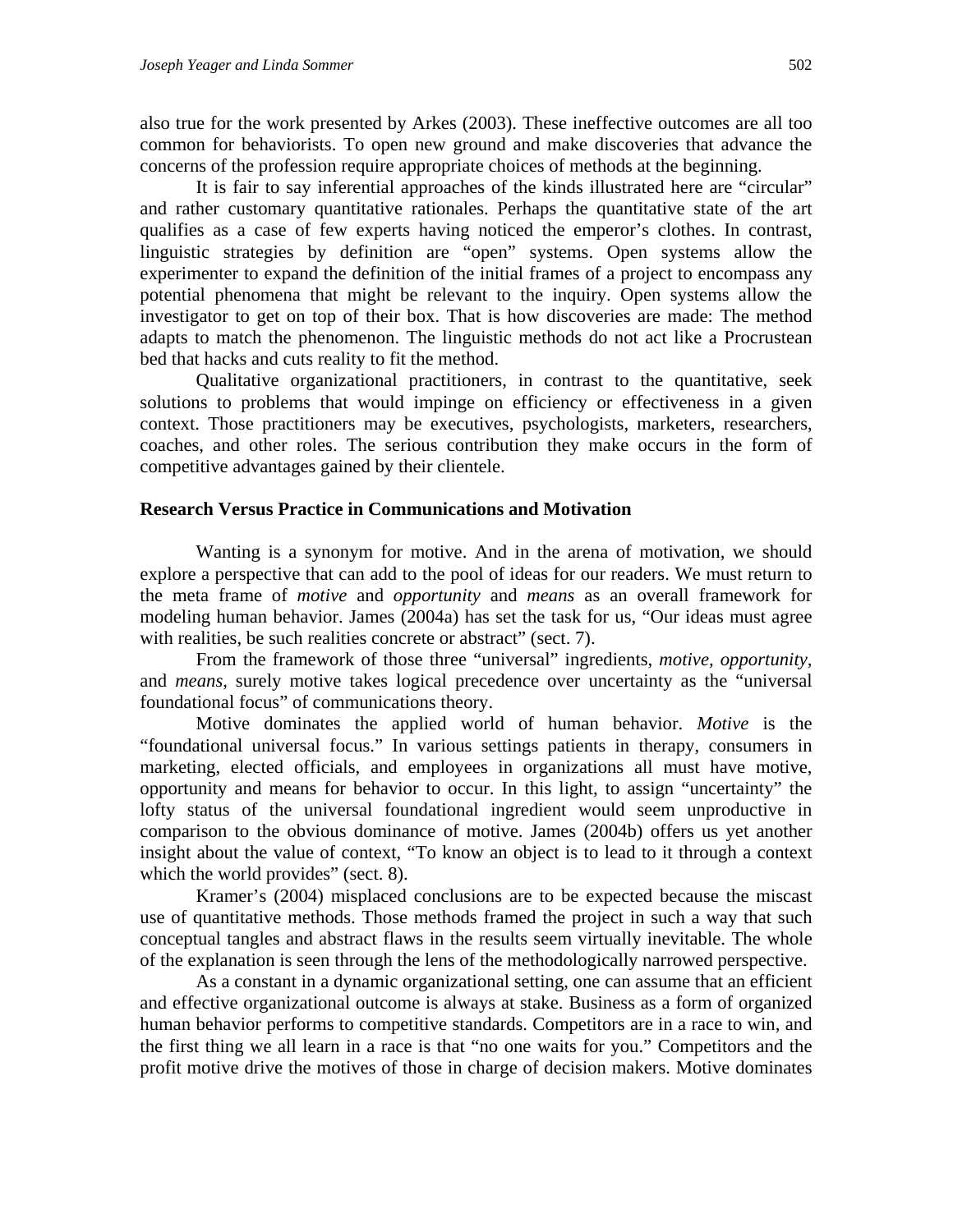also true for the work presented by Arkes (2003). These ineffective outcomes are all too common for behaviorists. To open new ground and make discoveries that advance the concerns of the profession require appropriate choices of methods at the beginning.

It is fair to say inferential approaches of the kinds illustrated here are "circular" and rather customary quantitative rationales. Perhaps the quantitative state of the art qualifies as a case of few experts having noticed the emperor's clothes. In contrast, linguistic strategies by definition are "open" systems. Open systems allow the experimenter to expand the definition of the initial frames of a project to encompass any potential phenomena that might be relevant to the inquiry. Open systems allow the investigator to get on top of their box. That is how discoveries are made: The method adapts to match the phenomenon. The linguistic methods do not act like a Procrustean bed that hacks and cuts reality to fit the method.

Qualitative organizational practitioners, in contrast to the quantitative, seek solutions to problems that would impinge on efficiency or effectiveness in a given context. Those practitioners may be executives, psychologists, marketers, researchers, coaches, and other roles. The serious contribution they make occurs in the form of competitive advantages gained by their clientele.

#### **Research Versus Practice in Communications and Motivation**

Wanting is a synonym for motive. And in the arena of motivation, we should explore a perspective that can add to the pool of ideas for our readers. We must return to the meta frame of *motive* and *opportunity* and *means* as an overall framework for modeling human behavior. James (2004a) has set the task for us, "Our ideas must agree with realities, be such realities concrete or abstract" (sect. 7).

From the framework of those three "universal" ingredients, *motive, opportunity,* and *means*, surely motive takes logical precedence over uncertainty as the "universal foundational focus" of communications theory.

Motive dominates the applied world of human behavior. *Motive* is the "foundational universal focus." In various settings patients in therapy, consumers in marketing, elected officials, and employees in organizations all must have motive, opportunity and means for behavior to occur. In this light, to assign "uncertainty" the lofty status of the universal foundational ingredient would seem unproductive in comparison to the obvious dominance of motive. James (2004b) offers us yet another insight about the value of context, "To know an object is to lead to it through a context which the world provides" (sect. 8).

Kramer's (2004) misplaced conclusions are to be expected because the miscast use of quantitative methods. Those methods framed the project in such a way that such conceptual tangles and abstract flaws in the results seem virtually inevitable. The whole of the explanation is seen through the lens of the methodologically narrowed perspective.

As a constant in a dynamic organizational setting, one can assume that an efficient and effective organizational outcome is always at stake. Business as a form of organized human behavior performs to competitive standards. Competitors are in a race to win, and the first thing we all learn in a race is that "no one waits for you." Competitors and the profit motive drive the motives of those in charge of decision makers. Motive dominates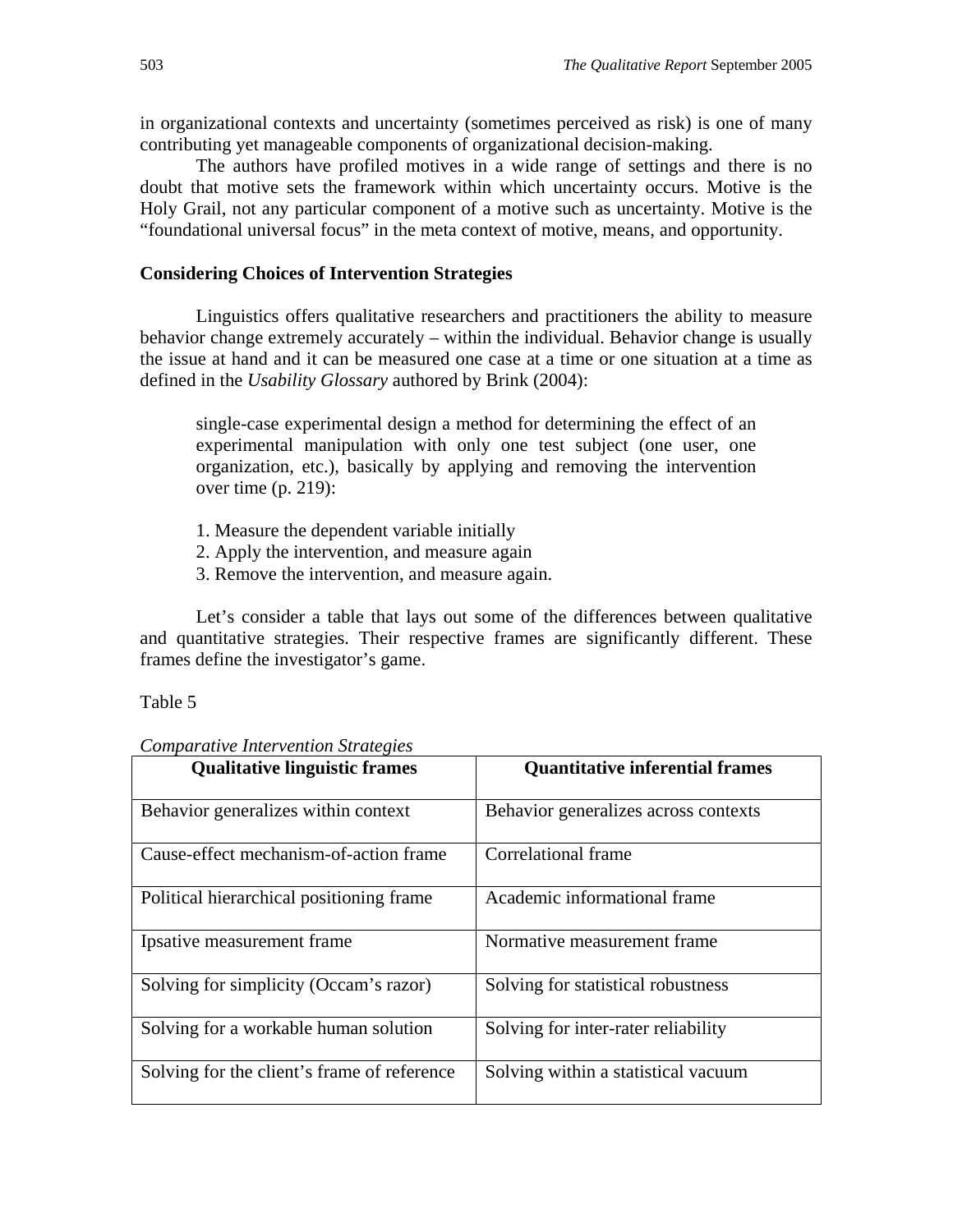in organizational contexts and uncertainty (sometimes perceived as risk) is one of many contributing yet manageable components of organizational decision-making.

The authors have profiled motives in a wide range of settings and there is no doubt that motive sets the framework within which uncertainty occurs. Motive is the Holy Grail, not any particular component of a motive such as uncertainty. Motive is the "foundational universal focus" in the meta context of motive, means, and opportunity.

#### **Considering Choices of Intervention Strategies**

Linguistics offers qualitative researchers and practitioners the ability to measure behavior change extremely accurately – within the individual. Behavior change is usually the issue at hand and it can be measured one case at a time or one situation at a time as defined in the *Usability Glossary* authored by Brink (2004):

single-case experimental design a method for determining the effect of an experimental manipulation with only one test subject (one user, one organization, etc.), basically by applying and removing the intervention over time (p. 219):

- 1. Measure the dependent variable initially
- 2. Apply the intervention, and measure again
- 3. Remove the intervention, and measure again.

Let's consider a table that lays out some of the differences between qualitative and quantitative strategies. Their respective frames are significantly different. These frames define the investigator's game.

#### Table 5

| <b>Comparative Intervention Strategies</b> |
|--------------------------------------------|
|--------------------------------------------|

| <b>Oualitative linguistic frames</b>        | <b>Quantitative inferential frames</b> |
|---------------------------------------------|----------------------------------------|
| Behavior generalizes within context         | Behavior generalizes across contexts   |
| Cause-effect mechanism-of-action frame      | Correlational frame                    |
| Political hierarchical positioning frame    | Academic informational frame           |
| Ipsative measurement frame                  | Normative measurement frame            |
| Solving for simplicity (Occam's razor)      | Solving for statistical robustness     |
| Solving for a workable human solution       | Solving for inter-rater reliability    |
| Solving for the client's frame of reference | Solving within a statistical vacuum    |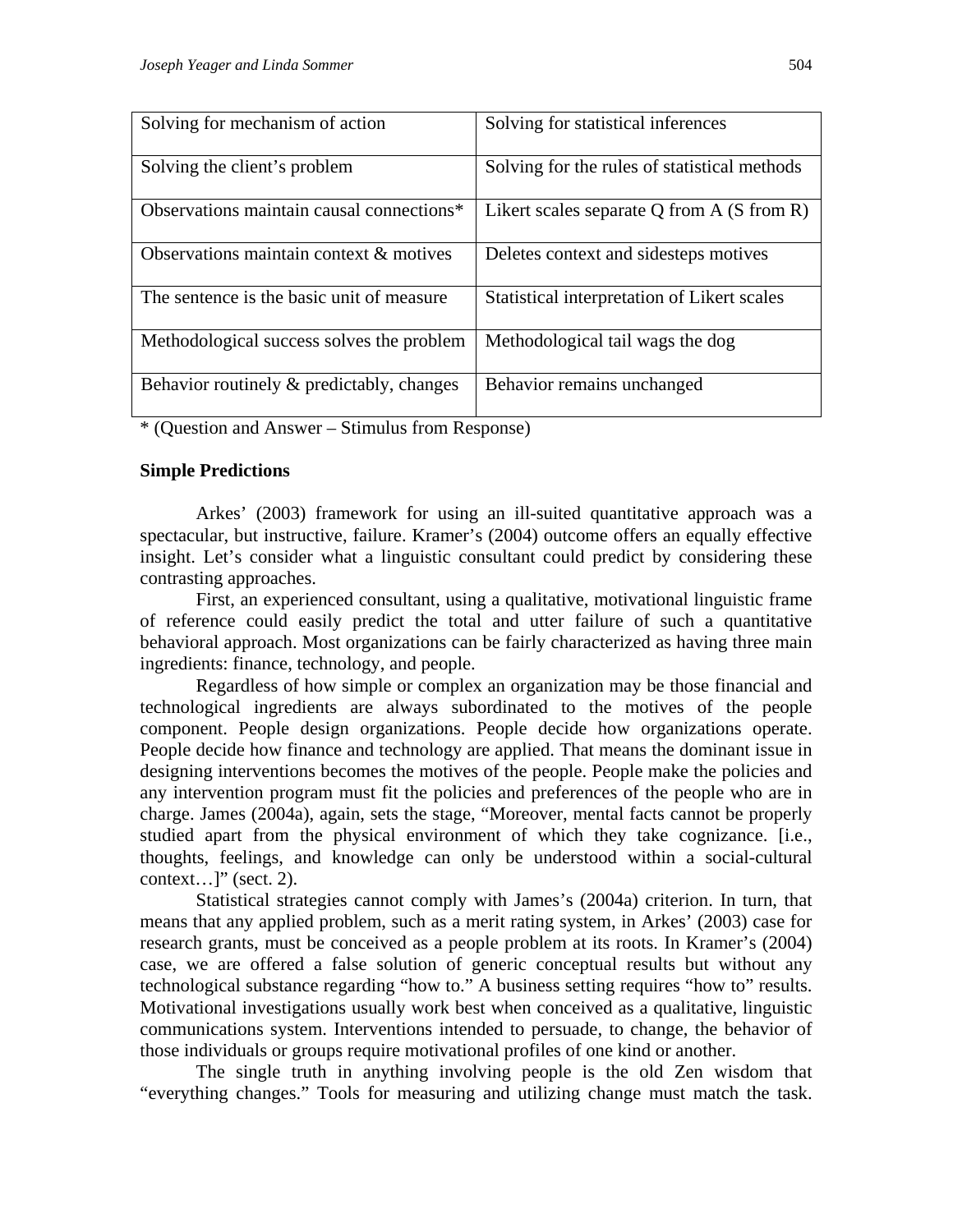| Solving for mechanism of action           | Solving for statistical inferences            |
|-------------------------------------------|-----------------------------------------------|
| Solving the client's problem              | Solving for the rules of statistical methods  |
| Observations maintain causal connections* | Likert scales separate Q from $A(S$ from $R)$ |
| Observations maintain context & motives   | Deletes context and sidesteps motives         |
| The sentence is the basic unit of measure | Statistical interpretation of Likert scales   |
| Methodological success solves the problem | Methodological tail wags the dog              |
| Behavior routinely & predictably, changes | Behavior remains unchanged                    |

\* (Question and Answer – Stimulus from Response)

## **Simple Predictions**

Arkes' (2003) framework for using an ill-suited quantitative approach was a spectacular, but instructive, failure. Kramer's (2004) outcome offers an equally effective insight. Let's consider what a linguistic consultant could predict by considering these contrasting approaches.

First, an experienced consultant, using a qualitative, motivational linguistic frame of reference could easily predict the total and utter failure of such a quantitative behavioral approach. Most organizations can be fairly characterized as having three main ingredients: finance, technology, and people.

Regardless of how simple or complex an organization may be those financial and technological ingredients are always subordinated to the motives of the people component. People design organizations. People decide how organizations operate. People decide how finance and technology are applied. That means the dominant issue in designing interventions becomes the motives of the people. People make the policies and any intervention program must fit the policies and preferences of the people who are in charge. James (2004a), again, sets the stage, "Moreover, mental facts cannot be properly studied apart from the physical environment of which they take cognizance. [i.e., thoughts, feelings, and knowledge can only be understood within a social-cultural context... $]$ " (sect. 2).

Statistical strategies cannot comply with James's (2004a) criterion. In turn, that means that any applied problem, such as a merit rating system, in Arkes' (2003) case for research grants, must be conceived as a people problem at its roots. In Kramer's (2004) case, we are offered a false solution of generic conceptual results but without any technological substance regarding "how to." A business setting requires "how to" results. Motivational investigations usually work best when conceived as a qualitative, linguistic communications system. Interventions intended to persuade, to change, the behavior of those individuals or groups require motivational profiles of one kind or another.

The single truth in anything involving people is the old Zen wisdom that "everything changes." Tools for measuring and utilizing change must match the task.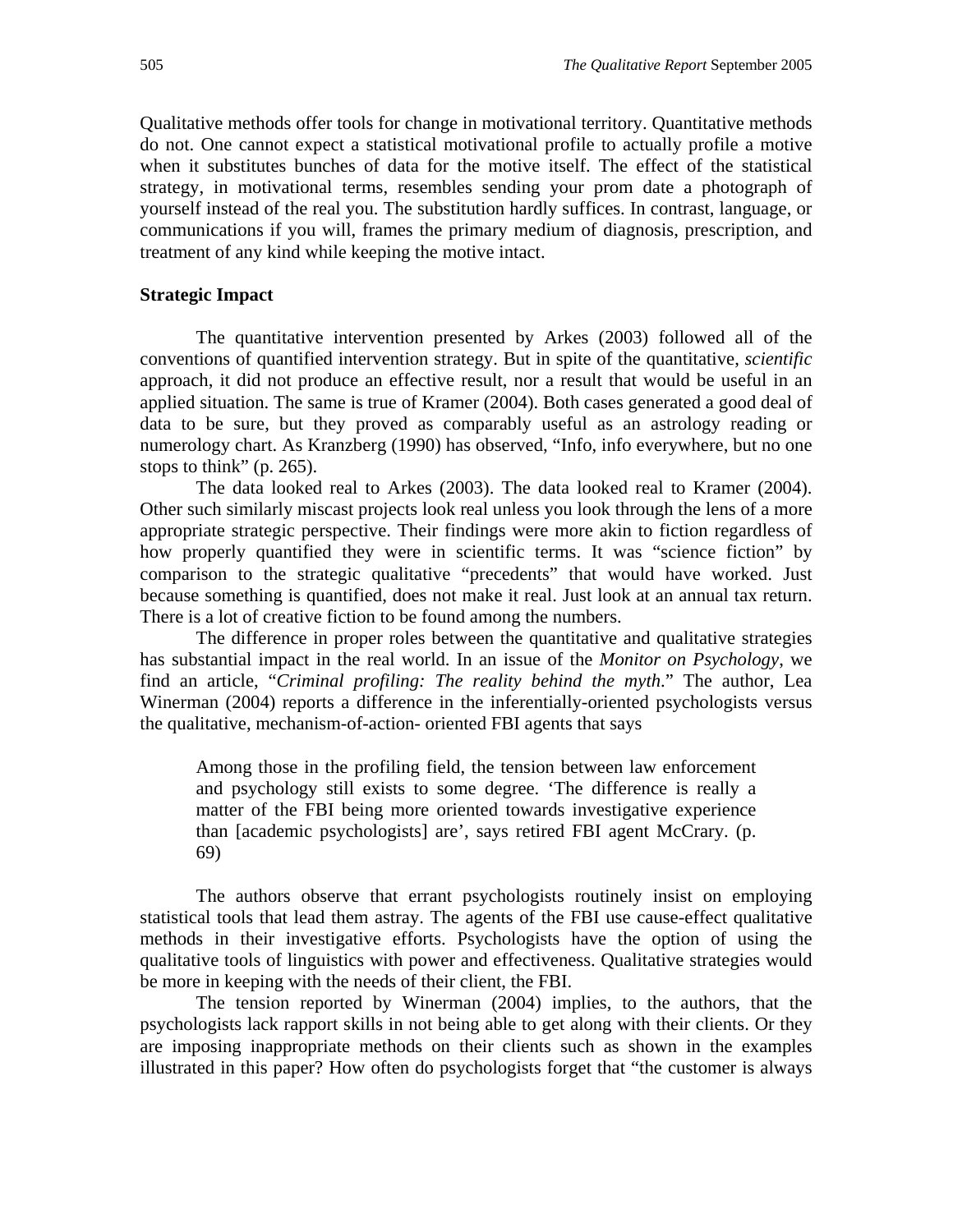Qualitative methods offer tools for change in motivational territory. Quantitative methods do not. One cannot expect a statistical motivational profile to actually profile a motive when it substitutes bunches of data for the motive itself. The effect of the statistical strategy, in motivational terms, resembles sending your prom date a photograph of yourself instead of the real you. The substitution hardly suffices. In contrast, language, or communications if you will, frames the primary medium of diagnosis, prescription, and treatment of any kind while keeping the motive intact.

#### **Strategic Impact**

The quantitative intervention presented by Arkes (2003) followed all of the conventions of quantified intervention strategy. But in spite of the quantitative, *scientific* approach, it did not produce an effective result, nor a result that would be useful in an applied situation. The same is true of Kramer (2004). Both cases generated a good deal of data to be sure, but they proved as comparably useful as an astrology reading or numerology chart. As Kranzberg (1990) has observed, "Info, info everywhere, but no one stops to think" (p. 265).

The data looked real to Arkes (2003). The data looked real to Kramer (2004). Other such similarly miscast projects look real unless you look through the lens of a more appropriate strategic perspective. Their findings were more akin to fiction regardless of how properly quantified they were in scientific terms. It was "science fiction" by comparison to the strategic qualitative "precedents" that would have worked. Just because something is quantified, does not make it real. Just look at an annual tax return. There is a lot of creative fiction to be found among the numbers.

The difference in proper roles between the quantitative and qualitative strategies has substantial impact in the real world. In an issue of the *Monitor on Psychology*, we find an article, "*Criminal profiling: The reality behind the myth*." The author, Lea Winerman (2004) reports a difference in the inferentially-oriented psychologists versus the qualitative, mechanism-of-action- oriented FBI agents that says

Among those in the profiling field, the tension between law enforcement and psychology still exists to some degree. 'The difference is really a matter of the FBI being more oriented towards investigative experience than [academic psychologists] are', says retired FBI agent McCrary. (p. 69)

The authors observe that errant psychologists routinely insist on employing statistical tools that lead them astray. The agents of the FBI use cause-effect qualitative methods in their investigative efforts. Psychologists have the option of using the qualitative tools of linguistics with power and effectiveness. Qualitative strategies would be more in keeping with the needs of their client, the FBI.

The tension reported by Winerman (2004) implies, to the authors, that the psychologists lack rapport skills in not being able to get along with their clients. Or they are imposing inappropriate methods on their clients such as shown in the examples illustrated in this paper? How often do psychologists forget that "the customer is always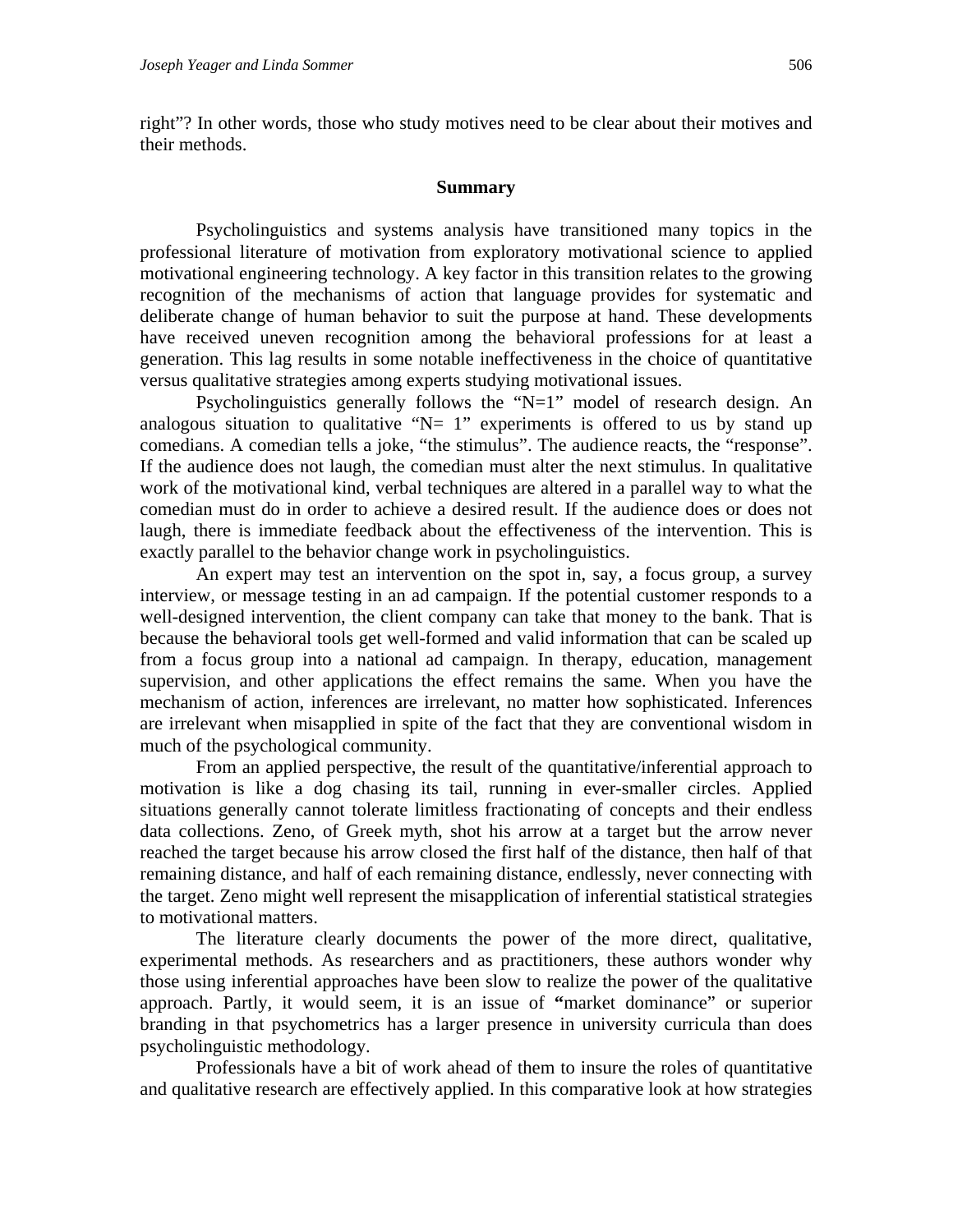right"? In other words, those who study motives need to be clear about their motives and their methods.

#### **Summary**

Psycholinguistics and systems analysis have transitioned many topics in the professional literature of motivation from exploratory motivational science to applied motivational engineering technology. A key factor in this transition relates to the growing recognition of the mechanisms of action that language provides for systematic and deliberate change of human behavior to suit the purpose at hand. These developments have received uneven recognition among the behavioral professions for at least a generation. This lag results in some notable ineffectiveness in the choice of quantitative versus qualitative strategies among experts studying motivational issues.

Psycholinguistics generally follows the "N=1" model of research design. An analogous situation to qualitative " $N= 1$ " experiments is offered to us by stand up comedians. A comedian tells a joke, "the stimulus". The audience reacts, the "response". If the audience does not laugh, the comedian must alter the next stimulus. In qualitative work of the motivational kind, verbal techniques are altered in a parallel way to what the comedian must do in order to achieve a desired result. If the audience does or does not laugh, there is immediate feedback about the effectiveness of the intervention. This is exactly parallel to the behavior change work in psycholinguistics.

An expert may test an intervention on the spot in, say, a focus group, a survey interview, or message testing in an ad campaign. If the potential customer responds to a well-designed intervention, the client company can take that money to the bank. That is because the behavioral tools get well-formed and valid information that can be scaled up from a focus group into a national ad campaign. In therapy, education, management supervision, and other applications the effect remains the same. When you have the mechanism of action, inferences are irrelevant, no matter how sophisticated. Inferences are irrelevant when misapplied in spite of the fact that they are conventional wisdom in much of the psychological community.

From an applied perspective, the result of the quantitative/inferential approach to motivation is like a dog chasing its tail, running in ever-smaller circles. Applied situations generally cannot tolerate limitless fractionating of concepts and their endless data collections. Zeno, of Greek myth, shot his arrow at a target but the arrow never reached the target because his arrow closed the first half of the distance, then half of that remaining distance, and half of each remaining distance, endlessly, never connecting with the target. Zeno might well represent the misapplication of inferential statistical strategies to motivational matters.

The literature clearly documents the power of the more direct, qualitative, experimental methods. As researchers and as practitioners, these authors wonder why those using inferential approaches have been slow to realize the power of the qualitative approach. Partly, it would seem, it is an issue of **"**market dominance" or superior branding in that psychometrics has a larger presence in university curricula than does psycholinguistic methodology.

Professionals have a bit of work ahead of them to insure the roles of quantitative and qualitative research are effectively applied. In this comparative look at how strategies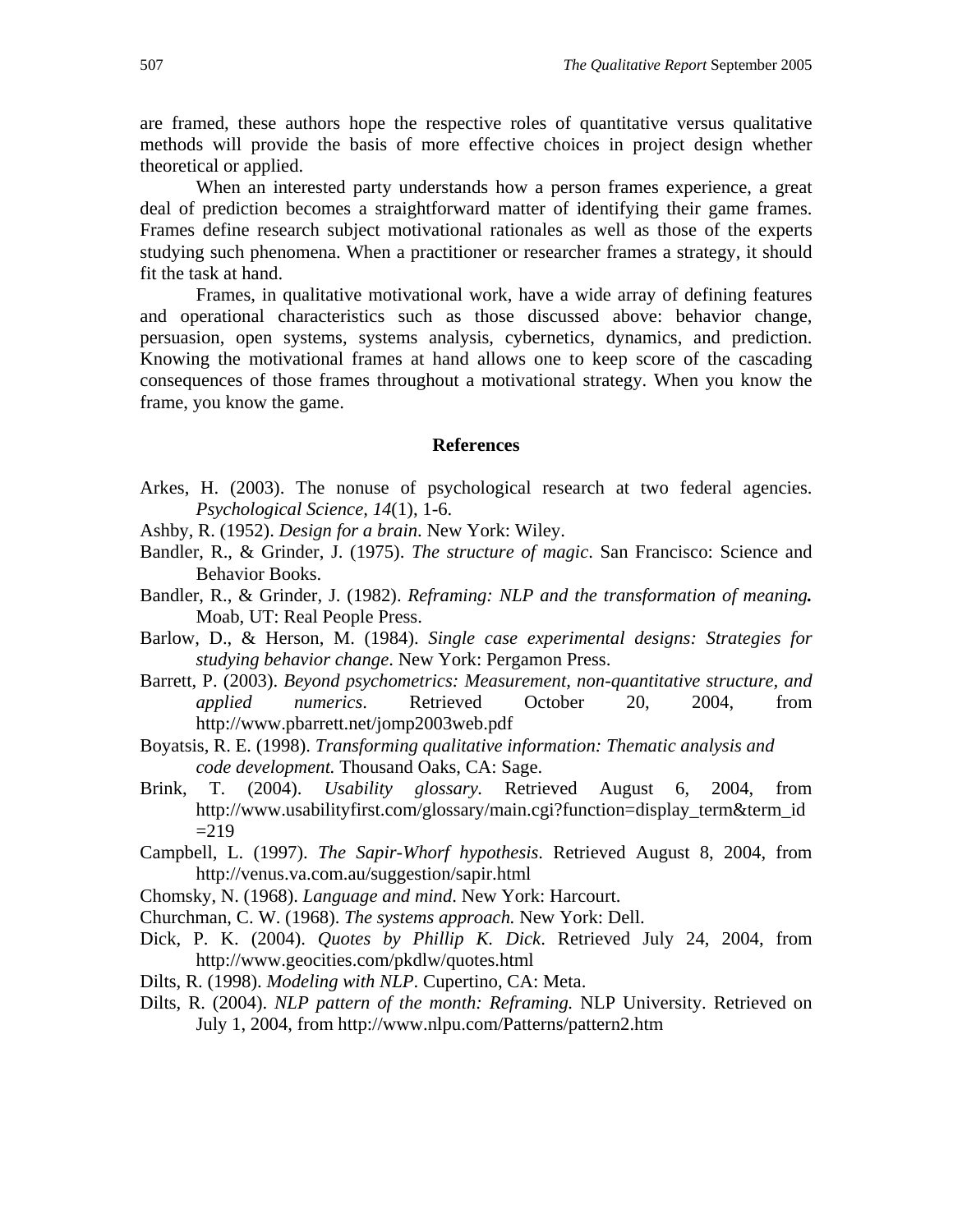are framed, these authors hope the respective roles of quantitative versus qualitative methods will provide the basis of more effective choices in project design whether theoretical or applied.

When an interested party understands how a person frames experience, a great deal of prediction becomes a straightforward matter of identifying their game frames. Frames define research subject motivational rationales as well as those of the experts studying such phenomena. When a practitioner or researcher frames a strategy, it should fit the task at hand.

Frames, in qualitative motivational work, have a wide array of defining features and operational characteristics such as those discussed above: behavior change, persuasion, open systems, systems analysis, cybernetics, dynamics, and prediction. Knowing the motivational frames at hand allows one to keep score of the cascading consequences of those frames throughout a motivational strategy. When you know the frame, you know the game.

#### **References**

- Arkes, H. (2003). The nonuse of psychological research at two federal agencies. *Psychological Science, 14*(1), 1-6.
- Ashby, R. (1952). *Design for a brain*. New York: Wiley.
- Bandler, R., & Grinder, J. (1975). *The structure of magic*. San Francisco: Science and Behavior Books.
- Bandler, R., & Grinder, J. (1982). *Reframing: NLP and the transformation of meaning.* Moab, UT: Real People Press.
- Barlow, D., & Herson, M. (1984). *Single case experimental designs: Strategies for studying behavior change*. New York: Pergamon Press.
- Barrett, P. (2003). *Beyond psychometrics: Measurement, non-quantitative structure, and applied numerics*. Retrieved October 20, 2004, from http://www.pbarrett.net/jomp2003web.pdf
- Boyatsis, R. E. (1998). *Transforming qualitative information: Thematic analysis and code development.* Thousand Oaks, CA: Sage.
- Brink, T. (2004). *Usability glossary.* Retrieved August 6, 2004, from http://www.usabilityfirst.com/glossary/main.cgi?function=display\_term&term\_id  $=219$
- Campbell, L. (1997). *The Sapir-Whorf hypothesis*. Retrieved August 8, 2004, from http://venus.va.com.au/suggestion/sapir.html
- Chomsky, N. (1968). *Language and mind*. New York: Harcourt.
- Churchman, C. W. (1968). *The systems approach.* New York: Dell.
- Dick, P. K. (2004). *Quotes by Phillip K. Dick*. Retrieved July 24, 2004, from http://www.geocities.com/pkdlw/quotes.html
- Dilts, R. (1998). *Modeling with NLP*. Cupertino, CA: Meta.
- Dilts, R. (2004). *NLP pattern of the month: Reframing.* NLP University. Retrieved on July 1, 2004, from http://www.nlpu.com/Patterns/pattern2.htm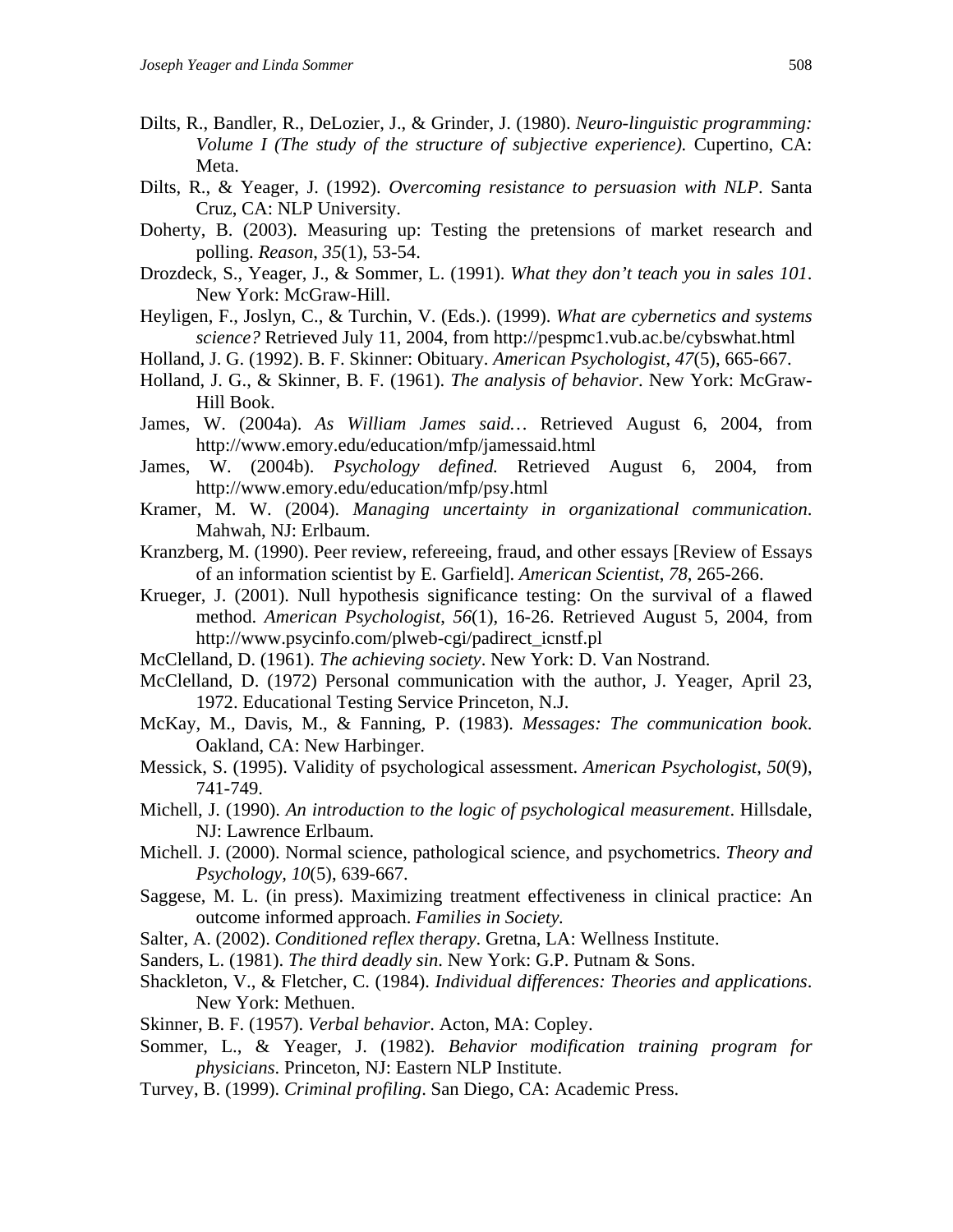- Dilts, R., Bandler, R., DeLozier, J., & Grinder, J. (1980). *Neuro-linguistic programming: Volume I (The study of the structure of subjective experience).* Cupertino, CA: Meta.
- Dilts, R., & Yeager, J. (1992). *Overcoming resistance to persuasion with NLP*. Santa Cruz, CA: NLP University.
- Doherty, B. (2003). Measuring up: Testing the pretensions of market research and polling. *Reason*, *35*(1), 53-54.
- Drozdeck, S., Yeager, J., & Sommer, L. (1991). *What they don't teach you in sales 101*. New York: McGraw-Hill.
- Heyligen, F., Joslyn, C., & Turchin, V. (Eds.). (1999). *What are cybernetics and systems science?* Retrieved July 11, 2004, from http://pespmc1.vub.ac.be/cybswhat.html
- Holland, J. G. (1992). B. F. Skinner: Obituary. *American Psychologist*, *47*(5), 665-667.
- Holland, J. G., & Skinner, B. F. (1961). *The analysis of behavior*. New York: McGraw-Hill Book.
- James, W. (2004a). *As William James said…* Retrieved August 6, 2004, from http://www.emory.edu/education/mfp/jamessaid.html
- James, W. (2004b). *Psychology defined.* Retrieved August 6, 2004, from http://www.emory.edu/education/mfp/psy.html
- Kramer, M. W. (2004). *Managing uncertainty in organizational communication*. Mahwah, NJ: Erlbaum.
- Kranzberg, M. (1990). Peer review, refereeing, fraud, and other essays [Review of Essays of an information scientist by E. Garfield]. *American Scientist*, *78*, 265-266.
- Krueger, J. (2001). Null hypothesis significance testing: On the survival of a flawed method. *American Psychologist*, *56*(1), 16-26. Retrieved August 5, 2004, from http://www.psycinfo.com/plweb-cgi/padirect\_icnstf.pl
- McClelland, D. (1961). *The achieving society*. New York: D. Van Nostrand.
- McClelland, D. (1972) Personal communication with the author, J. Yeager, April 23, 1972. Educational Testing Service Princeton, N.J.
- McKay, M., Davis, M., & Fanning, P. (1983). *Messages: The communication book*. Oakland, CA: New Harbinger.
- Messick, S. (1995). Validity of psychological assessment. *American Psychologist*, *50*(9), 741-749.
- Michell, J. (1990). *An introduction to the logic of psychological measurement*. Hillsdale, NJ: Lawrence Erlbaum.
- Michell. J. (2000). Normal science, pathological science, and psychometrics. *Theory and Psychology, 10*(5), 639-667.
- Saggese, M. L. (in press). Maximizing treatment effectiveness in clinical practice: An outcome informed approach. *Families in Society.*
- Salter, A. (2002). *Conditioned reflex therapy*. Gretna, LA: Wellness Institute.
- Sanders, L. (1981). *The third deadly sin*. New York: G.P. Putnam & Sons.
- Shackleton, V., & Fletcher, C. (1984). *Individual differences: Theories and applications*. New York: Methuen.
- Skinner, B. F. (1957). *Verbal behavior*. Acton, MA: Copley.
- Sommer, L., & Yeager, J. (1982). *Behavior modification training program for physicians*. Princeton, NJ: Eastern NLP Institute.
- Turvey, B. (1999). *Criminal profiling*. San Diego, CA: Academic Press.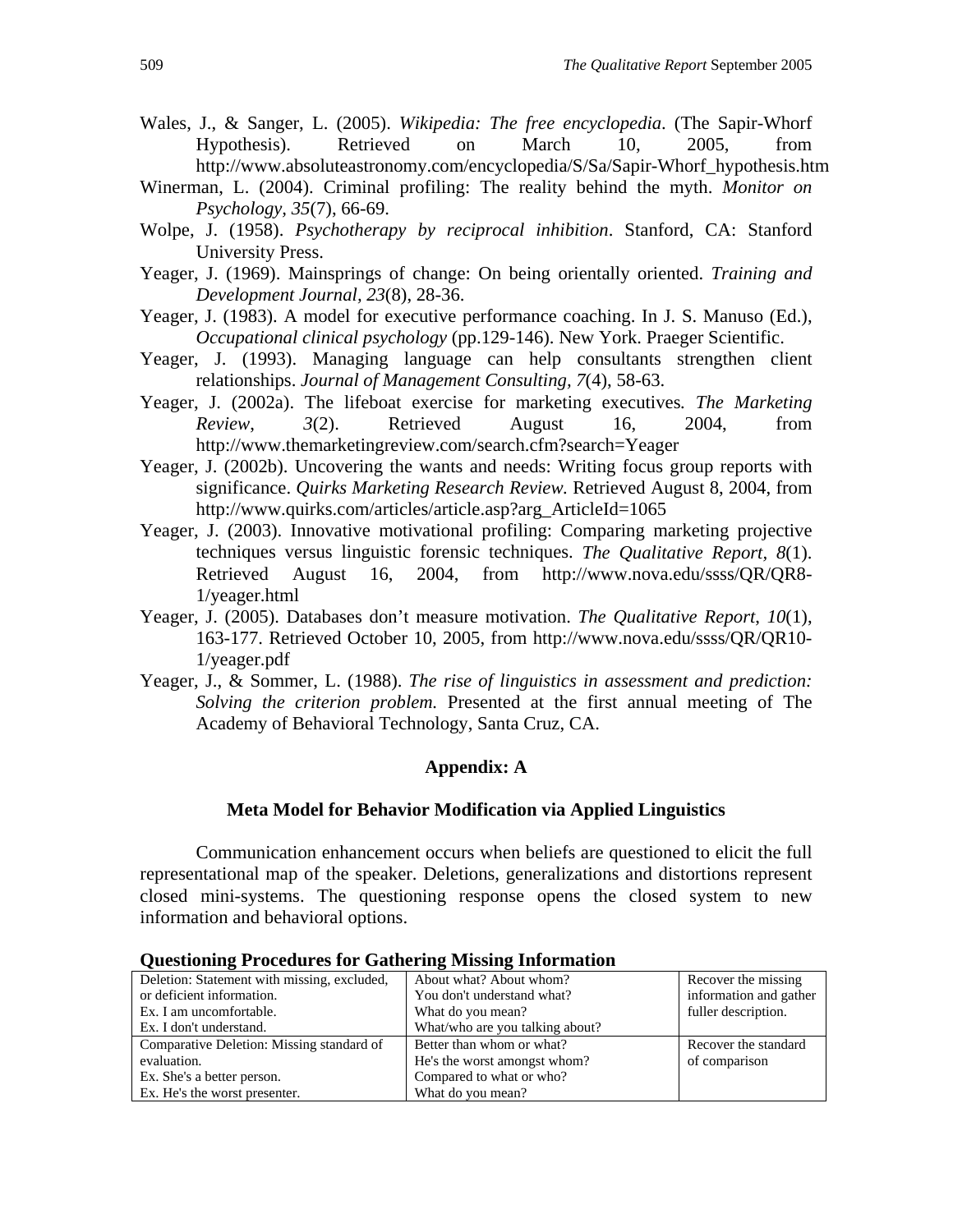- Wales, J., & Sanger, L. (2005). *Wikipedia: The free encyclopedia*. (The Sapir-Whorf Hypothesis). Retrieved on March 10, 2005, from http://www.absoluteastronomy.com/encyclopedia/S/Sa/Sapir-Whorf\_hypothesis.htm
- Winerman, L. (2004). Criminal profiling: The reality behind the myth. *Monitor on Psychology, 35*(7), 66-69.
- Wolpe, J. (1958). *Psychotherapy by reciprocal inhibition*. Stanford, CA: Stanford University Press.
- Yeager, J. (1969). Mainsprings of change: On being orientally oriented. *Training and Development Journal, 23*(8), 28-36.
- Yeager, J. (1983). A model for executive performance coaching. In J. S. Manuso (Ed.), *Occupational clinical psychology* (pp.129-146). New York. Praeger Scientific.
- Yeager, J. (1993). Managing language can help consultants strengthen client relationships. *Journal of Management Consulting, 7*(4), 58-63.
- Yeager, J. (2002a). The lifeboat exercise for marketing executives*. The Marketing Review*, *3*(2). Retrieved August 16, 2004, from http://www.themarketingreview.com/search.cfm?search=Yeager
- Yeager, J. (2002b). Uncovering the wants and needs: Writing focus group reports with significance. *Quirks Marketing Research Review.* Retrieved August 8, 2004, from http://www.quirks.com/articles/article.asp?arg\_ArticleId=1065
- Yeager, J. (2003). Innovative motivational profiling: Comparing marketing projective techniques versus linguistic forensic techniques. *The Qualitative Report, 8*(1). Retrieved August 16, 2004, from http://www.nova.edu/ssss/QR/QR8- 1/yeager.html
- Yeager, J. (2005). Databases don't measure motivation. *The Qualitative Report*, *10*(1), 163-177. Retrieved October 10, 2005, from http://www.nova.edu/ssss/QR/QR10- 1/yeager.pdf
- Yeager, J., & Sommer, L. (1988). *The rise of linguistics in assessment and prediction: Solving the criterion problem.* Presented at the first annual meeting of The Academy of Behavioral Technology, Santa Cruz, CA.

#### **Appendix: A**

#### **Meta Model for Behavior Modification via Applied Linguistics**

Communication enhancement occurs when beliefs are questioned to elicit the full representational map of the speaker. Deletions, generalizations and distortions represent closed mini-systems. The questioning response opens the closed system to new information and behavioral options.

| Deletion: Statement with missing, excluded, | About what? About whom?         | Recover the missing    |
|---------------------------------------------|---------------------------------|------------------------|
| or deficient information.                   | You don't understand what?      | information and gather |
| Ex. I am uncomfortable.                     | What do you mean?               | fuller description.    |
| Ex. I don't understand.                     | What/who are you talking about? |                        |
| Comparative Deletion: Missing standard of   | Better than whom or what?       | Recover the standard   |
| evaluation.                                 | He's the worst amongst whom?    | of comparison          |
| Ex. She's a better person.                  | Compared to what or who?        |                        |
| Ex. He's the worst presenter.               | What do you mean?               |                        |

#### **Questioning Procedures for Gathering Missing Information**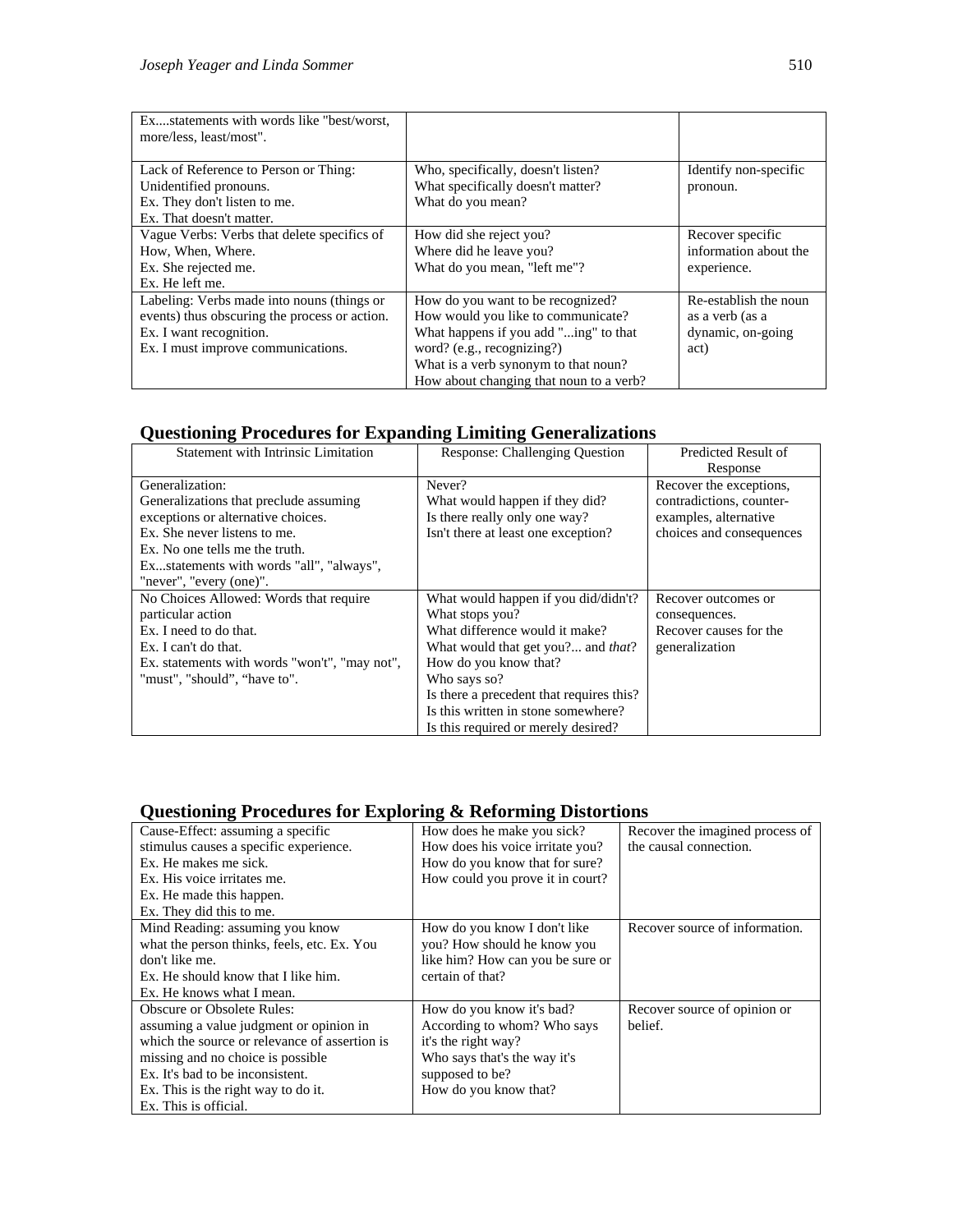| Exstatements with words like "best/worst,     |                                         |                       |
|-----------------------------------------------|-----------------------------------------|-----------------------|
| more/less, least/most".                       |                                         |                       |
|                                               |                                         |                       |
| Lack of Reference to Person or Thing:         | Who, specifically, doesn't listen?      | Identify non-specific |
| Unidentified pronouns.                        | What specifically doesn't matter?       | pronoun.              |
| Ex. They don't listen to me.                  | What do you mean?                       |                       |
| Ex. That doesn't matter.                      |                                         |                       |
| Vague Verbs: Verbs that delete specifics of   | How did she reject you?                 | Recover specific      |
| How, When, Where.                             | Where did he leave you?                 | information about the |
| Ex. She rejected me.                          | What do you mean, "left me"?            | experience.           |
| Ex. He left me.                               |                                         |                       |
| Labeling: Verbs made into nouns (things or    | How do you want to be recognized?       | Re-establish the noun |
| events) thus obscuring the process or action. | How would you like to communicate?      | as a verb (as a       |
| Ex. I want recognition.                       | What happens if you add "ing" to that   | dynamic, on-going     |
| Ex. I must improve communications.            | word? (e.g., recognizing?)              | act)                  |
|                                               | What is a verb synonym to that noun?    |                       |
|                                               | How about changing that noun to a verb? |                       |

# **Questioning Procedures for Expanding Limiting Generalizations**

| Statement with Intrinsic Limitation           | <b>Response: Challenging Question</b>      | Predicted Result of      |
|-----------------------------------------------|--------------------------------------------|--------------------------|
|                                               |                                            | Response                 |
| Generalization:                               | Never?                                     | Recover the exceptions,  |
| Generalizations that preclude assuming        | What would happen if they did?             | contradictions, counter- |
| exceptions or alternative choices.            | Is there really only one way?              | examples, alternative    |
| Ex. She never listens to me.                  | Isn't there at least one exception?        | choices and consequences |
| Ex. No one tells me the truth.                |                                            |                          |
| Exstatements with words "all", "always",      |                                            |                          |
| "never", "every (one)".                       |                                            |                          |
| No Choices Allowed: Words that require        | What would happen if you did/didn't?       | Recover outcomes or      |
| particular action                             | What stops you?                            | consequences.            |
| Ex. I need to do that.                        | What difference would it make?             | Recover causes for the   |
| Ex. I can't do that.                          | What would that get you? and <i>that</i> ? | generalization           |
| Ex. statements with words "won't", "may not", | How do you know that?                      |                          |
| "must", "should", "have to".                  | Who says so?                               |                          |
|                                               | Is there a precedent that requires this?   |                          |
|                                               | Is this written in stone somewhere?        |                          |
|                                               | Is this required or merely desired?        |                          |

# **Questioning Procedures for Exploring & Reforming Distortions**

| Cause-Effect: assuming a specific             | How does he make you sick?       | Recover the imagined process of |
|-----------------------------------------------|----------------------------------|---------------------------------|
| stimulus causes a specific experience.        | How does his voice irritate you? | the causal connection.          |
| Ex. He makes me sick.                         | How do you know that for sure?   |                                 |
| Ex. His voice irritates me.                   | How could you prove it in court? |                                 |
| Ex. He made this happen.                      |                                  |                                 |
| Ex. They did this to me.                      |                                  |                                 |
| Mind Reading: assuming you know               | How do you know I don't like     | Recover source of information.  |
| what the person thinks, feels, etc. Ex. You   | you? How should he know you      |                                 |
| don't like me.                                | like him? How can you be sure or |                                 |
| Ex. He should know that I like him.           | certain of that?                 |                                 |
| Ex. He knows what I mean.                     |                                  |                                 |
| <b>Obscure or Obsolete Rules:</b>             | How do you know it's bad?        | Recover source of opinion or    |
| assuming a value judgment or opinion in       | According to whom? Who says      | belief.                         |
| which the source or relevance of assertion is | it's the right way?              |                                 |
| missing and no choice is possible.            | Who says that's the way it's     |                                 |
| Ex. It's bad to be inconsistent.              | supposed to be?                  |                                 |
| Ex. This is the right way to do it.           | How do you know that?            |                                 |
| Ex. This is official.                         |                                  |                                 |